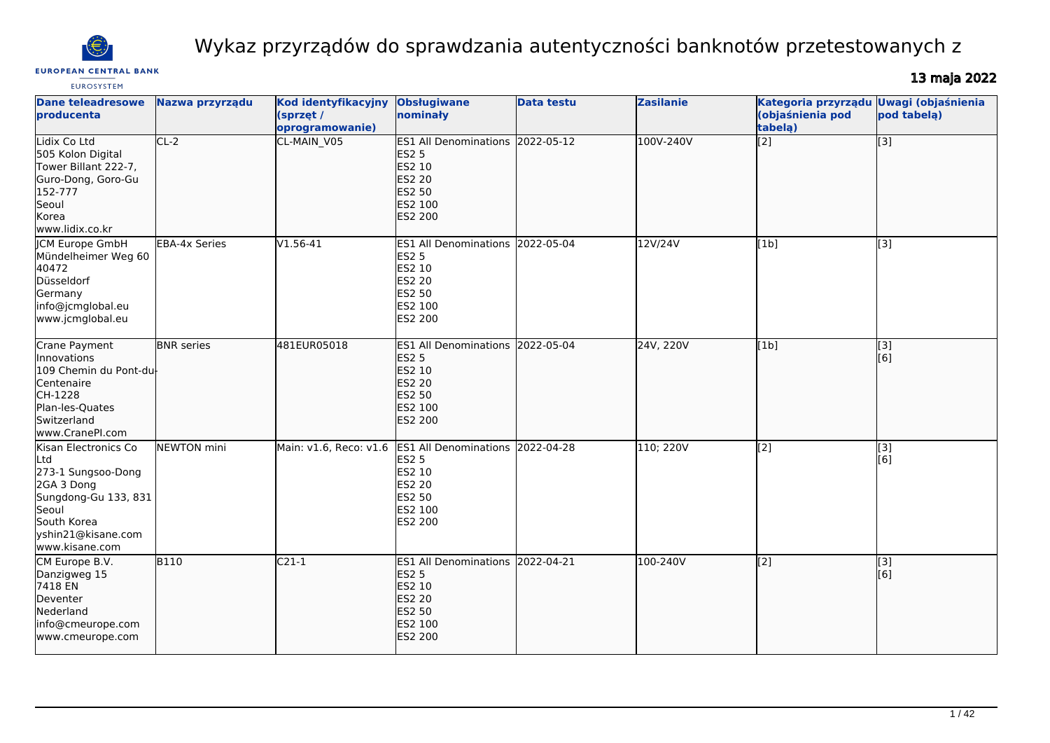

# Wykaz przyrządów do sprawdzania autentyczności banknotów przetestowanych z

#### **EUROPEAN CENTRAL BANK**

# 13 maja 2022

| <b>EUROSYSTEM</b>                                                                                                                                       |                      |                                                            |                                                                                                                                    |                   |                  |                                                    |                                                           |
|---------------------------------------------------------------------------------------------------------------------------------------------------------|----------------------|------------------------------------------------------------|------------------------------------------------------------------------------------------------------------------------------------|-------------------|------------------|----------------------------------------------------|-----------------------------------------------------------|
| <b>Dane teleadresowe</b><br>producenta                                                                                                                  | Nazwa przyrządu      | <b>Kod identyfikacyjny</b><br>(sprzęt /<br>oprogramowanie) | <b>Obsługiwane</b><br>nominały                                                                                                     | <b>Data testu</b> | <b>Zasilanie</b> | Kategoria przyrządu<br>(objaśnienia pod<br>tabelą) | <b>Uwagi (objaśnienia</b><br>pod tabela)                  |
| Lidix Co Ltd<br>505 Kolon Digital<br>Tower Billant 222-7,<br>Guro-Dong, Goro-Gu<br>152-777<br>Seoul<br>Korea<br>www.lidix.co.kr                         | $CL-2$               | CL-MAIN_V05                                                | ES1 All Denominations 2022-05-12<br><b>ES2 5</b><br>ES2 10<br><b>ES2 20</b><br>ES2 50<br>ES2 100<br>ES2 200                        |                   | 100V-240V        | $\overline{[2]}$                                   | [3]                                                       |
| <b>JCM Europe GmbH</b><br>Mündelheimer Weg 60<br>40472<br>Düsseldorf<br>Germany<br>info@jcmglobal.eu<br>www.jcmglobal.eu                                | <b>EBA-4x Series</b> | $V1.56-41$                                                 | ES1 All Denominations 2022-05-04<br><b>ES2 5</b><br><b>ES2 10</b><br>ES2 20<br><b>ES2 50</b><br>ES2 100<br>ES2 200                 |                   | 12V/24V          | [1b]                                               | [3]                                                       |
| Crane Payment<br><b>Innovations</b><br>109 Chemin du Pont-du<br>Centenaire<br>CH-1228<br>Plan-les-Quates<br>Switzerland<br>www.CranePI.com              | <b>BNR</b> series    | 481EUR05018                                                | <b>ES1 All Denominations</b><br><b>ES2 5</b><br>ES2 10<br><b>ES2 20</b><br><b>ES2 50</b><br>ES2 100<br>ES2 200                     | 2022-05-04        | 24V, 220V        | [1b]                                               | $\left[ \begin{matrix} 1 & 3 \end{matrix} \right]$<br>[6] |
| Kisan Electronics Co<br>Ltd<br>273-1 Sungsoo-Dong<br>2GA 3 Dong<br>Sungdong-Gu 133, 831<br>Seoul<br>South Korea<br>yshin21@kisane.com<br>www.kisane.com | NEWTON mini          |                                                            | Main: v1.6, Reco: v1.6 ES1 All Denominations 2022-04-28<br><b>ES2 5</b><br>ES2 10<br><b>ES2 20</b><br>ES2 50<br>ES2 100<br>ES2 200 |                   | 110; 220V        | $\overline{[2]}$                                   | $\overline{[}3]$<br>[6]                                   |
| CM Europe B.V.<br>Danzigweg 15<br>7418 EN<br>Deventer<br>Nederland<br>info@cmeurope.com<br>www.cmeurope.com                                             | <b>B110</b>          | $C21-1$                                                    | ES1 All Denominations 2022-04-21<br><b>ES2 5</b><br>ES2 10<br><b>ES2 20</b><br><b>ES2 50</b><br>ES2 100<br><b>ES2 200</b>          |                   | 100-240V         | $\overline{[2]}$                                   | [3]<br>[6]                                                |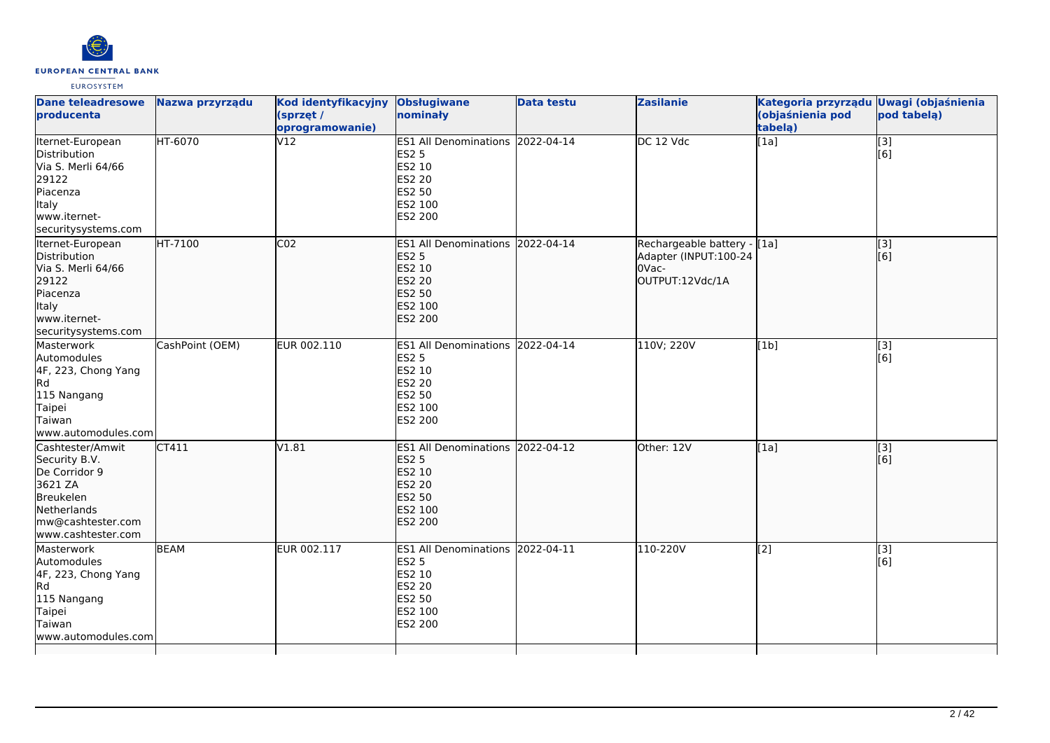

| <b>Dane teleadresowe</b><br>producenta                                                                                               | Nazwa przyrządu | Kod identyfikacyjny Obsługiwane<br>(sprzęt /<br>oprogramowanie) | nominały                                                                                                                  | <b>Data testu</b> | <b>Zasilanie</b>                                                                  | Kategoria przyrządu Uwagi (objaśnienia<br>(objaśnienia pod<br>tabela) | pod tabelą)             |
|--------------------------------------------------------------------------------------------------------------------------------------|-----------------|-----------------------------------------------------------------|---------------------------------------------------------------------------------------------------------------------------|-------------------|-----------------------------------------------------------------------------------|-----------------------------------------------------------------------|-------------------------|
| Iternet-European<br>Distribution<br>Via S. Merli 64/66<br>29122<br>Piacenza<br>Italy<br>www.iternet-<br>securitysystems.com          | HT-6070         | V12                                                             | <b>ES1 All Denominations</b><br><b>ES2 5</b><br>ES2 10<br><b>ES2 20</b><br><b>ES2 50</b><br>ES2 100<br>ES2 200            | 2022-04-14        | DC 12 Vdc                                                                         | $\overline{[1a]}$                                                     | $\overline{[3]}$<br>[6] |
| Iternet-European<br>Distribution<br>Via S. Merli 64/66<br>29122<br>Piacenza<br>Italy<br>www.iternet-<br>securitysystems.com          | HT-7100         | CO <sub>2</sub>                                                 | ES1 All Denominations 2022-04-14<br><b>ES2 5</b><br>ES2 10<br><b>ES2 20</b><br><b>ES2 50</b><br>ES2 100<br><b>ES2 200</b> |                   | Rechargeable battery - [[1a]<br>Adapter (INPUT:100-24<br>OVac-<br>OUTPUT:12Vdc/1A |                                                                       | [3]<br>[6]              |
| Masterwork<br>Automodules<br>4F, 223, Chong Yang<br>Rd<br>115 Nangang<br>Taipei<br>Taiwan<br>www.automodules.com                     | CashPoint (OEM) | EUR 002.110                                                     | <b>ES1 All Denominations</b><br><b>ES2 5</b><br>ES2 10<br><b>ES2 20</b><br><b>ES2 50</b><br>ES2 100<br><b>ES2 200</b>     | 2022-04-14        | 110V; 220V                                                                        | [1b]                                                                  | $\overline{[3]}$<br>[6] |
| Cashtester/Amwit<br>Security B.V.<br>De Corridor 9<br>3621 ZA<br>Breukelen<br>Netherlands<br>mw@cashtester.com<br>www.cashtester.com | CT411           | V1.81                                                           | <b>ES1 All Denominations</b><br><b>ES2 5</b><br>ES2 10<br><b>ES2 20</b><br><b>ES2 50</b><br>ES2 100<br><b>ES2 200</b>     | 2022-04-12        | Other: 12V                                                                        | [1a]                                                                  | [3]<br>[6]              |
| Masterwork<br>Automodules<br>4F, 223, Chong Yang<br>Rd<br>115 Nangang<br>Taipei<br>Taiwan<br>www.automodules.com                     | <b>BEAM</b>     | EUR 002.117                                                     | ES1 All Denominations 2022-04-11<br><b>ES2 5</b><br>ES2 10<br><b>ES2 20</b><br><b>ES2 50</b><br>ES2 100<br>ES2 200        |                   | 110-220V                                                                          | [2]                                                                   | $\overline{[}3]$<br>[6] |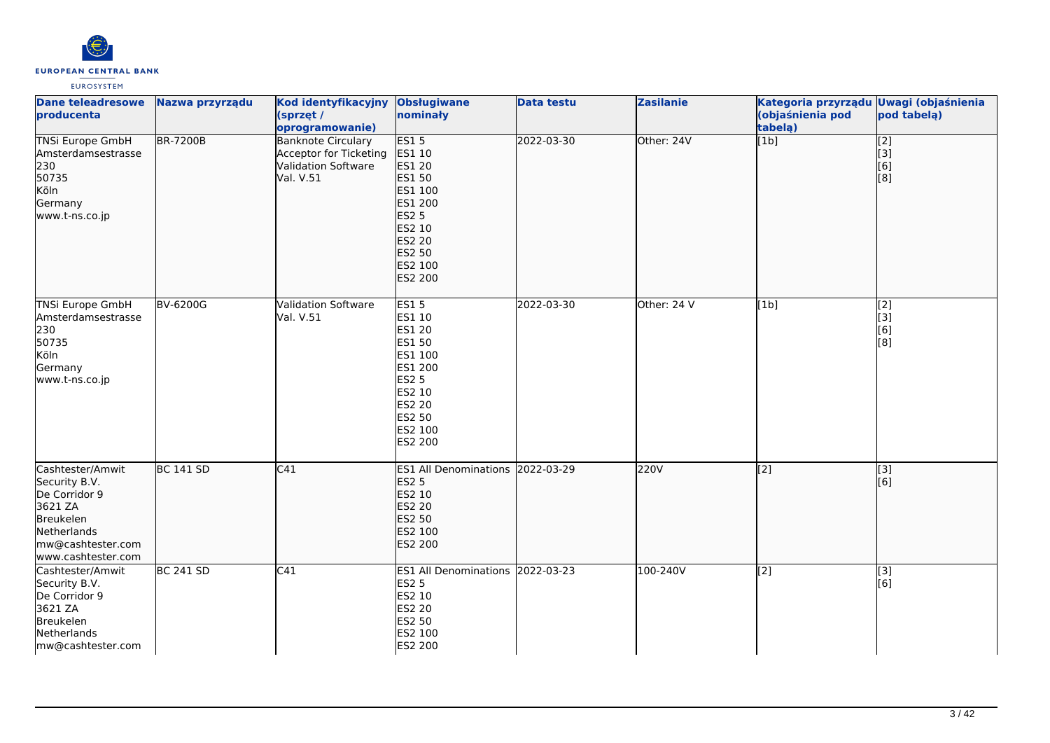

| <b>EUROSYSTEM</b> |  |
|-------------------|--|
|-------------------|--|

| <b>Dane teleadresowe</b><br>producenta                                                                                               | Nazwa przyrządu  | Kod identyfikacyjny<br>(sprzęt /<br>oprogramowanie)                                     | <b>Obsługiwane</b><br>nominały                                                                                                      | <b>Data testu</b> | <b>Zasilanie</b> | Kategoria przyrządu Uwagi (objaśnienia<br>(objaśnienia pod<br>tabelą) | pod tabelą)                                                   |
|--------------------------------------------------------------------------------------------------------------------------------------|------------------|-----------------------------------------------------------------------------------------|-------------------------------------------------------------------------------------------------------------------------------------|-------------------|------------------|-----------------------------------------------------------------------|---------------------------------------------------------------|
| <b>TNSi Europe GmbH</b><br>Amsterdamsestrasse<br>230<br>50735<br>Köln<br>Germany<br>www.t-ns.co.jp                                   | <b>BR-7200B</b>  | <b>Banknote Circulary</b><br>Acceptor for Ticketing<br>Validation Software<br>Val. V.51 | ES15<br>ES1 10<br>ES1 20<br>ES1 50<br>ES1 100<br>ES1 200<br><b>ES2 5</b><br>ES2 10<br>ES2 20<br>ES2 50<br>ES2 100<br>ES2 200        | 2022-03-30        | Other: 24V       | $\overline{[1b]}$                                                     | $\overline{[2]}$<br>$\overline{[}3\overline{]}$<br>[6]<br>[8] |
| <b>TNSi Europe GmbH</b><br>Amsterdamsestrasse<br>230<br>50735<br>Köln<br>Germany<br>www.t-ns.co.jp                                   | BV-6200G         | <b>Validation Software</b><br>Val. V.51                                                 | <b>ES15</b><br>ES1 10<br>ES1 20<br>ES1 50<br>ES1 100<br>ES1 200<br><b>ES2 5</b><br>ES2 10<br>ES2 20<br>ES2 50<br>ES2 100<br>ES2 200 | 2022-03-30        | Other: 24 V      | [1b]                                                                  | $\overline{[2]}$<br>[3]<br>[6]<br>[8]                         |
| Cashtester/Amwit<br>Security B.V.<br>De Corridor 9<br>3621 ZA<br>Breukelen<br>Netherlands<br>mw@cashtester.com<br>www.cashtester.com | <b>BC 141 SD</b> | C41                                                                                     | ES1 All Denominations 2022-03-29<br><b>ES2 5</b><br>ES2 10<br>ES2 20<br>ES2 50<br>ES2 100<br>ES2 200                                |                   | 220V             | $\overline{[2]}$                                                      | $\overline{[3]}$<br>[6]                                       |
| Cashtester/Amwit<br>Security B.V.<br>De Corridor 9<br>3621 ZA<br>Breukelen<br>Netherlands<br>mw@cashtester.com                       | <b>BC 241 SD</b> | C41                                                                                     | ES1 All Denominations 2022-03-23<br><b>ES2 5</b><br>ES2 10<br>ES2 20<br>ES2 50<br>ES2 100<br>ES2 200                                |                   | 100-240V         | $\overline{[2]}$                                                      | $\overline{[}3]$<br>[6]                                       |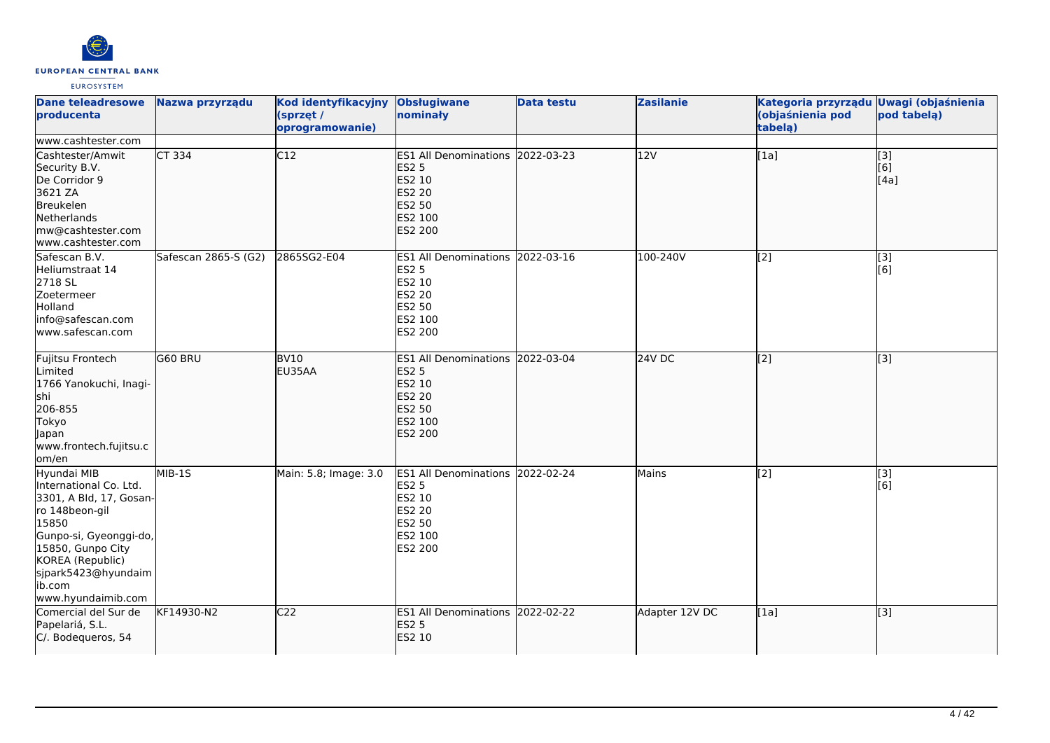

| <b>Dane teleadresowe</b><br>producenta                                                                                                                                                                                | Nazwa przyrządu      | Kod identyfikacyjny<br>(sprzęt /<br>oprogramowanie) | <b>Obsługiwane</b><br>nominały                                                                                     | <b>Data testu</b> | <b>Zasilanie</b> | Kategoria przyrządu Uwagi (objaśnienia<br>(objaśnienia pod<br>tabela) | pod tabela)                                     |
|-----------------------------------------------------------------------------------------------------------------------------------------------------------------------------------------------------------------------|----------------------|-----------------------------------------------------|--------------------------------------------------------------------------------------------------------------------|-------------------|------------------|-----------------------------------------------------------------------|-------------------------------------------------|
| www.cashtester.com<br>Cashtester/Amwit<br>Security B.V.<br>De Corridor 9<br>3621 ZA<br>Breukelen<br>Netherlands<br>mw@cashtester.com<br>www.cashtester.com                                                            | $CT$ 334             | $\overline{C12}$                                    | ES1 All Denominations 2022-03-23<br><b>ES2 5</b><br>ES2 10<br><b>ES2 20</b><br><b>ES2 50</b><br>ES2 100<br>ES2 200 |                   | 12V              | [1a]                                                                  | $\overline{[}3]$<br>[6]<br>[4a]                 |
| Safescan B.V.<br>Heliumstraat 14<br>2718 SL<br>Zoetermeer<br>Holland<br>info@safescan.com<br>www.safescan.com                                                                                                         | Safescan 2865-S (G2) | 2865SG2-E04                                         | ES1 All Denominations 2022-03-16<br>ES2 5<br>ES2 10<br>ES2 20<br>ES2 50<br>ES2 100<br>ES2 200                      |                   | 100-240V         | [2]                                                                   | $\overline{[3]}$<br>$\overline{[}6\overline{]}$ |
| Fujitsu Frontech<br><b>Limited</b><br>1766 Yanokuchi, Inagi-<br><b>s</b> hi<br>206-855<br>Tokyo<br>lapan<br>www.frontech.fujitsu.c<br>om/en                                                                           | G60 BRU              | <b>BV10</b><br>EU35AA                               | ES1 All Denominations 2022-03-04<br><b>ES2 5</b><br>ES2 10<br>ES2 20<br>ES2 50<br>ES2 100<br><b>ES2 200</b>        |                   | 24V DC           | $\sqrt{2}$                                                            | [3]                                             |
| Hyundai MIB<br>International Co. Ltd.<br>3301, A Bld, 17, Gosan-<br>ro 148beon-gil<br>15850<br>Gunpo-si, Gyeonggi-do,<br>15850, Gunpo City<br>KOREA (Republic)<br>sjpark5423@hyundaim<br>ib.com<br>www.hyundaimib.com | MIB-1S               | Main: 5.8; Image: 3.0                               | ES1 All Denominations 2022-02-24<br><b>ES2 5</b><br>ES2 10<br>ES2 20<br>ES2 50<br>ES2 100<br>ES2 200               |                   | Mains            | [2]                                                                   | $\overline{[3]}$<br>[6]                         |
| Comercial del Sur de<br>Papelariá, S.L.<br>C/. Bodequeros, 54                                                                                                                                                         | KF14930-N2           | C <sub>22</sub>                                     | ES1 All Denominations 2022-02-22<br><b>ES2 5</b><br>ES2 10                                                         |                   | Adapter 12V DC   | [1a]                                                                  | [3]                                             |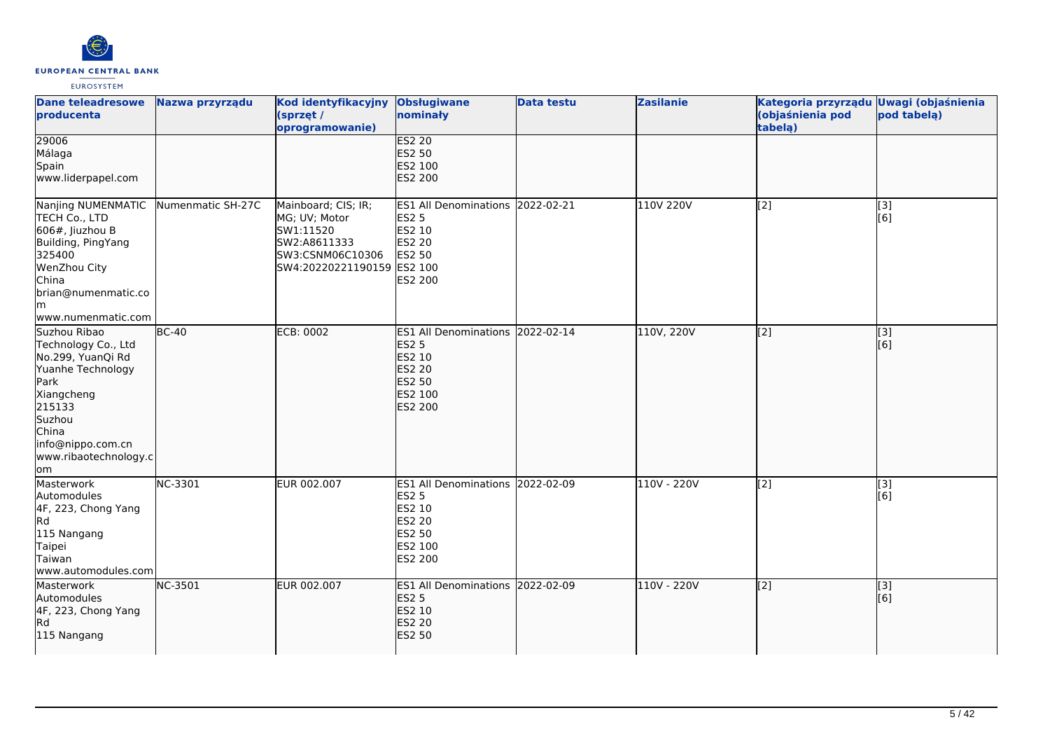

| <b>Dane teleadresowe</b><br>producenta                                                                                                                                                | Nazwa przyrządu   | Kod identyfikacyjny<br>(sprzęt /<br>oprogramowanie)                                                                 | <b>Obsługiwane</b><br>nominały                                                                              | <b>Data testu</b> | <b>Zasilanie</b> | Kategoria przyrządu Uwagi (objaśnienia<br>(objaśnienia pod<br>tabelą) | pod tabelą)             |
|---------------------------------------------------------------------------------------------------------------------------------------------------------------------------------------|-------------------|---------------------------------------------------------------------------------------------------------------------|-------------------------------------------------------------------------------------------------------------|-------------------|------------------|-----------------------------------------------------------------------|-------------------------|
| 29006<br>Málaga<br>Spain<br>www.liderpapel.com                                                                                                                                        |                   |                                                                                                                     | <b>ES2 20</b><br>ES2 50<br>ES2 100<br>ES2 200                                                               |                   |                  |                                                                       |                         |
| Nanjing NUMENMATIC<br>TECH Co., LTD<br>606#, Jiuzhou B<br>Building, PingYang<br>325400<br>WenZhou City<br>China<br>brian@numenmatic.co<br>lm.<br>www.numenmatic.com                   | Numenmatic SH-27C | Mainboard; CIS; IR;<br>MG; UV; Motor<br>SW1:11520<br>SW2:A8611333<br>SW3:CSNM06C10306<br>SW4:20220221190159 ES2 100 | ES1 All Denominations 2022-02-21<br><b>ES2 5</b><br>ES2 10<br><b>ES2 20</b><br>ES2 50<br>ES2 200            |                   | 110V 220V        | [2]                                                                   | [3]<br>[6]              |
| Suzhou Ribao<br>Technology Co., Ltd<br>No.299, YuanQi Rd<br>Yuanhe Technology<br>Park<br>Xiangcheng<br>215133<br>Suzhou<br>China<br>info@nippo.com.cn<br>www.ribaotechnology.c<br>lom | $BC-40$           | ECB: 0002                                                                                                           | ES1 All Denominations 2022-02-14<br><b>ES2 5</b><br>ES2 10<br><b>ES2 20</b><br>ES2 50<br>ES2 100<br>ES2 200 |                   | 110V, 220V       | $\left[2\right]$                                                      | [3]<br>[6]              |
| Masterwork<br>Automodules<br>4F, 223, Chong Yang<br>Rd<br>115 Nangang<br>Taipei<br>Taiwan<br>www.automodules.com                                                                      | NC-3301           | EUR 002.007                                                                                                         | ES1 All Denominations 2022-02-09<br><b>ES2 5</b><br>ES2 10<br>ES2 20<br>ES2 50<br>ES2 100<br>ES2 200        |                   | 110V - 220V      | [2]                                                                   | [3]<br>[6]              |
| Masterwork<br>Automodules<br>4F, 223, Chong Yang<br>Rd)<br>115 Nangang                                                                                                                | NC-3501           | EUR 002.007                                                                                                         | ES1 All Denominations 2022-02-09<br><b>ES2 5</b><br>ES2 10<br><b>ES2 20</b><br><b>ES2 50</b>                |                   | 110V - 220V      | $\sqrt{2}$                                                            | $\overline{[}3]$<br>[6] |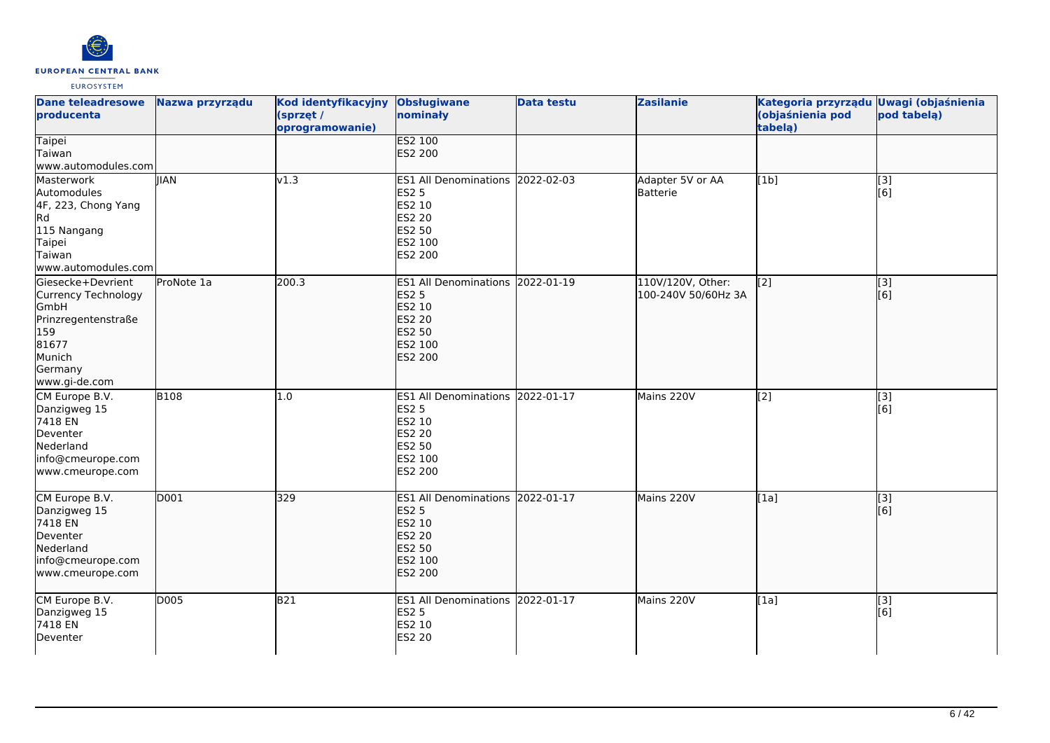

| <b>Dane teleadresowe</b><br>producenta                                                                                        | Nazwa przyrządu | Kod identyfikacyjny<br>(sprzęt /<br>oprogramowanie) | <b>Obsługiwane</b><br>nominały                                                                                     | <b>Data testu</b> | <b>Zasilanie</b>                         | Kategoria przyrządu Uwagi (objaśnienia<br>(objaśnienia pod<br>tabelą) | pod tabela)             |
|-------------------------------------------------------------------------------------------------------------------------------|-----------------|-----------------------------------------------------|--------------------------------------------------------------------------------------------------------------------|-------------------|------------------------------------------|-----------------------------------------------------------------------|-------------------------|
| <b>Taipei</b><br>Taiwan<br>www.automodules.com                                                                                |                 |                                                     | <b>ES2 100</b><br>ES2 200                                                                                          |                   |                                          |                                                                       |                         |
| Masterwork<br>Automodules<br>4F, 223, Chong Yang<br><b>Rd</b><br>115 Nangang<br>Taipei<br>Taiwan<br>www.automodules.com       | <b>IIAN</b>     | $\sqrt{1.3}$                                        | ES1 All Denominations 2022-02-03<br><b>ES2 5</b><br>ES2 10<br><b>ES2 20</b><br><b>ES2 50</b><br>ES2 100<br>ES2 200 |                   | Adapter 5V or AA<br>Batterie             | [1b]                                                                  | [3]<br>[6]              |
| Giesecke+Devrient<br>Currency Technology<br>GmbH<br>Prinzregentenstraße<br>159<br>81677<br>Munich<br>Germany<br>www.gi-de.com | ProNote 1a      | 200.3                                               | ES1 All Denominations 2022-01-19<br><b>ES2 5</b><br>ES2 10<br><b>ES2 20</b><br>ES2 50<br>ES2 100<br>ES2 200        |                   | 110V/120V, Other:<br>100-240V 50/60Hz 3A | $\overline{[2]}$                                                      | $\overline{[}3]$<br>[6] |
| CM Europe B.V.<br>Danzigweg 15<br>7418 EN<br>Deventer<br>Nederland<br>info@cmeurope.com<br>www.cmeurope.com                   | <b>B108</b>     | 1.0                                                 | ES1 All Denominations 2022-01-17<br><b>ES2 5</b><br>ES2 10<br><b>ES2 20</b><br>ES2 50<br>ES2 100<br>ES2 200        |                   | Mains 220V                               | [2]                                                                   | [3]<br>[6]              |
| CM Europe B.V.<br>Danzigweg 15<br>7418 EN<br>Deventer<br>Nederland<br>info@cmeurope.com<br>www.cmeurope.com                   | D001            | 329                                                 | ES1 All Denominations 2022-01-17<br><b>ES2 5</b><br>ES2 10<br><b>ES2 20</b><br><b>ES2 50</b><br>ES2 100<br>ES2 200 |                   | Mains 220V                               | [1a]                                                                  | [3]<br>[6]              |
| CM Europe B.V.<br>Danzigweg 15<br>7418 EN<br>Deventer                                                                         | D005            | <b>B21</b>                                          | ES1 All Denominations 2022-01-17<br><b>ES2 5</b><br>ES2 10<br><b>ES2 20</b>                                        |                   | Mains 220V                               | [1a]                                                                  | [3]<br>[6]              |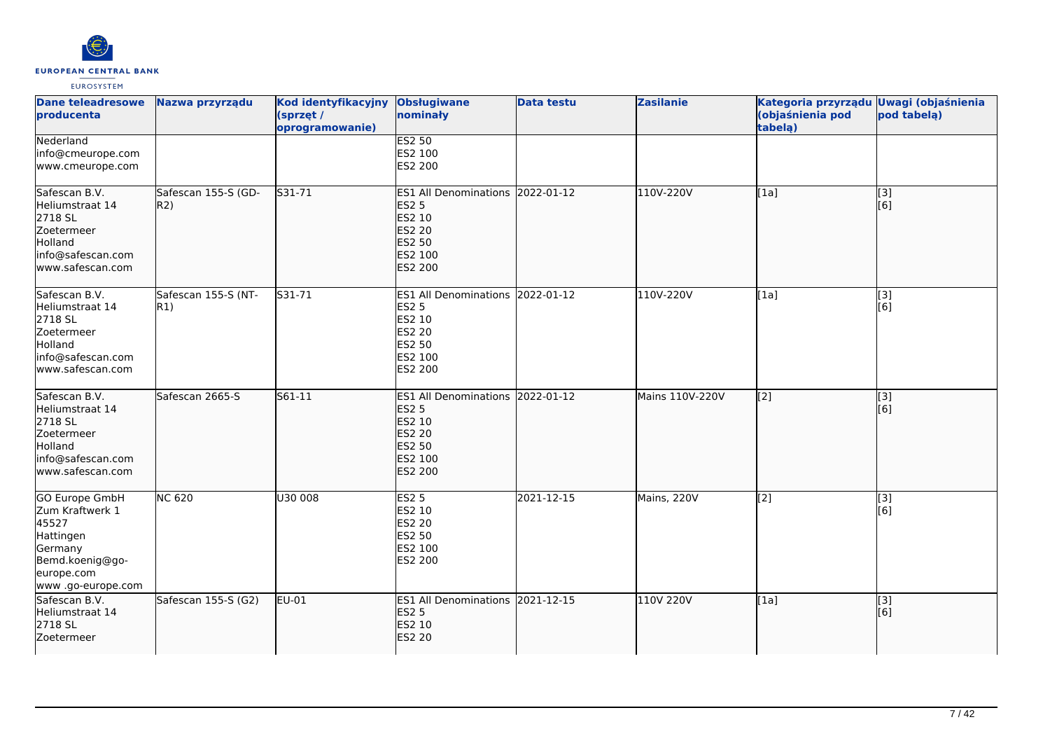

| <b>Dane teleadresowe</b><br><b>producenta</b>                                                                                    | Nazwa przyrządu             | Kod identyfikacyjny<br>(sprzęt /<br>oprogramowanie) | <b>Obsługiwane</b><br>nominały                                                                                     | <b>Data testu</b> | <b>Zasilanie</b> | Kategoria przyrządu Uwagi (objaśnienia<br>(objaśnienia pod<br>tabela) | pod tabelą)                            |
|----------------------------------------------------------------------------------------------------------------------------------|-----------------------------|-----------------------------------------------------|--------------------------------------------------------------------------------------------------------------------|-------------------|------------------|-----------------------------------------------------------------------|----------------------------------------|
| Nederland<br>info@cmeurope.com<br>www.cmeurope.com                                                                               |                             |                                                     | <b>ES2 50</b><br>ES2 100<br>ES2 200                                                                                |                   |                  |                                                                       |                                        |
| Safescan B.V.<br>Heliumstraat 14<br>2718 SL<br>Zoetermeer<br>Holland<br>info@safescan.com<br>www.safescan.com                    | Safescan 155-S (GD-<br>R2)  | $531 - 71$                                          | ES1 All Denominations 2022-01-12<br><b>ES2 5</b><br>ES2 10<br><b>ES2 20</b><br>ES2 50<br>ES2 100<br>ES2 200        |                   | 110V-220V        | [1a]                                                                  | $\overline{[}3]$<br>[6]                |
| Safescan B.V.<br>Heliumstraat 14<br>2718 SL<br>Zoetermeer<br>Holland<br>info@safescan.com<br>www.safescan.com                    | Safescan 155-S (NT-<br> R1) | S31-71                                              | ES1 All Denominations 2022-01-12<br><b>ES2 5</b><br>ES2 10<br>ES2 20<br>ES2 50<br>ES2 100<br>ES2 200               |                   | 110V-220V        | [1a]                                                                  | [3]<br>[6]                             |
| Safescan B.V.<br>Heliumstraat 14<br>2718 SL<br>Zoetermeer<br>Holland<br>info@safescan.com<br>www.safescan.com                    | Safescan 2665-S             | S61-11                                              | ES1 All Denominations 2022-01-12<br><b>ES2 5</b><br>ES2 10<br><b>ES2 20</b><br>ES2 50<br>ES2 100<br><b>ES2 200</b> |                   | Mains 110V-220V  | $\overline{[2]}$                                                      | $\begin{bmatrix} 3 \\ 6 \end{bmatrix}$ |
| <b>GO Europe GmbH</b><br>Zum Kraftwerk 1<br>45527<br>Hattingen<br>Germany<br>Bemd.koenig@go-<br>europe.com<br>www .go-europe.com | <b>NC 620</b>               | U30 008                                             | <b>ES2 5</b><br>ES2 10<br><b>ES2 20</b><br>ES2 50<br>ES2 100<br>ES2 200                                            | 2021-12-15        | Mains, 220V      | $\overline{[2]}$                                                      | [3]<br>[6]                             |
| Safescan B.V.<br>Heliumstraat 14<br>2718 SL<br>Zoetermeer                                                                        | Safescan 155-S (G2)         | EU-01                                               | ES1 All Denominations 2021-12-15<br><b>ES2 5</b><br>ES2 10<br><b>ES2 20</b>                                        |                   | 110V 220V        | [1a]                                                                  | [3]<br>[6]                             |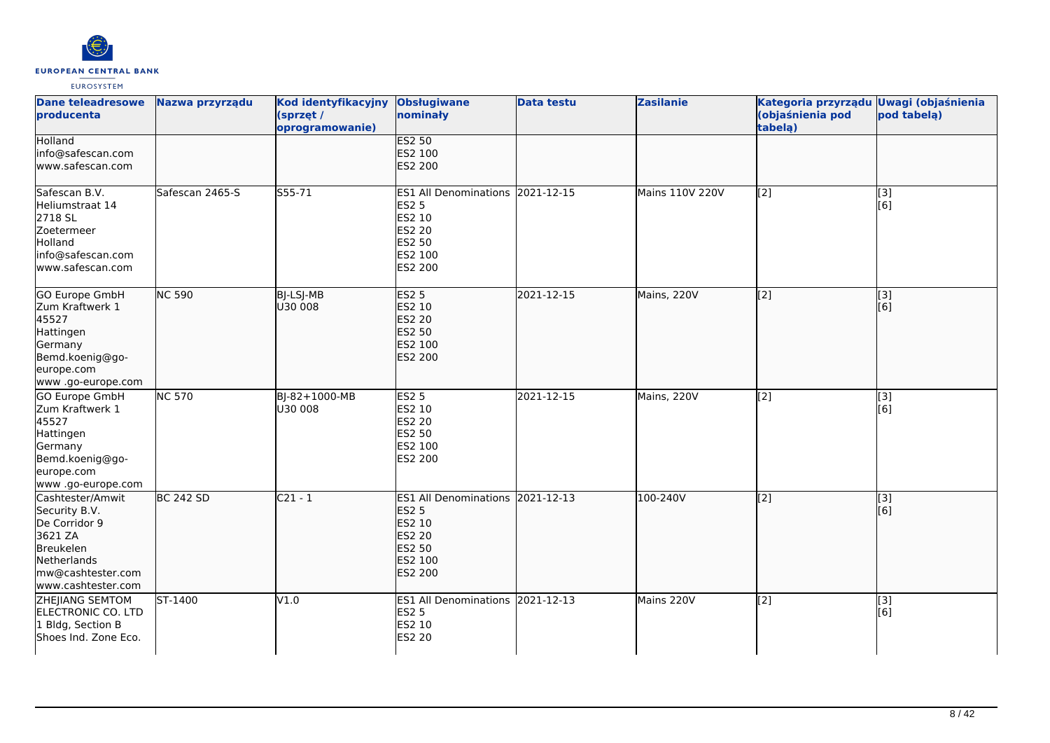

| <b>Dane teleadresowe</b><br>producenta                                                                                               | Nazwa przyrządu  | Kod identyfikacyjny<br>(sprzęt /<br>oprogramowanie) | <b>Obsługiwane</b><br>nominały                                                                                     | <b>Data testu</b> | <b>Zasilanie</b>       | Kategoria przyrządu Uwagi (objaśnienia<br>(objaśnienia pod<br>tabelą) | pod tabelą)             |
|--------------------------------------------------------------------------------------------------------------------------------------|------------------|-----------------------------------------------------|--------------------------------------------------------------------------------------------------------------------|-------------------|------------------------|-----------------------------------------------------------------------|-------------------------|
| <b>Holland</b><br>info@safescan.com<br>www.safescan.com                                                                              |                  |                                                     | <b>ES2 50</b><br>ES2 100<br>ES2 200                                                                                |                   |                        |                                                                       |                         |
| Safescan B.V.<br>Heliumstraat 14<br>2718 SL<br>Zoetermeer<br>Holland<br>info@safescan.com<br>www.safescan.com                        | Safescan 2465-S  | S55-71                                              | ES1 All Denominations 2021-12-15<br><b>ES2 5</b><br>ES2 10<br>ES2 20<br>ES2 50<br>ES2 100<br>ES2 200               |                   | <b>Mains 110V 220V</b> | [2]                                                                   | [3]<br>[6]              |
| GO Europe GmbH<br>Zum Kraftwerk 1<br>45527<br>Hattingen<br>Germany<br>Bemd.koenig@go-<br>europe.com<br>www .go-europe.com            | <b>NC 590</b>    | BJ-LSJ-MB<br>U30 008                                | <b>ES2 5</b><br>ES2 10<br><b>ES2 20</b><br>ES2 50<br>ES2 100<br><b>ES2 200</b>                                     | 2021-12-15        | Mains, 220V            | [2]                                                                   | [3]<br>[6]              |
| GO Europe GmbH<br>Zum Kraftwerk 1<br>45527<br>Hattingen<br>Germany<br>Bemd.koenig@go-<br>europe.com<br>www.go-europe.com             | <b>NC 570</b>    | BJ-82+1000-MB<br>U30 008                            | <b>ES2 5</b><br>ES2 10<br>ES2 20<br>ES2 50<br>ES2 100<br>ES2 200                                                   | 2021-12-15        | Mains, 220V            | $\left[2\right]$                                                      | [3]<br>[6]              |
| Cashtester/Amwit<br>Security B.V.<br>De Corridor 9<br>3621 ZA<br>Breukelen<br>Netherlands<br>mw@cashtester.com<br>www.cashtester.com | <b>BC 242 SD</b> | $C21 - 1$                                           | ES1 All Denominations 2021-12-13<br><b>ES2 5</b><br>ES2 10<br><b>ES2 20</b><br>ES2 50<br>ES2 100<br><b>ES2 200</b> |                   | 100-240V               | $\overline{[2]}$                                                      | $\overline{[3]}$<br>[6] |
| ZHEJIANG SEMTOM<br>ELECTRONIC CO. LTD<br>1 Bldg, Section B<br>Shoes Ind. Zone Eco.                                                   | ST-1400          | VI.0                                                | ES1 All Denominations 2021-12-13<br><b>ES2 5</b><br>ES2 10<br><b>ES2 20</b>                                        |                   | Mains 220V             | $\overline{[2]}$                                                      | [3]<br>[6]              |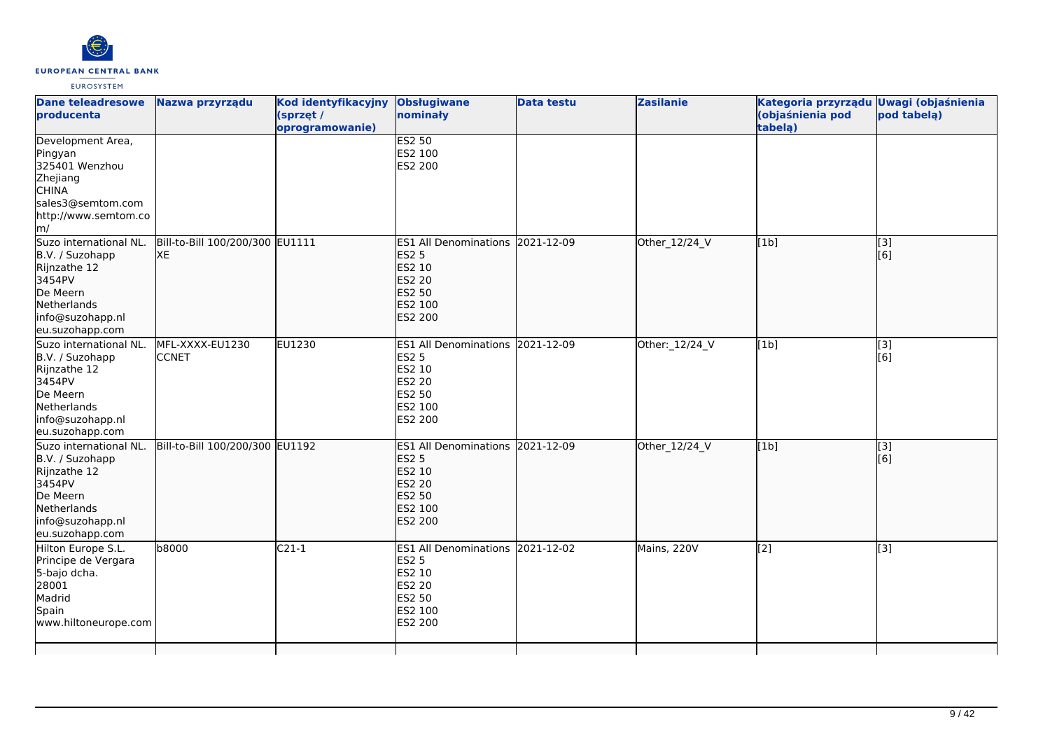

| <b>Dane teleadresowe</b><br>producenta                                                                                                              | Nazwa przyrządu                       | Kod identyfikacyjny<br>(sprzęt /<br>oprogramowanie) | <b>Obsługiwane</b><br>nominały                                                                                            | <b>Data testu</b> | <b>Zasilanie</b> | Kategoria przyrządu<br>(objaśnienia pod<br>tabela) | <b>Uwagi (objaśnienia</b><br>pod tabela) |
|-----------------------------------------------------------------------------------------------------------------------------------------------------|---------------------------------------|-----------------------------------------------------|---------------------------------------------------------------------------------------------------------------------------|-------------------|------------------|----------------------------------------------------|------------------------------------------|
| Development Area,<br>Pingyan<br>325401 Wenzhou<br>Zhejiang<br><b>CHINA</b><br>sales3@semtom.com<br>http://www.semtom.co<br>$\mathsf{Im}/\mathsf{I}$ |                                       |                                                     | <b>ES2 50</b><br>ES2 100<br>ES2 200                                                                                       |                   |                  |                                                    |                                          |
| Suzo international NL.<br>B.V. / Suzohapp<br>Rijnzathe 12<br>3454PV<br>De Meern<br>Netherlands<br>info@suzohapp.nl<br>eu.suzohapp.com               | Bill-to-Bill 100/200/300 EU1111<br>XE |                                                     | ES1 All Denominations 2021-12-09<br><b>ES2 5</b><br><b>ES2 10</b><br><b>ES2 20</b><br>ES2 50<br>ES2 100<br><b>ES2 200</b> |                   | Other_12/24_V    | [1b]                                               | [3]<br>[6]                               |
| Suzo international NL.<br>B.V. / Suzohapp<br>Rijnzathe 12<br>3454PV<br>De Meern<br>Netherlands<br>info@suzohapp.nl<br>eu.suzohapp.com               | MFL-XXXX-EU1230<br><b>ICCNET</b>      | EU1230                                              | ES1 All Denominations 2021-12-09<br><b>ES2 5</b><br>ES2 10<br><b>ES2 20</b><br>ES2 50<br>ES2 100<br>ES2 200               |                   | Other: 12/24 V   | [1b]                                               | [3]<br>[6]                               |
| Suzo international NL.<br>B.V. / Suzohapp<br>Rijnzathe 12<br>3454PV<br>De Meern<br>Netherlands<br>info@suzohapp.nl<br>eu.suzohapp.com               | Bill-to-Bill 100/200/300 EU1192       |                                                     | ES1 All Denominations 2021-12-09<br><b>ES2 5</b><br>ES2 10<br>ES2 20<br><b>ES2 50</b><br>ES2 100<br><b>ES2 200</b>        |                   | Other_12/24_V    | [1b]                                               | $\overline{[}$ [3]<br>[6]                |
| Hilton Europe S.L.<br>Principe de Vergara<br>5-bajo dcha.<br>28001<br>Madrid<br>Spain<br>www.hiltoneurope.com                                       | b8000                                 | $C21-1$                                             | ES1 All Denominations 2021-12-02<br><b>ES2 5</b><br>ES2 10<br>ES2 20<br>ES2 50<br>ES2 100<br>ES2 200                      |                   | Mains, 220V      | [2]                                                | $\overline{[3]}$                         |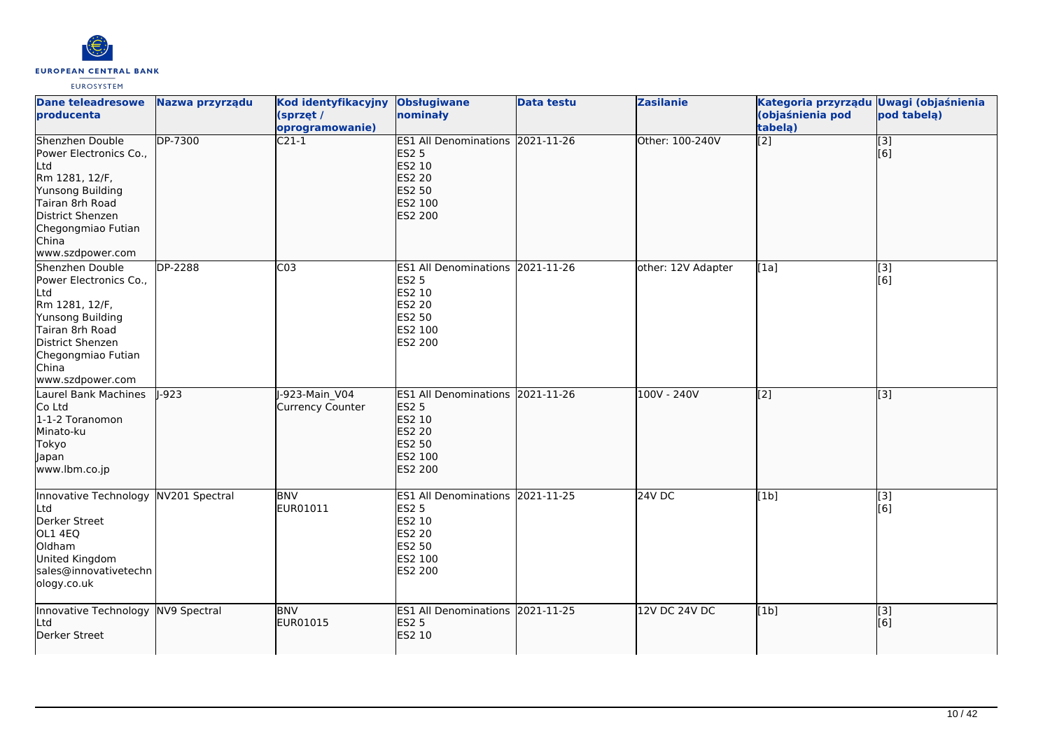

| <b>Dane teleadresowe</b><br>producenta                                                                                                                                           | Nazwa przyrządu | Kod identyfikacyjny Obsługiwane<br>(sprzęt /<br>oprogramowanie) | nominały                                                                                                           | <b>Data testu</b> | <b>Zasilanie</b>   | Kategoria przyrządu Uwagi (objaśnienia<br>(objaśnienia pod<br>tabelą) | pod tabela)             |
|----------------------------------------------------------------------------------------------------------------------------------------------------------------------------------|-----------------|-----------------------------------------------------------------|--------------------------------------------------------------------------------------------------------------------|-------------------|--------------------|-----------------------------------------------------------------------|-------------------------|
| Shenzhen Double<br>Power Electronics Co.,<br>Ltd<br>Rm 1281, 12/F,<br>Yunsong Building<br>Tairan 8rh Road<br>District Shenzen<br>Chegongmiao Futian<br>China<br>www.szdpower.com | <b>DP-7300</b>  | $C21-1$                                                         | ES1 All Denominations 2021-11-26<br><b>ES2 5</b><br>ES2 10<br><b>ES2 20</b><br>ES2 50<br>ES2 100<br><b>ES2 200</b> |                   | Other: 100-240V    | $\overline{[2]}$                                                      | $\overline{[}3]$<br>[6] |
| Shenzhen Double<br>Power Electronics Co.,<br>Ltd<br>Rm 1281, 12/F,<br>Yunsong Building<br>Tairan 8rh Road<br>District Shenzen<br>Chegongmiao Futian<br>China<br>www.szdpower.com | <b>DP-2288</b>  | CO <sub>3</sub>                                                 | ES1 All Denominations 2021-11-26<br><b>ES2 5</b><br>ES2 10<br>ES2 20<br>ES2 50<br>ES2 100<br>ES2 200               |                   | other: 12V Adapter | [1a]                                                                  | $\overline{[3]}$<br>[6] |
| Laurel Bank Machines<br>Co Ltd<br>1-1-2 Toranomon<br>Minato-ku<br>Tokyo<br>Japan<br>www.lbm.co.jp                                                                                | $1 - 923$       | -923-Main V04<br>Currency Counter                               | ES1 All Denominations 2021-11-26<br><b>ES2 5</b><br>ES2 10<br>ES2 20<br>ES2 50<br>ES2 100<br><b>ES2 200</b>        |                   | $100V - 240V$      | $\overline{[2]}$                                                      | $\overline{[3]}$        |
| Innovative Technology NV201 Spectral<br>Ltd<br>Derker Street<br>OL1 4EQ<br>Oldham<br>United Kingdom<br>sales@innovativetechn<br>ology.co.uk                                      |                 | <b>BNV</b><br>EUR01011                                          | ES1 All Denominations 2021-11-25<br><b>ES2 5</b><br>ES2 10<br><b>ES2 20</b><br>ES2 50<br>ES2 100<br>ES2 200        |                   | <b>24V DC</b>      | [1b]                                                                  | $\overline{[3]}$<br>[6] |
| Innovative Technology NV9 Spectral<br>Ltd<br>Derker Street                                                                                                                       |                 | <b>BNV</b><br>EUR01015                                          | ES1 All Denominations 2021-11-25<br><b>ES2 5</b><br>ES2 10                                                         |                   | 12V DC 24V DC      | [1b]                                                                  | $\overline{[}3]$<br>[6] |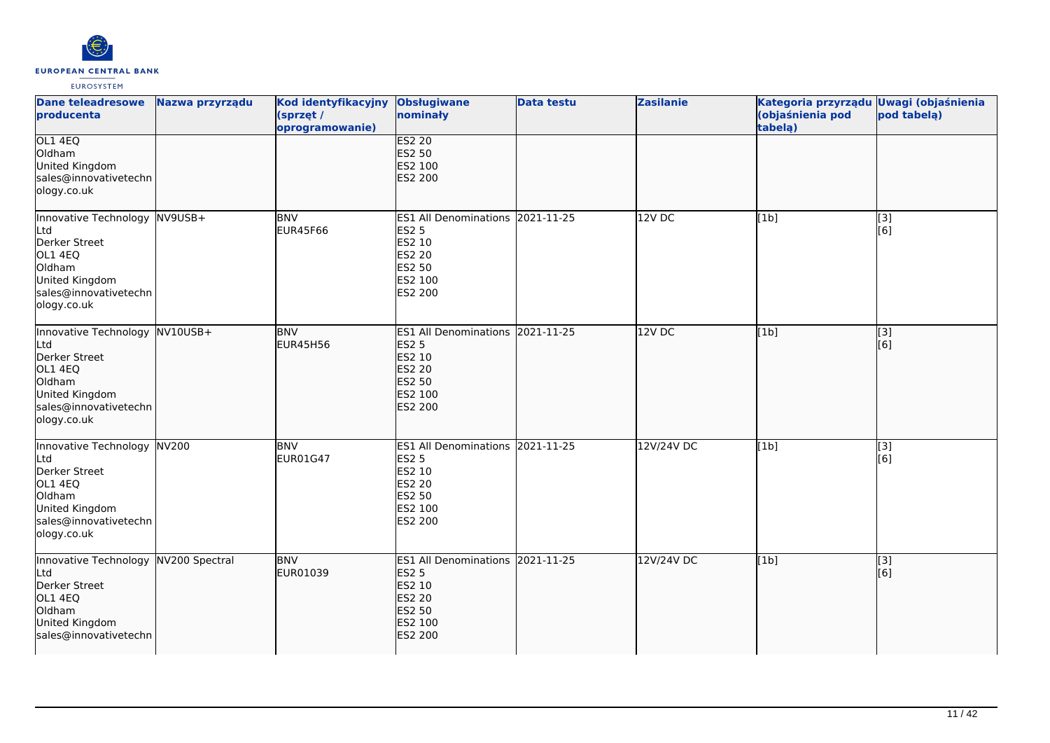

| <b>Dane teleadresowe</b><br>producenta                                                                                                | Nazwa przyrządu | Kod identyfikacyjny<br>(sprzęt /<br>oprogramowanie) | <b>Obsługiwane</b><br>nominały                                                                                 | <b>Data testu</b> | <b>Zasilanie</b> | Kategoria przyrządu Uwagi (objaśnienia<br>(objaśnienia pod<br>tabela) | pod tabelą)             |
|---------------------------------------------------------------------------------------------------------------------------------------|-----------------|-----------------------------------------------------|----------------------------------------------------------------------------------------------------------------|-------------------|------------------|-----------------------------------------------------------------------|-------------------------|
| OL1 4EQ<br>Oldham<br>United Kingdom<br>sales@innovativetechn<br>ology.co.uk                                                           |                 |                                                     | <b>ES2 20</b><br>ES2 50<br>ES2 100<br>ES2 200                                                                  |                   |                  |                                                                       |                         |
| Innovative Technology NV9USB+<br>Ltd<br>Derker Street<br>OL1 4EQ<br>Oldham<br>United Kingdom<br>sales@innovativetechn<br>ology.co.uk  |                 | <b>BNV</b><br><b>EUR45F66</b>                       | ES1 All Denominations 2021-11-25<br><b>ES2 5</b><br>ES2 10<br>ES2 20<br>ES2 50<br>ES2 100<br>ES2 200           |                   | $12V$ DC         | [1b]                                                                  | [3]<br>[6]              |
| Innovative Technology NV10USB+<br>_td<br>Derker Street<br>OL1 4EQ<br>Oldham<br>United Kingdom<br>sales@innovativetechn<br>ology.co.uk |                 | <b>BNV</b><br>EUR45H56                              | ES1 All Denominations 2021-11-25<br><b>ES2 5</b><br>ES2 10<br><b>ES2 20</b><br>ES2 50<br>ES2 100<br>ES2 200    |                   | $12V$ DC         | [1b]                                                                  | $\overline{[3]}$<br>[6] |
| Innovative Technology NV200<br>Ltd<br>Derker Street<br>OL1 4EQ<br>Oldham<br>United Kingdom<br>sales@innovativetechn<br>ology.co.uk    |                 | <b>BNV</b><br>EUR01G47                              | ES1 All Denominations 2021-11-25<br><b>ES2 5</b><br>ES2 10<br><b>ES2 20</b><br>ES2 50<br>ES2 100<br>ES2 200    |                   | 12V/24V DC       | [1b]                                                                  | $\overline{[}3]$<br>[6] |
| Innovative Technology NV200 Spectral<br>Ltd<br>Derker Street<br>OL1 4EQ<br>Oldham<br>United Kingdom<br>sales@innovativetechn          |                 | <b>BNV</b><br>EUR01039                              | <b>ES1 All Denominations</b><br><b>ES2 5</b><br>ES2 10<br><b>ES2 20</b><br>ES2 50<br>ES2 100<br><b>ES2 200</b> | 2021-11-25        | 12V/24V DC       | [1b]                                                                  | [3]<br>[6]              |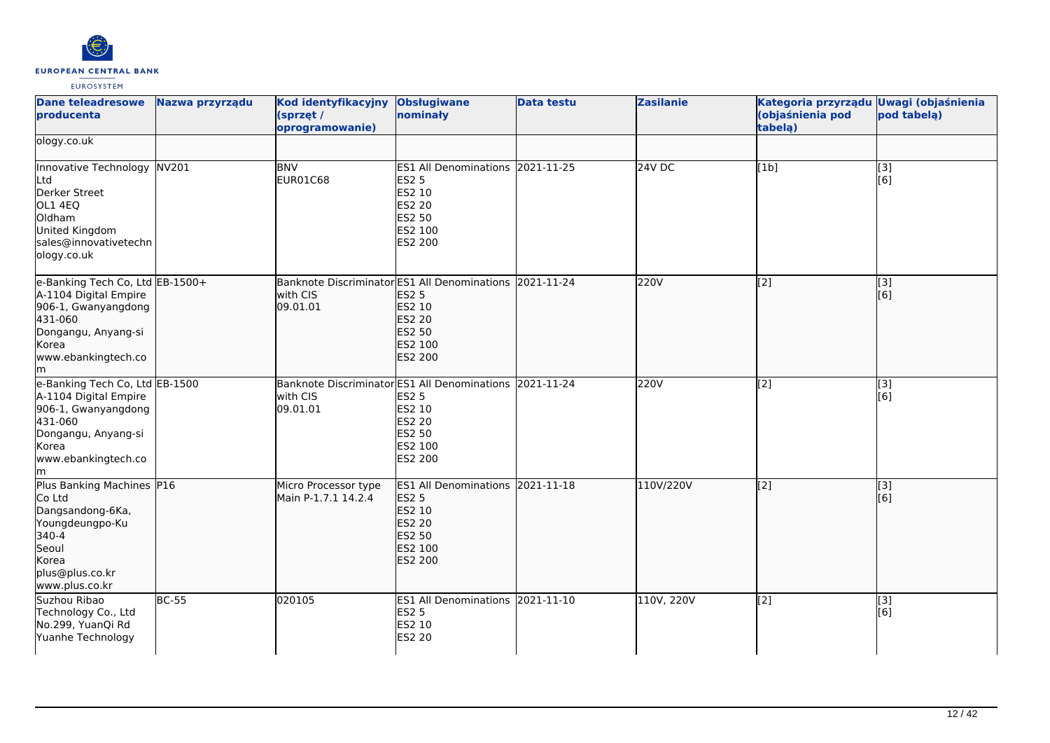

| <b>Dane teleadresowe</b><br>producenta                                                                                                                  | Nazwa przyrządu | Kod identyfikacyjny<br>(sprzęt /<br>oprogramowanie) | <b>Obsługiwane</b><br>nominały                                                                                              | <b>Data testu</b> | <b>Zasilanie</b> | Kategoria przyrządu Uwagi (objaśnienia<br>(objaśnienia pod<br>tabela) | pod tabelą)                                               |
|---------------------------------------------------------------------------------------------------------------------------------------------------------|-----------------|-----------------------------------------------------|-----------------------------------------------------------------------------------------------------------------------------|-------------------|------------------|-----------------------------------------------------------------------|-----------------------------------------------------------|
| ology.co.uk                                                                                                                                             |                 |                                                     |                                                                                                                             |                   |                  |                                                                       |                                                           |
| Innovative Technology NV201<br>Ltd<br>Derker Street<br>OL1 4EQ<br>Oldham<br>United Kingdom<br>sales@innovativetechn<br>ology.co.uk                      |                 | <b>BNV</b><br>EUR01C68                              | ES1 All Denominations 2021-11-25<br><b>ES2 5</b><br>ES2 10<br>ES2 20<br>ES2 50<br>ES2 100<br>ES2 200                        |                   | $24V$ DC         | [1b]                                                                  | [3]<br>[6]                                                |
| e-Banking Tech Co, Ltd EB-1500+<br>A-1104 Digital Empire<br>906-1, Gwanyangdong<br>431-060<br>Dongangu, Anyang-si<br>Korea<br>www.ebankingtech.co<br>lm |                 | with CIS<br>09.01.01                                | Banknote Discriminator ES1 All Denominations 2021-11-24<br><b>ES2 5</b><br>ES2 10<br>ES2 20<br>ES2 50<br>ES2 100<br>ES2 200 |                   | 220V             | $\overline{[2]}$                                                      | [3]<br>[6]                                                |
| e-Banking Tech Co, Ltd EB-1500<br>A-1104 Digital Empire<br>906-1, Gwanyangdong<br>431-060<br>Dongangu, Anyang-si<br>Korea<br>www.ebankingtech.co<br>lm. |                 | with CIS<br>09.01.01                                | Banknote Discriminator ES1 All Denominations 2021-11-24<br><b>ES2 5</b><br>ES2 10<br>ES2 20<br>ES2 50<br>ES2 100<br>ES2 200 |                   | 220V             | $\overline{[2]}$                                                      | [3]<br>[6]                                                |
| Plus Banking Machines P16<br>Co Ltd<br>Dangsandong-6Ka,<br>Youngdeungpo-Ku<br>340-4<br>Seoul<br>Korea<br>plus@plus.co.kr<br>www.plus.co.kr              |                 | Micro Processor type<br>Main P-1.7.1 14.2.4         | ES1 All Denominations 2021-11-18<br><b>ES2 5</b><br>ES2 10<br><b>ES2 20</b><br>ES2 50<br>ES2 100<br>ES2 200                 |                   | 110V/220V        | [2]                                                                   | $\left[ \begin{matrix} 1 & 3 \end{matrix} \right]$<br>[6] |
| Suzhou Ribao<br>Technology Co., Ltd<br>No.299, YuanQi Rd<br>Yuanhe Technology                                                                           | <b>BC-55</b>    | 020105                                              | ES1 All Denominations 2021-11-10<br><b>ES2 5</b><br>ES2 10<br>ES2 20                                                        |                   | 110V, 220V       | [2]                                                                   | [3]<br>[6]                                                |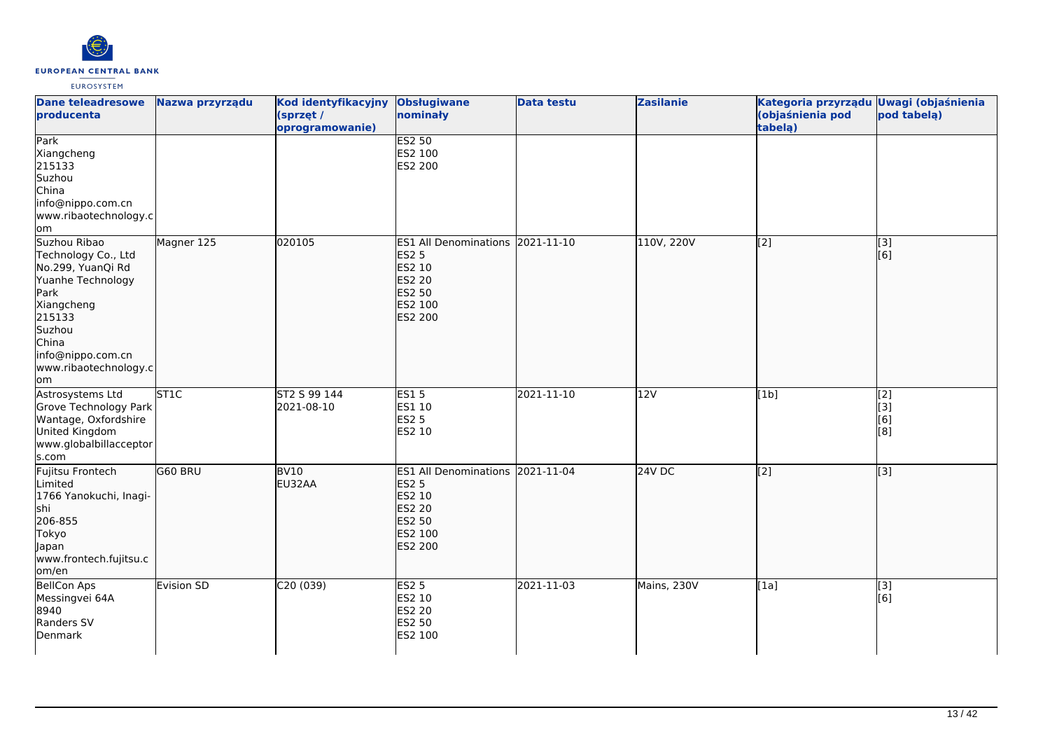

| <b>Dane teleadresowe</b><br>producenta                                                                                                                                                | Nazwa przyrządu  | <b>Kod identyfikacyjny</b><br>(sprzęt /<br>oprogramowanie) | <b>Obsługiwane</b><br>nominały                                                                                 | <b>Data testu</b> | <b>Zasilanie</b> | Kategoria przyrządu Uwagi (objaśnienia<br>(objaśnienia pod<br>tabela) | pod tabelą)                           |
|---------------------------------------------------------------------------------------------------------------------------------------------------------------------------------------|------------------|------------------------------------------------------------|----------------------------------------------------------------------------------------------------------------|-------------------|------------------|-----------------------------------------------------------------------|---------------------------------------|
| Park<br>Xiangcheng<br>215133<br>Suzhou<br>China<br>info@nippo.com.cn<br>www.ribaotechnology.c<br><b>lom</b>                                                                           |                  |                                                            | <b>ES2 50</b><br>ES2 100<br>ES2 200                                                                            |                   |                  |                                                                       |                                       |
| Suzhou Ribao<br>Technology Co., Ltd<br>No.299, YuanQi Rd<br>Yuanhe Technology<br>Park<br>Xiangcheng<br>215133<br>Suzhou<br>China<br>info@nippo.com.cn<br>www.ribaotechnology.c<br>lom | Magner 125       | 020105                                                     | <b>ES1 All Denominations</b><br><b>ES2 5</b><br>ES2 10<br><b>ES2 20</b><br>ES2 50<br>ES2 100<br>ES2 200        | 2021-11-10        | 110V, 220V       | [2]                                                                   | $\overline{[3]}$<br>[6]               |
| Astrosystems Ltd<br>Grove Technology Park<br>Wantage, Oxfordshire<br>United Kingdom<br>www.globalbillacceptor<br>s.com                                                                | ST <sub>1C</sub> | ST2 S 99 144<br>2021-08-10                                 | <b>ES15</b><br>ES1 10<br><b>ES2 5</b><br>ES2 10                                                                | 2021-11-10        | 12V              | [1b]                                                                  | $\overline{[2]}$<br>[3]<br>[6]<br>[8] |
| Fujitsu Frontech<br>Limited<br>1766 Yanokuchi, Inagi-<br>shi<br>206-855<br>Tokyo<br>Japan<br>www.frontech.fujitsu.c<br>om/en                                                          | G60 BRU          | <b>BV10</b><br>EU32AA                                      | <b>ES1 All Denominations</b><br><b>ES2 5</b><br>ES2 10<br>ES2 20<br><b>ES2 50</b><br>ES2 100<br><b>ES2 200</b> | 2021-11-04        | <b>24V DC</b>    | [[2]                                                                  | $\overline{[}3]$                      |
| <b>BellCon Aps</b><br>Messingvei 64A<br>8940<br>Randers SV<br>Denmark                                                                                                                 | Evision SD       | C20(039)                                                   | <b>ES2 5</b><br>ES2 10<br>ES2 20<br>ES2 50<br>ES2 100                                                          | 2021-11-03        | Mains, 230V      | [1a]                                                                  | $\overline{[3]}$<br>[6]               |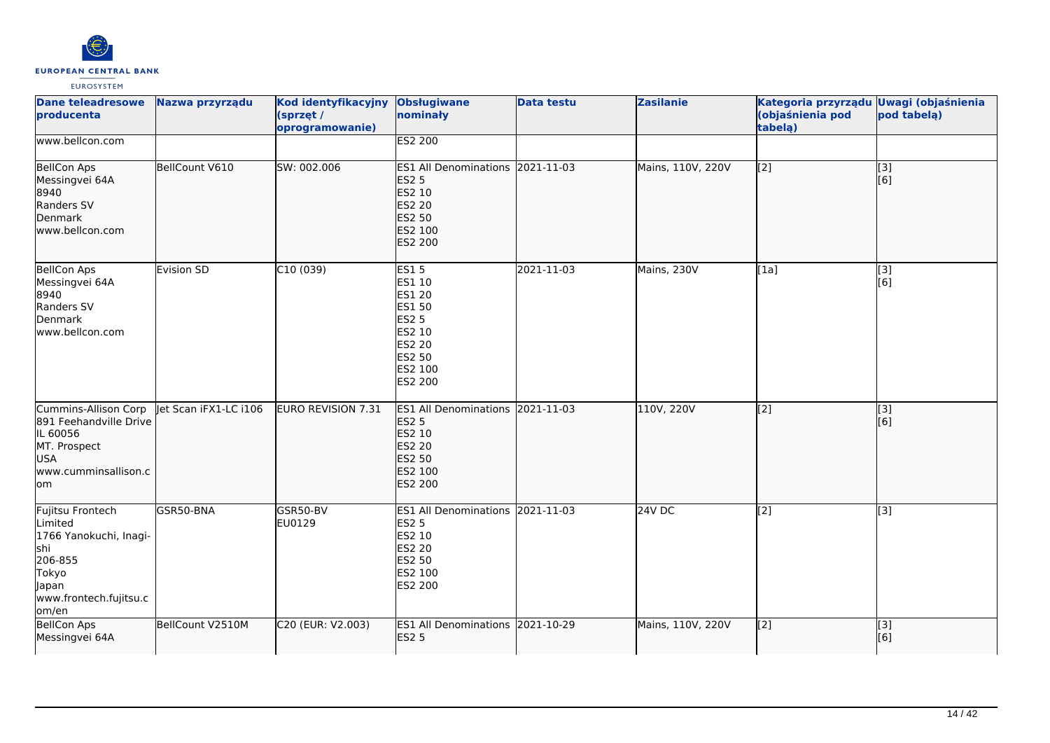

| <b>Dane teleadresowe</b><br>producenta                                                                                       | Nazwa przyrządu       | Kod identyfikacyjny<br>(sprzęt /<br>oprogramowanie) | <b>Obsługiwane</b><br>nominały                                                                                     | <b>Data testu</b> | <b>Zasilanie</b>  | Kategoria przyrządu<br>(objaśnienia pod<br>tabela) | <b>Uwagi (objaśnienia</b><br>pod tabelą) |
|------------------------------------------------------------------------------------------------------------------------------|-----------------------|-----------------------------------------------------|--------------------------------------------------------------------------------------------------------------------|-------------------|-------------------|----------------------------------------------------|------------------------------------------|
| www.bellcon.com                                                                                                              |                       |                                                     | <b>ES2 200</b>                                                                                                     |                   |                   |                                                    |                                          |
| BellCon Aps<br>Messingvei 64A<br>8940<br>Randers SV<br>Denmark<br>www.bellcon.com                                            | BellCount V610        | SW: 002.006                                         | ES1 All Denominations 2021-11-03<br><b>ES2 5</b><br>ES2 10<br>ES2 20<br>ES2 50<br>ES2 100<br>ES2 200               |                   | Mains, 110V, 220V | [2]                                                | [3]<br>[6]                               |
| <b>BellCon Aps</b><br>Messingvei 64A<br>8940<br>Randers SV<br>Denmark<br>www.bellcon.com                                     | Evision SD            | C10(039)                                            | <b>ES15</b><br>ES1 10<br>ES1 20<br>ES1 50<br><b>ES2 5</b><br>ES2 10<br>ES2 20<br>ES2 50<br>ES2 100<br>ES2 200      | 2021-11-03        | Mains, 230V       | [1a]                                               | $\overline{[3]}$<br>[6]                  |
| Cummins-Allison Corp<br>891 Feehandville Drive<br>IL 60056<br>MT. Prospect<br><b>USA</b><br>www.cumminsallison.c<br>lom      | let Scan iFX1-LC i106 | EURO REVISION 7.31                                  | ES1 All Denominations 2021-11-03<br><b>ES2 5</b><br>ES2 10<br><b>ES2 20</b><br>ES2 50<br>ES2 100<br><b>ES2 200</b> |                   | 110V, 220V        | $\left[2\right]$                                   | $\overline{[}3]$<br>[6]                  |
| Fujitsu Frontech<br>Limited<br>1766 Yanokuchi, Inagi-<br>shi<br>206-855<br>Tokyo<br>Japan<br>www.frontech.fujitsu.c<br>om/en | GSR50-BNA             | GSR50-BV<br>EU0129                                  | ES1 All Denominations 2021-11-03<br><b>ES2 5</b><br>ES2 10<br>ES2 20<br>ES2 50<br>ES2 100<br>ES2 200               |                   | <b>24V DC</b>     | [2]                                                | [3]                                      |
| <b>BellCon Aps</b><br>Messingvei 64A                                                                                         | BellCount V2510M      | C20 (EUR: V2.003)                                   | ES1 All Denominations 2021-10-29<br><b>ES2 5</b>                                                                   |                   | Mains, 110V, 220V | $\left[2\right]$                                   | $\sqrt{3}$<br>[6]                        |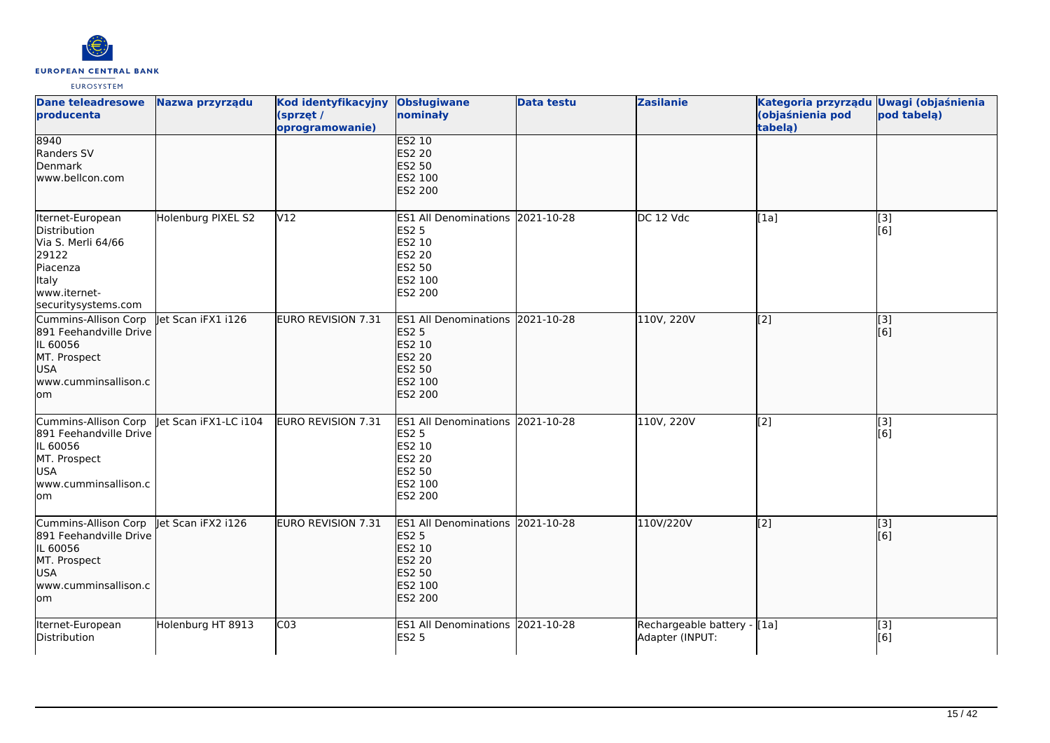

| <b>Dane teleadresowe</b><br>producenta                                                                                               | Nazwa przyrządu       | Kod identyfikacyjny<br>(sprzęt /<br>oprogramowanie) | <b>Obsługiwane</b><br>nominały                                                                                        | <b>Data testu</b> | <b>Zasilanie</b>                               | Kategoria przyrządu Uwagi (objaśnienia<br>(objaśnienia pod<br>tabelą) | pod tabela)  |
|--------------------------------------------------------------------------------------------------------------------------------------|-----------------------|-----------------------------------------------------|-----------------------------------------------------------------------------------------------------------------------|-------------------|------------------------------------------------|-----------------------------------------------------------------------|--------------|
| 8940<br>Randers SV<br>Denmark<br>www.bellcon.com                                                                                     |                       |                                                     | ES2 10<br><b>ES2 20</b><br>ES2 50<br>ES2 100<br><b>ES2 200</b>                                                        |                   |                                                |                                                                       |              |
| Iternet-European<br>Distribution<br>Via S. Merli 64/66<br>29122<br>Piacenza<br>Italy<br>www.iternet-<br>securitysystems.com          | Holenburg PIXEL S2    | V <sub>12</sub>                                     | ES1 All Denominations 2021-10-28<br><b>ES2 5</b><br>ES2 10<br><b>ES2 20</b><br><b>ES2 50</b><br>ES2 100<br>ES2 200    |                   | DC 12 Vdc                                      | [1a]                                                                  | [3]<br>[6]   |
| Cummins-Allison Corp<br>891 Feehandville Drive<br>IL 60056<br>MT. Prospect<br>USA<br>www.cumminsallison.c<br>lom                     | let Scan iFX1 i126    | EURO REVISION 7.31                                  | <b>ES1 All Denominations</b><br><b>ES2 5</b><br>ES2 10<br><b>ES2 20</b><br>ES2 50<br>ES2 100<br><b>ES2 200</b>        | 2021-10-28        | 110V, 220V                                     | [2]                                                                   | [3]<br>[6]   |
| Cummins-Allison Corp<br>891 Feehandville Drive<br>IL 60056<br>MT. Prospect<br><b>USA</b><br>www.cumminsallison.c<br>lom              | let Scan iFX1-LC i104 | EURO REVISION 7.31                                  | ES1 All Denominations 2021-10-28<br><b>ES2 5</b><br><b>ES2 10</b><br><b>ES2 20</b><br>ES2 50<br>ES2 100<br>ES2 200    |                   | 110V, 220V                                     | [2]                                                                   | $[3]$<br>[6] |
| Cummins-Allison Corp   et Scan iFX2 i126<br>891 Feehandville Drive<br>IL 60056<br>MT. Prospect<br>USA<br>www.cumminsallison.c<br>lom |                       | EURO REVISION 7.31                                  | <b>ES1 All Denominations</b><br><b>ES2 5</b><br><b>ES2 10</b><br><b>ES2 20</b><br><b>ES2 50</b><br>ES2 100<br>ES2 200 | 2021-10-28        | 110V/220V                                      | [2]                                                                   | [3]<br>[6]   |
| Iternet-European<br>Distribution                                                                                                     | Holenburg HT 8913     | C <sub>03</sub>                                     | ES1 All Denominations 2021-10-28<br><b>ES2 5</b>                                                                      |                   | Rechargeable battery - [1a]<br>Adapter (INPUT: |                                                                       | [3]<br>[6]   |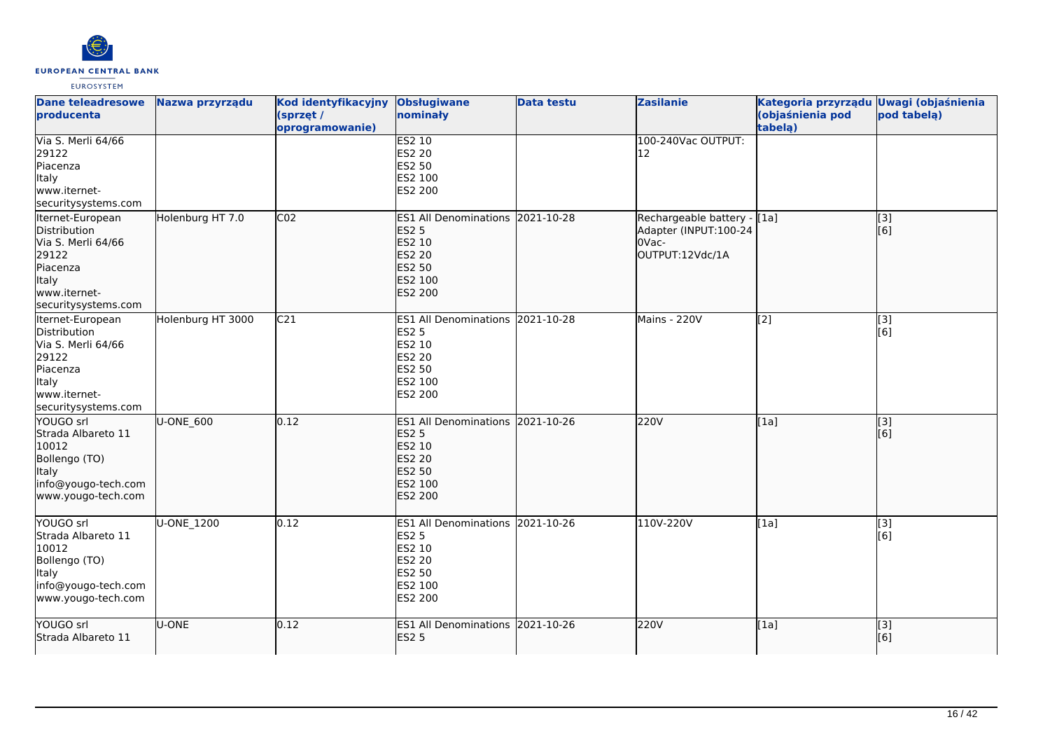

| <b>Dane teleadresowe</b><br>producenta                                                                                      | Nazwa przyrządu   | Kod identyfikacyjny<br>(sprzęt /<br>oprogramowanie) | <b>Obsługiwane</b><br>nominały                                                                                        | <b>Data testu</b> | <b>Zasilanie</b>                                                                  | Kategoria przyrządu Uwagi (objaśnienia<br>(objaśnienia pod<br>tabela) | pod tabelą)                |
|-----------------------------------------------------------------------------------------------------------------------------|-------------------|-----------------------------------------------------|-----------------------------------------------------------------------------------------------------------------------|-------------------|-----------------------------------------------------------------------------------|-----------------------------------------------------------------------|----------------------------|
| Via S. Merli 64/66<br>29122<br>Piacenza<br><b>Italy</b><br>www.iternet-<br>securitysystems.com                              |                   |                                                     | <b>ES2 10</b><br><b>ES2 20</b><br><b>ES2 50</b><br>ES2 100<br>ES2 200                                                 |                   | 100-240Vac OUTPUT:<br>12                                                          |                                                                       |                            |
| Iternet-European<br>Distribution<br>Via S. Merli 64/66<br>29122<br>Piacenza<br>Italy<br>www.iternet-<br>securitysystems.com | Holenburg HT 7.0  | CO <sub>2</sub>                                     | <b>ES1 All Denominations</b><br><b>ES2 5</b><br>ES2 10<br><b>ES2 20</b><br>ES2 50<br>ES2 100<br><b>ES2 200</b>        | 2021-10-28        | Rechargeable battery - [[1a]<br>Adapter (INPUT:100-24<br>OVac-<br>OUTPUT:12Vdc/1A |                                                                       | [[3]<br>[[6]               |
| Iternet-European<br>Distribution<br>Via S. Merli 64/66<br>29122<br>Piacenza<br>Italy<br>www.iternet-<br>securitysystems.com | Holenburg HT 3000 | C <sub>21</sub>                                     | <b>ES1 All Denominations</b><br><b>ES2 5</b><br>ES2 10<br><b>ES2 20</b><br><b>ES2 50</b><br>ES2 100<br><b>ES2 200</b> | 2021-10-28        | Mains - 220V                                                                      | [2]                                                                   | $\overline{[}3]$<br>[6]    |
| YOUGO srl<br>Strada Albareto 11<br>10012<br>Bollengo (TO)<br><b>Italy</b><br>info@yougo-tech.com<br>www.yougo-tech.com      | U-ONE 600         | 0.12                                                | <b>ES1 All Denominations</b><br><b>ES2 5</b><br>ES2 10<br><b>ES2 20</b><br>ES2 50<br>ES2 100<br><b>ES2 200</b>        | 2021-10-26        | 220V                                                                              | [1a]                                                                  | [3]<br>[[6]                |
| YOUGO srl<br>Strada Albareto 11<br>10012<br>Bollengo (TO)<br><b>Italy</b><br>info@yougo-tech.com<br>www.yougo-tech.com      | U-ONE 1200        | 0.12                                                | ES1 All Denominations 2021-10-26<br><b>ES2 5</b><br>ES2 10<br>ES2 20<br><b>ES2 50</b><br>ES2 100<br>ES2 200           |                   | 110V-220V                                                                         | [1a]                                                                  | [3]<br>[6]                 |
| YOUGO srl<br>Strada Albareto 11                                                                                             | U-ONE             | 0.12                                                | <b>ES1 All Denominations</b><br><b>ES2 5</b>                                                                          | 2021-10-26        | 220V                                                                              | [1a]                                                                  | $\overline{[}$ [3]<br>[[6] |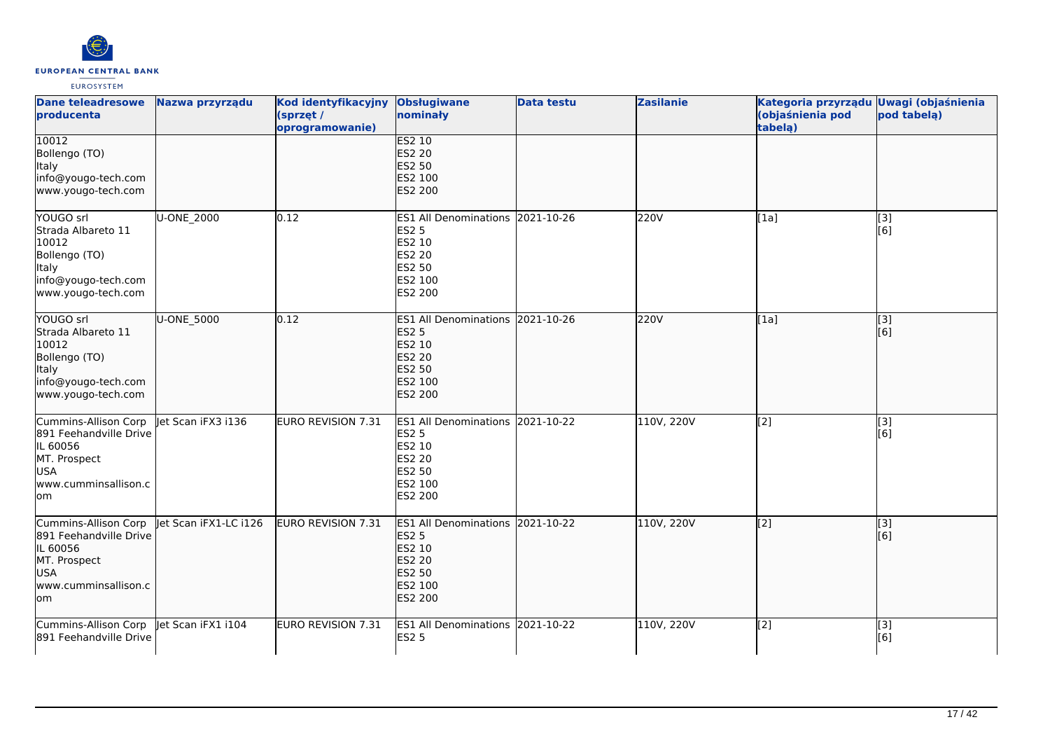

| <b>Dane teleadresowe</b><br>producenta                                                                                  | Nazwa przyrządu       | Kod identyfikacyjny<br>(sprzęt /<br>oprogramowanie) | <b>Obsługiwane</b><br>nominały                                                                                            | <b>Data testu</b> | <b>Zasilanie</b> | Kategoria przyrządu Uwagi (objaśnienia<br>(objaśnienia pod<br>tabelą) | pod tabelą)             |
|-------------------------------------------------------------------------------------------------------------------------|-----------------------|-----------------------------------------------------|---------------------------------------------------------------------------------------------------------------------------|-------------------|------------------|-----------------------------------------------------------------------|-------------------------|
| 10012<br>Bollengo (TO)<br><b>Italy</b><br>info@yougo-tech.com<br>www.yougo-tech.com                                     |                       |                                                     | ES2 10<br><b>ES2 20</b><br><b>ES2 50</b><br>ES2 100<br>ES2 200                                                            |                   |                  |                                                                       |                         |
| YOUGO srl<br>Strada Albareto 11<br>10012<br>Bollengo (TO)<br><b>Italy</b><br>info@yougo-tech.com<br>www.yougo-tech.com  | U-ONE 2000            | 0.12                                                | ES1 All Denominations 2021-10-26<br><b>ES2 5</b><br>ES2 10<br><b>ES2 20</b><br><b>ES2 50</b><br>ES2 100<br>ES2 200        |                   | 220V             | [1a]                                                                  | [3]<br>[6]              |
| YOUGO srl<br>Strada Albareto 11<br>10012<br>Bollengo (TO)<br>Italy<br>info@yougo-tech.com<br>www.yougo-tech.com         | U-ONE_5000            | 0.12                                                | ES1 All Denominations 2021-10-26<br><b>ES2 5</b><br>ES2 10<br><b>ES2 20</b><br><b>ES2 50</b><br>ES2 100<br><b>ES2 200</b> |                   | 220V             | [1a]                                                                  | $\overline{[3]}$<br>[6] |
| Cummins-Allison Corp<br>891 Feehandville Drive<br>IL 60056<br>MT. Prospect<br><b>USA</b><br>www.cumminsallison.c<br>lom | let Scan iFX3 i136    | EURO REVISION 7.31                                  | ES1 All Denominations 2021-10-22<br><b>ES2 5</b><br><b>ES2 10</b><br><b>ES2 20</b><br>ES2 50<br>ES2 100<br>ES2 200        |                   | 110V, 220V       | [2]                                                                   | [3]<br>[6]              |
| Cummins-Allison Corp<br>891 Feehandville Drive<br>IL 60056<br>MT. Prospect<br>USA<br>www.cumminsallison.c<br>lom        | let Scan iFX1-LC i126 | EURO REVISION 7.31                                  | <b>ES1 All Denominations</b><br><b>ES2 5</b><br>ES2 10<br><b>ES2 20</b><br><b>ES2 50</b><br>ES2 100<br>ES2 200            | 2021-10-22        | 110V, 220V       | [2]                                                                   | [3]<br>[6]              |
| Cummins-Allison Corp   et Scan iFX1 i104<br>891 Feehandville Drive                                                      |                       | EURO REVISION 7.31                                  | ES1 All Denominations 2021-10-22<br><b>ES2 5</b>                                                                          |                   | 110V, 220V       | [2]                                                                   | $\overline{[3]}$<br>[6] |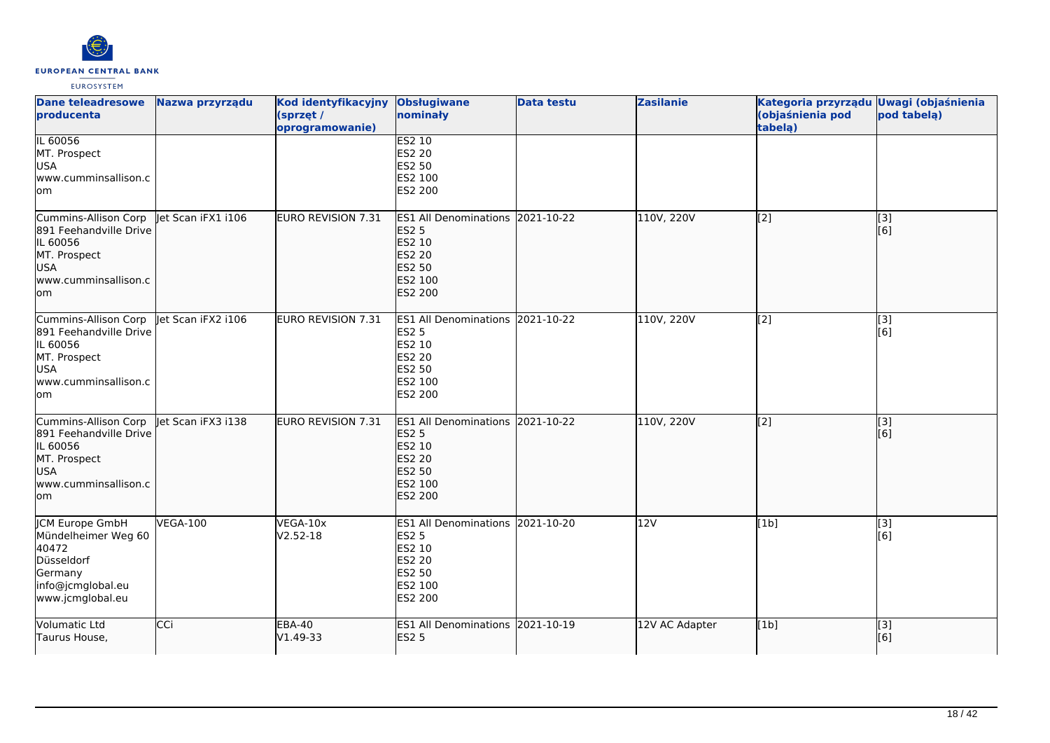

| <b>Dane teleadresowe</b><br>producenta                                                                                  | Nazwa przyrządu    | Kod identyfikacyjny<br>(sprzęt /<br>oprogramowanie) | Obsługiwane<br>nominały                                                                                               | <b>Data testu</b> | <b>Zasilanie</b> | Kategoria przyrządu Uwagi (objaśnienia<br>(objaśnienia pod<br>tabelą) | pod tabelą)             |
|-------------------------------------------------------------------------------------------------------------------------|--------------------|-----------------------------------------------------|-----------------------------------------------------------------------------------------------------------------------|-------------------|------------------|-----------------------------------------------------------------------|-------------------------|
| IL 60056<br>MT. Prospect<br><b>USA</b><br>www.cumminsallison.c<br>lom                                                   |                    |                                                     | <b>ES2 10</b><br>ES2 20<br>ES2 50<br>ES2 100<br>ES2 200                                                               |                   |                  |                                                                       |                         |
| Cummins-Allison Corp<br>891 Feehandville Drive<br>IL 60056<br>MT. Prospect<br>USA<br>www.cumminsallison.c<br>lom        | let Scan iFX1 i106 | <b>EURO REVISION 7.31</b>                           | <b>ES1 All Denominations</b><br><b>ES2 5</b><br>ES2 10<br><b>ES2 20</b><br><b>ES2 50</b><br>ES2 100<br><b>ES2 200</b> | 2021-10-22        | 110V, 220V       | $\left[2\right]$                                                      | [3]<br>[6]              |
| Cummins-Allison Corp<br>891 Feehandville Drive<br>IL 60056<br>MT. Prospect<br><b>USA</b><br>www.cumminsallison.c<br>lom | let Scan iFX2 i106 | <b>EURO REVISION 7.31</b>                           | <b>ES1 All Denominations</b><br><b>ES2 5</b><br>ES2 10<br>ES2 20<br>ES2 50<br>ES2 100<br>ES2 200                      | 2021-10-22        | 110V, 220V       | [2]                                                                   | $\overline{[3]}$<br>[6] |
| Cummins-Allison Corp<br>891 Feehandville Drive<br>IL 60056<br>MT. Prospect<br><b>USA</b><br>www.cumminsallison.c<br>lom | let Scan iFX3 i138 | EURO REVISION 7.31                                  | ES1 All Denominations 2021-10-22<br><b>ES2 5</b><br>ES2 10<br>ES2 20<br>ES2 50<br>ES2 100<br>ES2 200                  |                   | 110V, 220V       | [2]                                                                   | $\overline{[}3]$<br>[6] |
| <b>CM Europe GmbH</b><br>Mündelheimer Weg 60<br>40472<br>Düsseldorf<br>Germany<br>info@jcmglobal.eu<br>www.jcmglobal.eu | <b>VEGA-100</b>    | VEGA-10x<br>$V2.52-18$                              | <b>ES1 All Denominations</b><br>ES2 5<br>ES2 10<br>ES2 20<br><b>ES2 50</b><br>ES2 100<br>ES2 200                      | 2021-10-20        | 12V              | [1b]                                                                  | [3]<br>[6]              |
| Volumatic Ltd<br>Taurus House,                                                                                          | CCi                | <b>EBA-40</b><br>V1.49-33                           | ES1 All Denominations 2021-10-19<br><b>ES2 5</b>                                                                      |                   | 12V AC Adapter   | [1b]                                                                  | $\overline{[}3]$<br>[6] |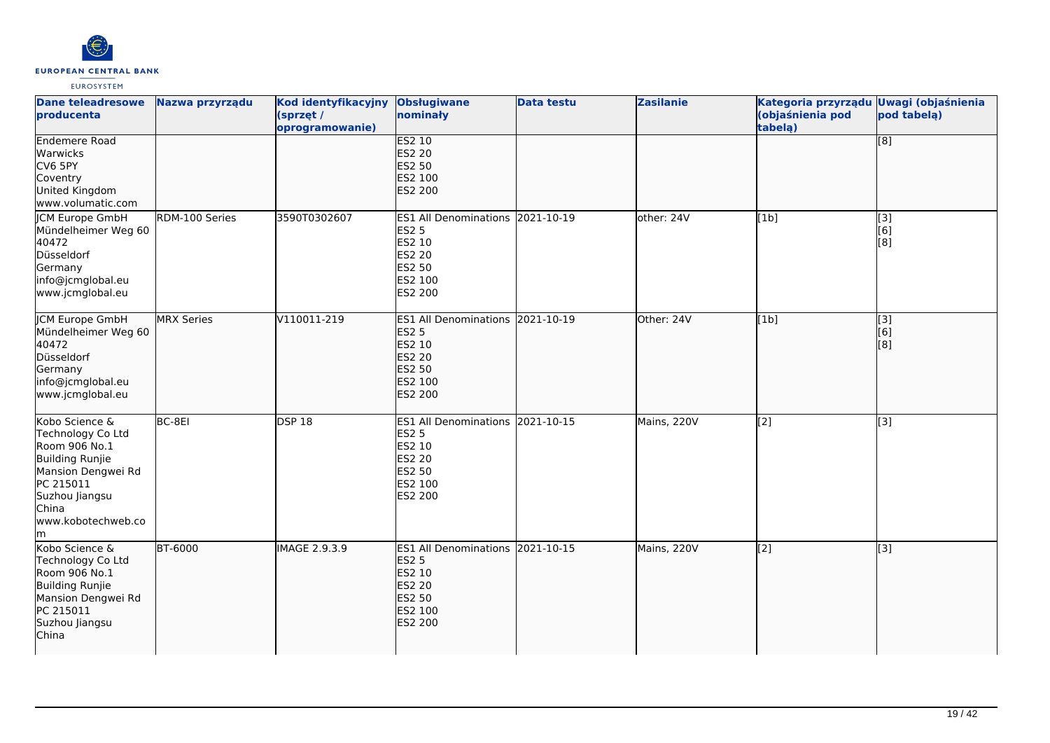

| <b>Dane teleadresowe</b><br>producenta                                                                                                                                   | Nazwa przyrządu   | Kod identyfikacyjny<br>(sprzęt /<br>oprogramowanie) | <b>Obsługiwane</b><br>nominały                                                                              | <b>Data testu</b> | <b>Zasilanie</b> | Kategoria przyrządu Uwagi (objaśnienia<br>(objaśnienia pod<br>tabelą) | pod tabelą)                    |
|--------------------------------------------------------------------------------------------------------------------------------------------------------------------------|-------------------|-----------------------------------------------------|-------------------------------------------------------------------------------------------------------------|-------------------|------------------|-----------------------------------------------------------------------|--------------------------------|
| Endemere Road<br>Warwicks<br>CV6 5PY<br>Coventry<br>United Kingdom<br>www.volumatic.com                                                                                  |                   |                                                     | <b>ES2 10</b><br><b>ES2 20</b><br>ES2 50<br>ES2 100<br><b>ES2 200</b>                                       |                   |                  |                                                                       | $\overline{[}$ [8]             |
| JCM Europe GmbH<br>Mündelheimer Weg 60<br>40472<br>Düsseldorf<br>Germany<br>info@jcmglobal.eu<br>www.jcmglobal.eu                                                        | RDM-100 Series    | 3590T0302607                                        | ES1 All Denominations 2021-10-19<br><b>ES2 5</b><br>ES2 10<br>ES2 20<br>ES2 50<br>ES2 100<br><b>ES2 200</b> |                   | other: 24V       | [1b]                                                                  | [3]<br>[6]<br>[8]              |
| <b>JCM Europe GmbH</b><br>Mündelheimer Weg 60<br>40472<br>Düsseldorf<br>Germany<br>info@jcmglobal.eu<br>www.jcmglobal.eu                                                 | <b>MRX Series</b> | V110011-219                                         | ES1 All Denominations 2021-10-19<br><b>ES2 5</b><br>ES2 10<br><b>ES2 20</b><br>ES2 50<br>ES2 100<br>ES2 200 |                   | Other: 24V       | [1b]                                                                  | $\overline{[}3]$<br>[6]<br>[8] |
| Kobo Science &<br>Technology Co Ltd<br>Room 906 No.1<br>Building Runjie<br>Mansion Dengwei Rd<br>PC 215011<br>Suzhou Jiangsu<br><b>C</b> hina<br>www.kobotechweb.co<br>m | BC-8EI            | DSP18                                               | ES1 All Denominations 2021-10-15<br><b>ES2 5</b><br>ES2 10<br>ES2 20<br>ES2 50<br>ES2 100<br>ES2 200        |                   | Mains, 220V      | $\overline{[2]}$                                                      | $\overline{[3]}$               |
| Kobo Science &<br>Technology Co Ltd<br>Room 906 No.1<br>Building Runjie<br>Mansion Dengwei Rd<br>PC 215011<br>Suzhou Jiangsu<br>China                                    | <b>BT-6000</b>    | IMAGE 2.9.3.9                                       | ES1 All Denominations 2021-10-15<br><b>ES2 5</b><br>ES2 10<br>ES2 20<br>ES2 50<br>ES2 100<br><b>ES2 200</b> |                   | Mains, 220V      | $\overline{[2]}$                                                      | $\overline{[}3]$               |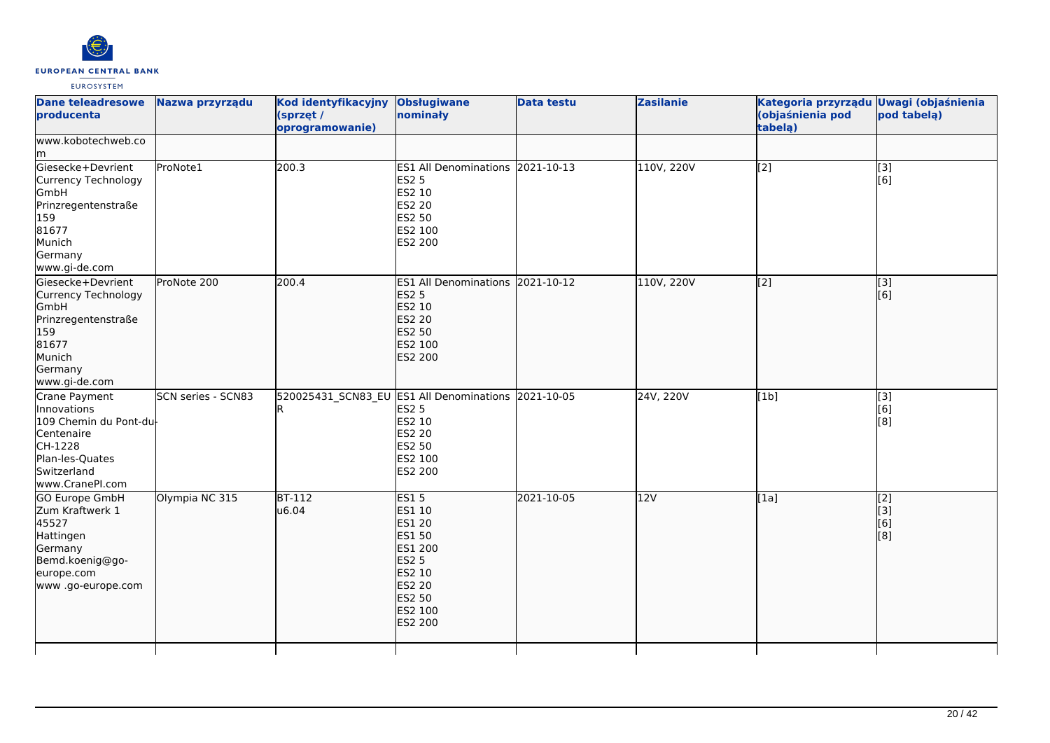

| <b>Dane teleadresowe</b><br>producenta                                                                                               | Nazwa przyrządu    | Kod identyfikacyjny<br>(sprzęt /<br>oprogramowanie) | <b>Obsługiwane</b><br>nominały                                                                                                         | <b>Data testu</b> | <b>Zasilanie</b> | Kategoria przyrządu Uwagi (objaśnienia<br>(objaśnienia pod<br>tabelą) | pod tabelą)                                   |
|--------------------------------------------------------------------------------------------------------------------------------------|--------------------|-----------------------------------------------------|----------------------------------------------------------------------------------------------------------------------------------------|-------------------|------------------|-----------------------------------------------------------------------|-----------------------------------------------|
| www.kobotechweb.co<br>lm.                                                                                                            |                    |                                                     |                                                                                                                                        |                   |                  |                                                                       |                                               |
| Giesecke+Devrient<br>Currency Technology<br>GmbH<br>Prinzregentenstraße<br>159<br>81677<br>Munich<br>Germany<br>www.gi-de.com        | ProNote1           | 200.3                                               | ES1 All Denominations 2021-10-13<br><b>ES2 5</b><br>ES2 10<br>ES2 20<br>ES2 50<br>ES2 100<br>ES2 200                                   |                   | 110V, 220V       | [2]                                                                   | [3]<br>[6]                                    |
| Giesecke+Devrient<br>Currency Technology<br>GmbH<br>Prinzregentenstraße<br>159<br>81677<br>Munich<br>Germany<br>www.gi-de.com        | ProNote 200        | 200.4                                               | ES1 All Denominations 2021-10-12<br><b>ES2 5</b><br>ES2 10<br><b>ES2 20</b><br><b>ES2 50</b><br>ES2 100<br>ES2 200                     |                   | 110V, 220V       | $\overline{[2]}$                                                      | $\sqrt{3}$<br>[6]                             |
| Crane Payment<br>Innovations<br>109 Chemin du Pont-du-<br>Centenaire<br>CH-1228<br>Plan-les-Quates<br>Switzerland<br>www.CranePI.com | SCN series - SCN83 |                                                     | 520025431 SCN83 EU ES1 All Denominations 2021-10-05<br><b>ES2 5</b><br>ES2 10<br>ES2 20<br>ES2 50<br>ES2 100<br>ES2 200                |                   | 24V, 220V        | [1b]                                                                  | [3]<br>[6]<br>[8]                             |
| <b>GO Europe GmbH</b><br>Zum Kraftwerk 1<br>45527<br>Hattingen<br>Germany<br>Bemd.koenig@go-<br>europe.com<br>www.go-europe.com      | Olympia NC 315     | $BT-112$<br>u6.04                                   | <b>ES15</b><br>ES1 10<br>ES1 20<br>ES1 50<br>ES1 200<br><b>ES2 5</b><br>ES2 10<br><b>ES2 20</b><br><b>ES2 50</b><br>ES2 100<br>ES2 200 | 2021-10-05        | 12V              | [1a]                                                                  | $\overline{[2]}$<br>$\vert$ [3]<br>[6]<br>[8] |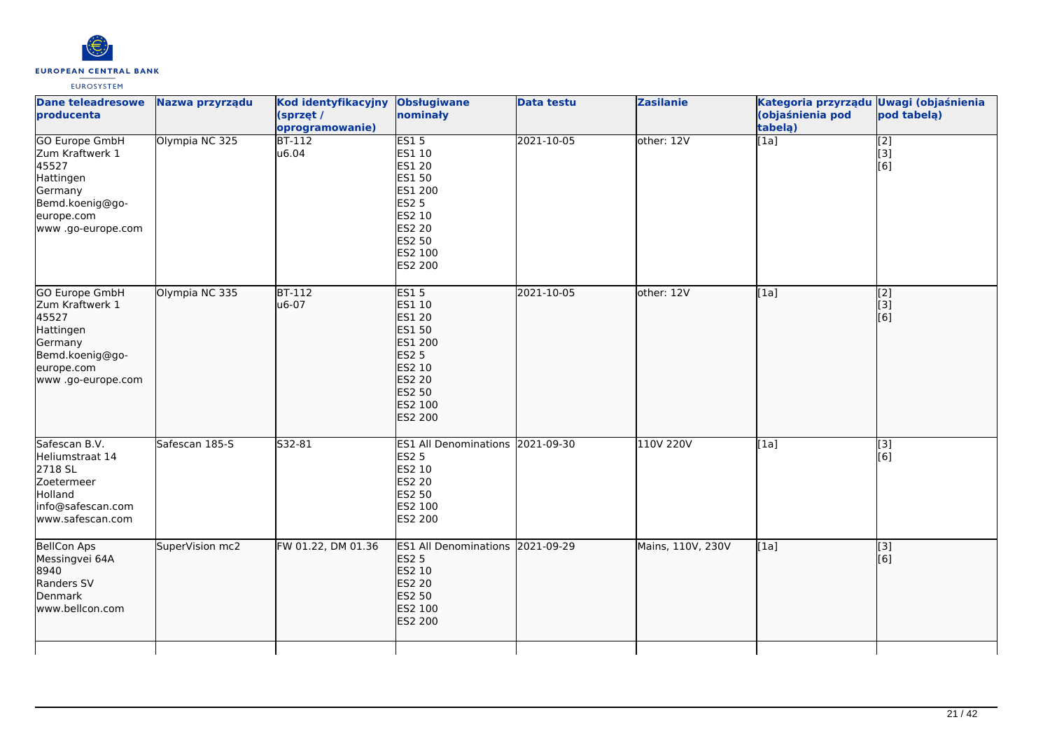

| <b>Dane teleadresowe</b><br>producenta                                                                                           | Nazwa przyrządu | Kod identyfikacyjny Obsługiwane<br>(sprzęt /<br>oprogramowanie) | nominały                                                                                                                 | <b>Data testu</b> | <b>Zasilanie</b>  | Kategoria przyrządu Uwagi (objaśnienia<br>(objaśnienia pod<br>tabelą) | pod tabelą)                                   |
|----------------------------------------------------------------------------------------------------------------------------------|-----------------|-----------------------------------------------------------------|--------------------------------------------------------------------------------------------------------------------------|-------------------|-------------------|-----------------------------------------------------------------------|-----------------------------------------------|
| <b>GO Europe GmbH</b><br>Zum Kraftwerk 1<br>45527<br>Hattingen<br>Germany<br>Bemd.koenig@go-<br>europe.com<br>www .go-europe.com | Olympia NC 325  | $BT-112$<br>u6.04                                               | ES15<br>ES1 10<br>ES1 20<br>ES1 50<br>ES1 200<br><b>ES2 5</b><br>ES2 10<br><b>ES2 20</b><br>ES2 50<br>ES2 100<br>ES2 200 | 2021-10-05        | other: 12V        | $\overline{[1a]}$                                                     | $\begin{bmatrix} 2 \\ 3 \end{bmatrix}$<br>[6] |
| GO Europe GmbH<br>Zum Kraftwerk 1<br>45527<br>Hattingen<br>Germany<br>Bemd.koenig@go-<br>europe.com<br>www .go-europe.com        | Olympia NC 335  | <b>BT-112</b><br>u6-07                                          | <b>ES15</b><br>ES1 10<br>ES1 20<br>ES1 50<br>ES1 200<br><b>ES2 5</b><br>ES2 10<br>ES2 20<br>ES2 50<br>ES2 100<br>ES2 200 | 2021-10-05        | other: 12V        | [1a]                                                                  | $\begin{bmatrix} 2 \\ 3 \end{bmatrix}$<br>[6] |
| Safescan B.V.<br>Heliumstraat 14<br>2718 SL<br>Zoetermeer<br>Holland<br>info@safescan.com<br>www.safescan.com                    | Safescan 185-S  | S32-81                                                          | ES1 All Denominations 2021-09-30<br><b>ES2 5</b><br>ES2 10<br>ES2 20<br>ES2 50<br>ES2 100<br>ES2 200                     |                   | 110V 220V         | [1a]                                                                  | [3]<br>[6]                                    |
| BellCon Aps<br>Messingvei 64A<br>8940<br>Randers SV<br>Denmark<br>www.bellcon.com                                                | SuperVision mc2 | FW 01.22, DM 01.36                                              | ES1 All Denominations 2021-09-29<br><b>ES2 5</b><br>ES2 10<br>ES2 20<br>ES2 50<br>ES2 100<br>ES2 200                     |                   | Mains, 110V, 230V | [1a]                                                                  | [3]<br>[6]                                    |
|                                                                                                                                  |                 |                                                                 |                                                                                                                          |                   |                   |                                                                       |                                               |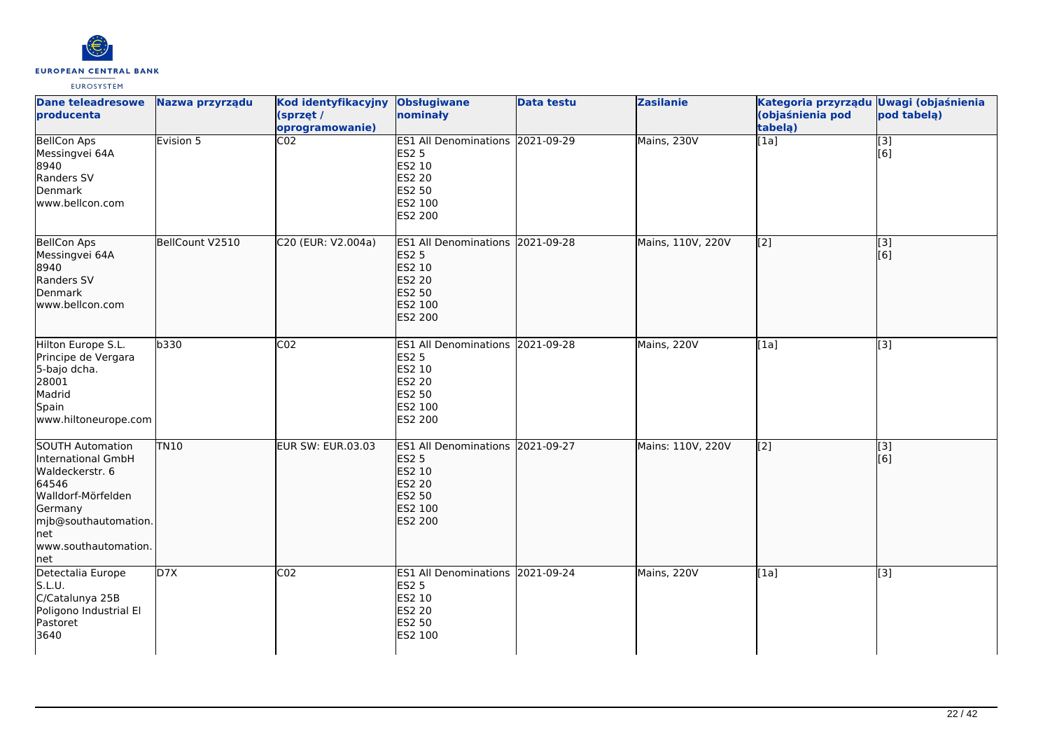

| <b>Dane teleadresowe</b><br>producenta                                                                                                                                    | Nazwa przyrządu | Kod identyfikacyjny<br>(sprzęt /<br>oprogramowanie) | <b>Obsługiwane</b><br>nominały                                                                              | <b>Data testu</b> | <b>Zasilanie</b>  | Kategoria przyrządu Uwagi (objaśnienia<br>(objaśnienia pod<br>tabelą) | pod tabela)               |
|---------------------------------------------------------------------------------------------------------------------------------------------------------------------------|-----------------|-----------------------------------------------------|-------------------------------------------------------------------------------------------------------------|-------------------|-------------------|-----------------------------------------------------------------------|---------------------------|
| <b>BellCon Aps</b><br>Messingvei 64A<br>8940<br>Randers SV<br>Denmark<br>www.bellcon.com                                                                                  | Evision 5       | $\overline{CO2}$                                    | ES1 All Denominations 2021-09-29<br><b>ES2 5</b><br>ES2 10<br>ES2 20<br>ES2 50<br>ES2 100<br>ES2 200        |                   | Mains, 230V       | $\overline{[1a]}$                                                     | $\overline{[}$ [3]<br>[6] |
| <b>BellCon Aps</b><br>Messingvei 64A<br>8940<br>Randers SV<br>Denmark<br>lwww.bellcon.com                                                                                 | BellCount V2510 | C20 (EUR: V2.004a)                                  | ES1 All Denominations 2021-09-28<br><b>ES2 5</b><br>ES2 10<br><b>ES2 20</b><br>ES2 50<br>ES2 100<br>ES2 200 |                   | Mains, 110V, 220V | [2]                                                                   | [3]<br>[6]                |
| Hilton Europe S.L.<br>Principe de Vergara<br>5-bajo dcha.<br>28001<br>Madrid<br>Spain<br>www.hiltoneurope.com                                                             | b330            | CO <sub>2</sub>                                     | ES1 All Denominations 2021-09-28<br><b>ES2 5</b><br>ES2 10<br>ES2 20<br>ES2 50<br>ES2 100<br>ES2 200        |                   | Mains, 220V       | [1a]                                                                  | [3]                       |
| <b>SOUTH Automation</b><br>International GmbH<br>Waldeckerstr. 6<br>64546<br>Walldorf-Mörfelden<br>Germany<br>mjb@southautomation.<br>lnet<br>www.southautomation.<br>net | <b>TN10</b>     | <b>EUR SW: EUR.03.03</b>                            | ES1 All Denominations 2021-09-27<br><b>ES2 5</b><br>ES2 10<br><b>ES2 20</b><br>ES2 50<br>ES2 100<br>ES2 200 |                   | Mains: 110V, 220V | $\overline{[2]}$                                                      | $\sqrt{3}$<br>[6]         |
| Detectalia Europe<br>S.L.U.<br>C/Catalunya 25B<br>Poligono Industrial El<br>Pastoret<br>3640                                                                              | D7X             | CO <sub>2</sub>                                     | ES1 All Denominations 2021-09-24<br><b>ES2 5</b><br>ES2 10<br>ES2 20<br>ES2 50<br>ES2 100                   |                   | Mains, 220V       | $\overline{[1a]}$                                                     | $\overline{[3]}$          |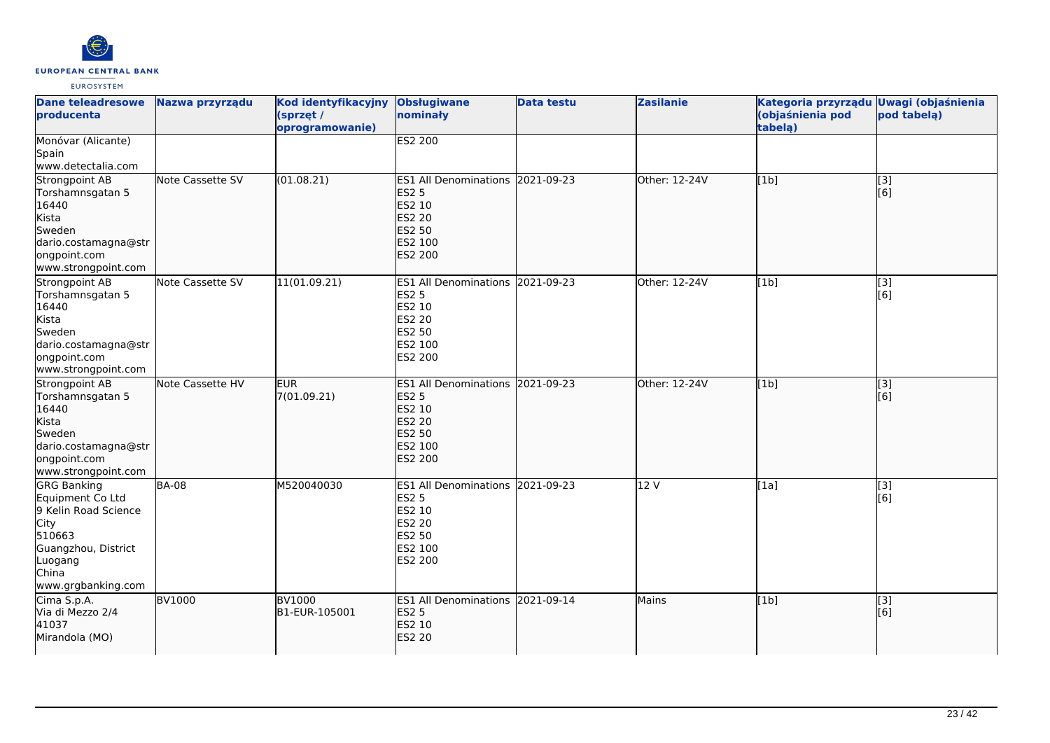

| <b>Dane teleadresowe</b><br>producenta                                                                                                            | Nazwa przyrządu         | Kod identyfikacyjny<br>(sprzęt /<br>oprogramowanie) | <b>Obsługiwane</b><br>nominały                                                                                            | <b>Data testu</b> | <b>Zasilanie</b> | Kategoria przyrządu<br>(objaśnienia pod<br>tabela) | <b>Uwagi (objaśnienia</b><br>pod tabela) |
|---------------------------------------------------------------------------------------------------------------------------------------------------|-------------------------|-----------------------------------------------------|---------------------------------------------------------------------------------------------------------------------------|-------------------|------------------|----------------------------------------------------|------------------------------------------|
| Monóvar (Alicante)<br>Spain<br>www.detectalia.com                                                                                                 |                         |                                                     | ES2 200                                                                                                                   |                   |                  |                                                    |                                          |
| Strongpoint AB<br>Torshamnsgatan 5<br>16440<br>Kista<br><b>Sweden</b><br>dario.costamagna@str<br>ongpoint.com<br>www.strongpoint.com              | Note Cassette SV        | (01.08.21)                                          | ES1 All Denominations 2021-09-23<br><b>ES2 5</b><br>ES2 10<br><b>ES2 20</b><br><b>ES2 50</b><br>ES2 100<br><b>ES2 200</b> |                   | Other: 12-24V    | [1b]                                               | $\overline{[3]}$<br>[6]                  |
| Strongpoint AB<br>Torshamnsgatan 5<br>16440<br>Kista<br>Sweden<br>dario.costamagna@str<br>ongpoint.com<br>www.strongpoint.com                     | <b>Note Cassette SV</b> | 11(01.09.21)                                        | ES1 All Denominations 2021-09-23<br><b>ES2 5</b><br>ES2 10<br><b>ES2 20</b><br><b>ES2 50</b><br>ES2 100<br>ES2 200        |                   | Other: 12-24V    | [1b]                                               | [3]<br>[6]                               |
| Strongpoint AB<br>Torshamnsgatan 5<br>16440<br>Kista<br>Sweden<br>dario.costamagna@str<br>ongpoint.com<br>www.strongpoint.com                     | Note Cassette HV        | <b>EUR</b><br>7(01.09.21)                           | ES1 All Denominations 2021-09-23<br><b>ES2 5</b><br>ES2 10<br><b>ES2 20</b><br>ES2 50<br>ES2 100<br><b>ES2 200</b>        |                   | lOther: 12-24V   | [1b]                                               | $\overline{[3]}$<br>[6]                  |
| <b>GRG Banking</b><br>Equipment Co Ltd<br>9 Kelin Road Science<br>City<br>510663<br>Guangzhou, District<br>Luogang<br>China<br>www.grgbanking.com | <b>BA-08</b>            | M520040030                                          | ES1 All Denominations 2021-09-23<br><b>ES2 5</b><br>ES2 10<br><b>ES2 20</b><br>ES2 50<br>ES2 100<br>ES2 200               |                   | 12 V             | [1a]                                               | [3]<br>[6]                               |
| Cima S.p.A.<br>Via di Mezzo 2/4<br>41037<br>Mirandola (MO)                                                                                        | <b>BV1000</b>           | <b>BV1000</b><br>B1-EUR-105001                      | ES1 All Denominations 2021-09-14<br><b>ES2 5</b><br>ES2 10<br><b>ES2 20</b>                                               |                   | Mains            | [1b]                                               | [3]<br>[6]                               |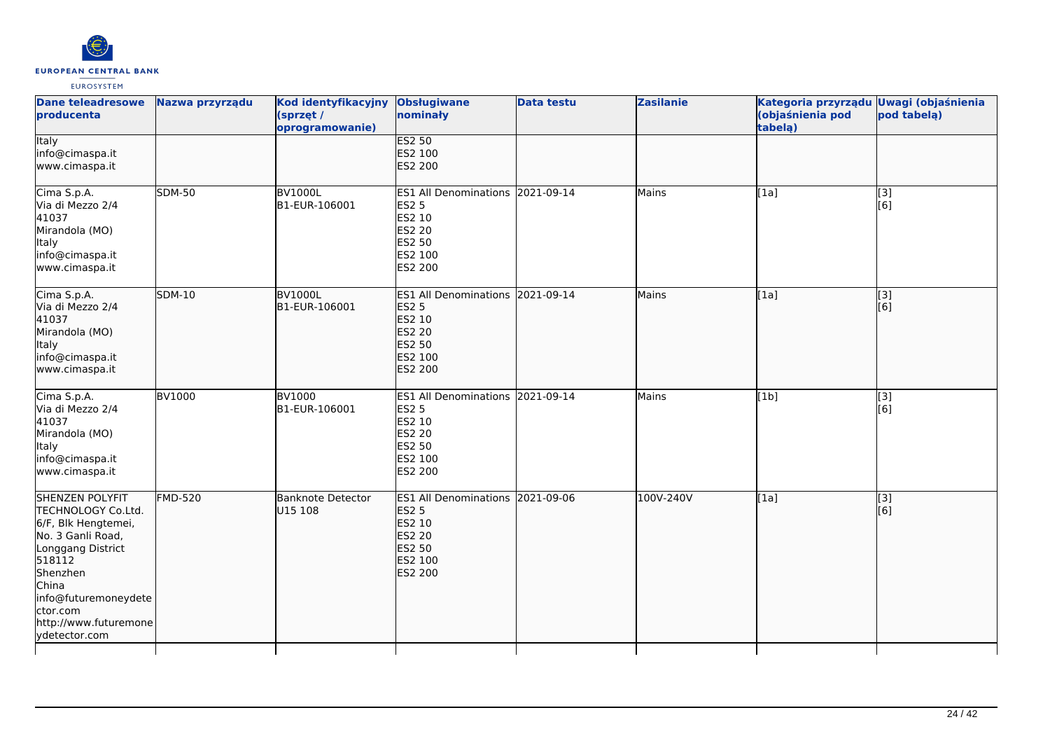

| <b>Dane teleadresowe</b><br>producenta                                                                                                                                                                                     | Nazwa przyrządu | Kod identyfikacyjny<br>(sprzęt /<br>oprogramowanie) | <b>Obsługiwane</b><br>nominały                                                                              | <b>Data testu</b> | <b>Zasilanie</b> | Kategoria przyrządu Uwagi (objaśnienia<br>(objaśnienia pod<br>tabelą) | pod tabelą)             |
|----------------------------------------------------------------------------------------------------------------------------------------------------------------------------------------------------------------------------|-----------------|-----------------------------------------------------|-------------------------------------------------------------------------------------------------------------|-------------------|------------------|-----------------------------------------------------------------------|-------------------------|
| <b>Italy</b><br>info@cimaspa.it<br>www.cimaspa.it                                                                                                                                                                          |                 |                                                     | <b>ES2 50</b><br>ES2 100<br>ES2 200                                                                         |                   |                  |                                                                       |                         |
| Cima S.p.A.<br>Via di Mezzo 2/4<br>41037<br>Mirandola (MO)<br>Italy<br>info@cimaspa.it<br>www.cimaspa.it                                                                                                                   | <b>SDM-50</b>   | <b>BV1000L</b><br>B1-EUR-106001                     | ES1 All Denominations 2021-09-14<br>ES2 5<br>ES2 10<br>ES2 20<br>ES2 50<br>ES2 100<br>ES2 200               |                   | Mains            | [1a]                                                                  | [3]<br>[6]              |
| Cima S.p.A.<br>Via di Mezzo 2/4<br>41037<br>Mirandola (MO)<br><b>Italy</b><br>info@cimaspa.it<br>www.cimaspa.it                                                                                                            | <b>SDM-10</b>   | <b>BV1000L</b><br>B1-EUR-106001                     | ES1 All Denominations 2021-09-14<br><b>ES2 5</b><br>ES2 10<br><b>ES2 20</b><br>ES2 50<br>ES2 100<br>ES2 200 |                   | Mains            | [1a]                                                                  | [3]<br>[6]              |
| Cima S.p.A.<br>Via di Mezzo 2/4<br>41037<br>Mirandola (MO)<br>Italy<br>info@cimaspa.it<br>www.cimaspa.it                                                                                                                   | <b>BV1000</b>   | <b>BV1000</b><br>B1-EUR-106001                      | ES1 All Denominations 2021-09-14<br>ES2 5<br>ES2 10<br>ES2 20<br>ES2 50<br>ES2 100<br>ES2 200               |                   | Mains            | [1b]                                                                  | [3]<br>[6]              |
| <b>SHENZEN POLYFIT</b><br>TECHNOLOGY Co.Ltd.<br>6/F, Blk Hengtemei,<br>No. 3 Ganli Road,<br>Longgang District<br>518112<br>Shenzhen<br>China<br>info@futuremoneydete<br>ctor.com<br>http://www.futuremone<br>ydetector.com | <b>FMD-520</b>  | <b>Banknote Detector</b><br>U15 108                 | ES1 All Denominations 2021-09-06<br><b>ES2 5</b><br>ES2 10<br><b>ES2 20</b><br>ES2 50<br>ES2 100<br>ES2 200 |                   | 100V-240V        | [1a]                                                                  | $\overline{[}3]$<br>[6] |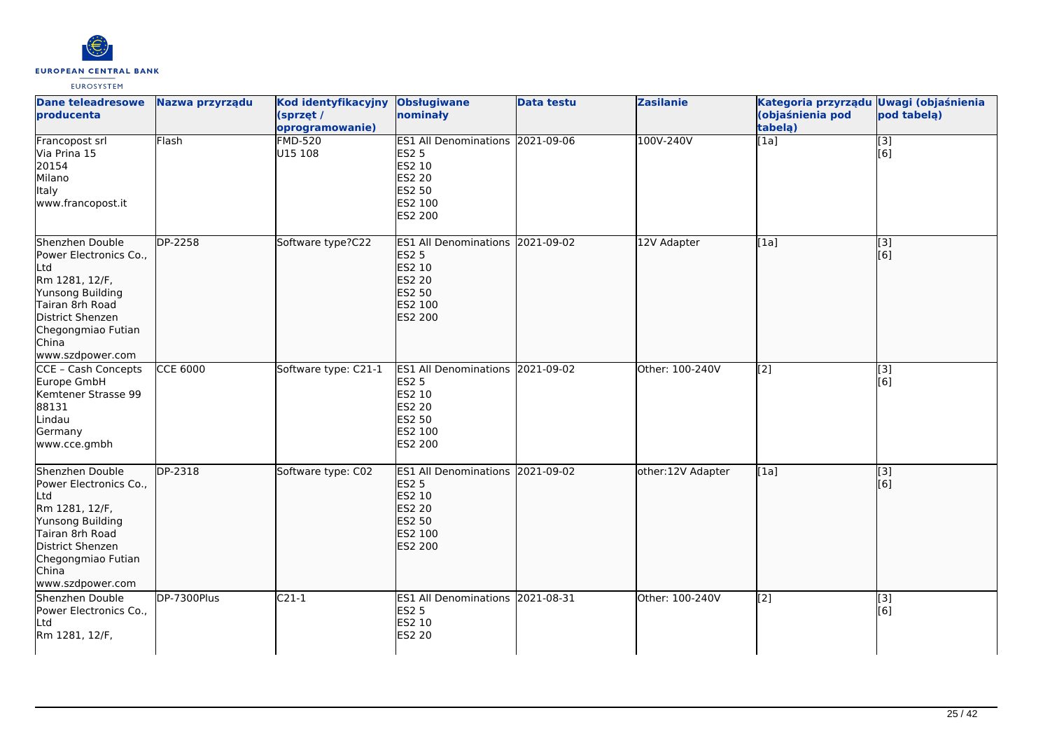

| <b>Dane teleadresowe</b><br>producenta                                                                                                                                           | Nazwa przyrządu      | Kod identyfikacyjny<br>(sprzęt /<br>oprogramowanie) | <b>Obsługiwane</b><br>nominały                                                                       | <b>Data testu</b> | <b>Zasilanie</b>  | Kategoria przyrządu Uwagi (objaśnienia<br>(objaśnienia pod<br>tabelą) | pod tabelą)             |
|----------------------------------------------------------------------------------------------------------------------------------------------------------------------------------|----------------------|-----------------------------------------------------|------------------------------------------------------------------------------------------------------|-------------------|-------------------|-----------------------------------------------------------------------|-------------------------|
| Francopost srl<br>Via Prina 15<br>20154<br>Milano<br>Italy<br>www.francopost.it                                                                                                  | Flash                | <b>FMD-520</b><br>U15 108                           | ES1 All Denominations 2021-09-06<br>ES2 5<br>ES2 10<br>ES2 20<br>ES2 50<br>ES2 100<br>ES2 200        |                   | 100V-240V         | [1a]                                                                  | $\overline{[}3]$<br>[6] |
| Shenzhen Double<br>Power Electronics Co.,<br>Ltd<br>Rm 1281, 12/F,<br>Yunsong Building<br>Tairan 8rh Road<br>District Shenzen<br>Chegongmiao Futian<br>China<br>www.szdpower.com | DP-2258              | Software type?C22                                   | ES1 All Denominations 2021-09-02<br><b>ES2 5</b><br>ES2 10<br>ES2 20<br>ES2 50<br>ES2 100<br>ES2 200 |                   | 12V Adapter       | [1a]                                                                  | [3]<br>[6]              |
| CCE - Cash Concepts<br>Europe GmbH<br>Kemtener Strasse 99<br>88131<br>Lindau<br>Germany<br>www.cce.gmbh                                                                          | <b>CCE 6000</b>      | Software type: C21-1                                | ES1 All Denominations 2021-09-02<br>ES2 5<br>ES2 10<br>ES2 20<br>ES2 50<br>ES2 100<br>ES2 200        |                   | Other: 100-240V   | $\overline{[2]}$                                                      | $\overline{[3]}$<br>[6] |
| Shenzhen Double<br>Power Electronics Co.,<br>Ltd<br>Rm 1281, 12/F,<br>Yunsong Building<br>Tairan 8rh Road<br>District Shenzen<br>Chegongmiao Futian<br>China<br>www.szdpower.com | $\overline{DP-2318}$ | Software type: C02                                  | ES1 All Denominations 2021-09-02<br>ES2 5<br>ES2 10<br><b>S2 20</b><br>ES2 50<br>ES2 100<br>ES2 200  |                   | other:12V Adapter | [1a]                                                                  | [3]<br>[[6]             |
| Shenzhen Double<br>Power Electronics Co.,<br>Ltd<br>Rm 1281, 12/F,                                                                                                               | DP-7300Plus          | $C21-1$                                             | ES1 All Denominations 2021-08-31<br>ES2 5<br>ES2 10<br>ES2 20                                        |                   | Other: 100-240V   | [2]                                                                   | [3]<br>[6]              |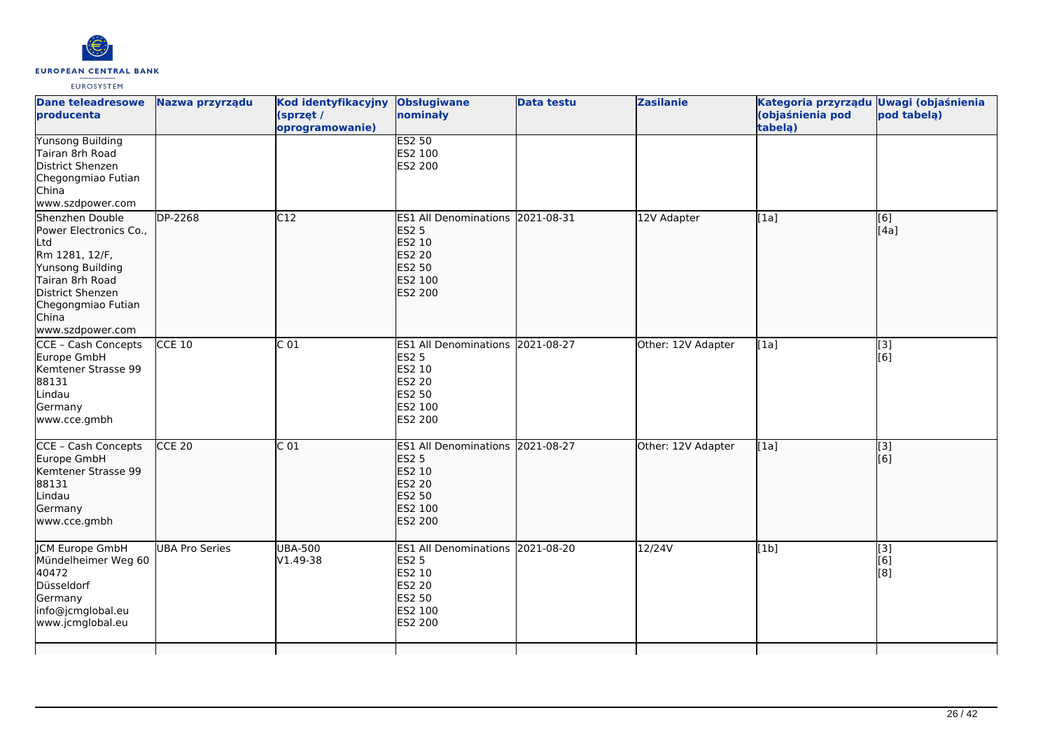

| <b>Dane teleadresowe</b><br>producenta                                                                                                                                                  | Nazwa przyrządu | <b>Kod identyfikacyjny</b><br>(sprzęt /<br>oprogramowanie) | <b>Obsługiwane</b><br>nominały                                                                                            | <b>Data testu</b> | <b>Zasilanie</b>   | Kategoria przyrządu Uwagi (objaśnienia<br>(objaśnienia pod<br>tabela) | pod tabelą)              |
|-----------------------------------------------------------------------------------------------------------------------------------------------------------------------------------------|-----------------|------------------------------------------------------------|---------------------------------------------------------------------------------------------------------------------------|-------------------|--------------------|-----------------------------------------------------------------------|--------------------------|
| <b>Yunsong Building</b><br>Tairan 8rh Road<br>District Shenzen<br>Chegongmiao Futian<br>China<br>www.szdpower.com                                                                       |                 |                                                            | <b>ES2 50</b><br>ES2 100<br>ES2 200                                                                                       |                   |                    |                                                                       |                          |
| Shenzhen Double<br>Power Electronics Co.,<br><b>Ltd</b><br>Rm 1281, 12/F,<br>Yunsong Building<br>Tairan 8rh Road<br>District Shenzen<br>Chegongmiao Futian<br>China<br>www.szdpower.com | DP-2268         | C12                                                        | <b>ES1 All Denominations</b><br><b>ES2 5</b><br>ES2 10<br><b>ES2 20</b><br>ES2 50<br>ES2 100<br><b>ES2 200</b>            | 2021-08-31        | 12V Adapter        | [1a]                                                                  | [[6]<br>[4a]             |
| CCE - Cash Concepts<br>Europe GmbH<br>Kemtener Strasse 99<br>88131<br>Lindau<br>Germany<br>www.cce.gmbh                                                                                 | $CCE$ 10        | $\overline{C}$ 01                                          | ES1 All Denominations 2021-08-27<br><b>ES2 5</b><br>ES2 10<br><b>ES2 20</b><br><b>ES2 50</b><br>ES2 100<br><b>ES2 200</b> |                   | Other: 12V Adapter | [1a]                                                                  | [3]<br>[6]               |
| CCE - Cash Concepts<br>Europe GmbH<br>Kemtener Strasse 99<br>88131<br>Lindau<br>Germany<br>www.cce.gmbh                                                                                 | $CCE$ 20        | C <sub>01</sub>                                            | <b>ES1 All Denominations</b><br><b>ES2 5</b><br>ES2 10<br><b>ES2 20</b><br><b>ES2 50</b><br>ES2 100<br><b>ES2 200</b>     | 2021-08-27        | Other: 12V Adapter | [1a]                                                                  | $\overline{[}3]$<br>[[6] |
| <b>JCM Europe GmbH</b><br>Mündelheimer Weg 60<br>40472<br>Düsseldorf<br>Germany<br>info@jcmglobal.eu<br>www.jcmglobal.eu                                                                | UBA Pro Series  | <b>UBA-500</b><br>V1.49-38                                 | ES1 All Denominations 2021-08-20<br><b>ES2 5</b><br>ES2 10<br><b>ES2 20</b><br><b>ES2 50</b><br>ES2 100<br>ES2 200        |                   | 12/24V             | [1b]                                                                  | [3]<br>[6]<br>[8]        |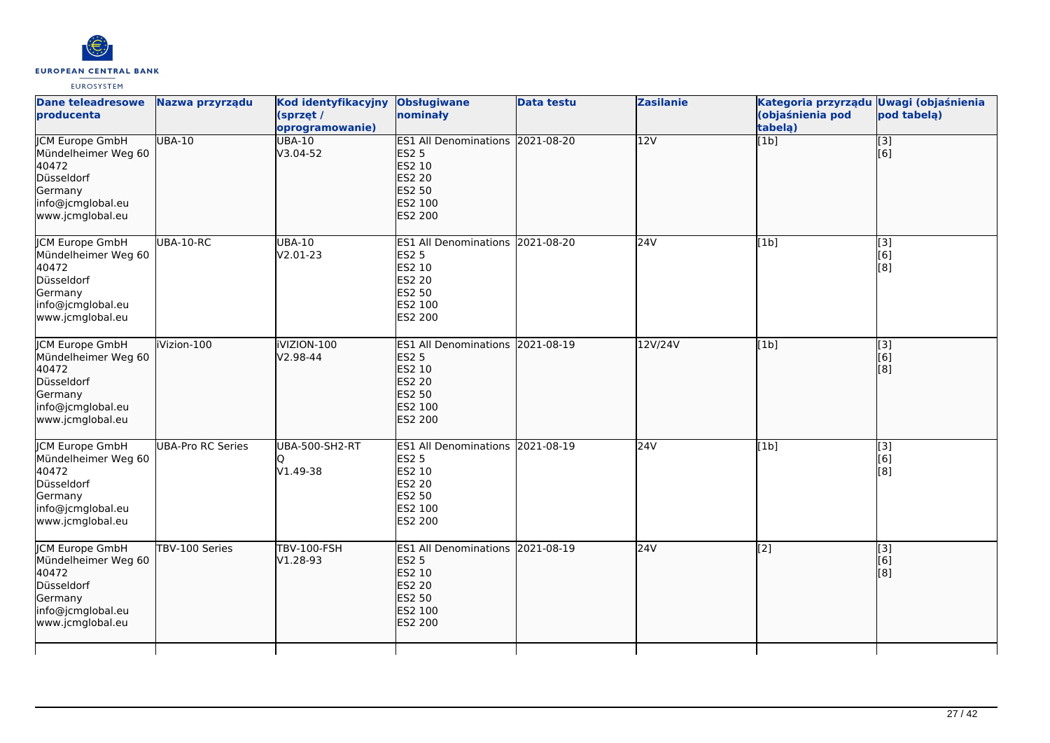

| <b>Dane teleadresowe</b><br>producenta                                                                                   | Nazwa przyrządu          | Kod identyfikacyjny<br>(sprzęt /<br>oprogramowanie) | <b>Obsługiwane</b><br>nominały                                                                                     | <b>Data testu</b> | <b>Zasilanie</b> | Kategoria przyrządu Uwagi (objaśnienia<br>(objaśnienia pod<br>tabelą) | pod tabelą)                                                      |
|--------------------------------------------------------------------------------------------------------------------------|--------------------------|-----------------------------------------------------|--------------------------------------------------------------------------------------------------------------------|-------------------|------------------|-----------------------------------------------------------------------|------------------------------------------------------------------|
| <b>JCM Europe GmbH</b><br>Mündelheimer Weg 60<br>40472<br>Düsseldorf<br>Germany<br>info@jcmglobal.eu<br>www.jcmglobal.eu | <b>UBA-10</b>            | <b>UBA-10</b><br>$V3.04-52$                         | ES1 All Denominations 2021-08-20<br><b>ES2 5</b><br>ES2 10<br>ES2 20<br><b>ES2 50</b><br>ES2 100<br>ES2 200        |                   | 12V              | $\overline{[1b]}$                                                     | $\overline{[}3]$<br>[6]                                          |
| JCM Europe GmbH<br>Mündelheimer Weg 60<br>40472<br>Düsseldorf<br>Germany<br>info@jcmglobal.eu<br>www.jcmglobal.eu        | UBA-10-RC                | <b>UBA-10</b><br>V2.01-23                           | ES1 All Denominations 2021-08-20<br><b>ES2 5</b><br>ES2 10<br><b>ES2 20</b><br><b>ES2 50</b><br>ES2 100<br>ES2 200 |                   | 24V              | [1b]                                                                  | $\left[ \begin{matrix} 1 & 3 \end{matrix} \right]$<br>[6]<br>[8] |
| <b>CM Europe GmbH</b><br>Mündelheimer Weg 60<br>40472<br>Düsseldorf<br>Germany<br>info@jcmglobal.eu<br>www.jcmglobal.eu  | iVizion-100              | iVIZION-100<br>$V2.98 - 44$                         | ES1 All Denominations 2021-08-19<br><b>ES2 5</b><br>ES2 10<br><b>ES2 20</b><br>ES2 50<br>ES2 100<br>ES2 200        |                   | 12V/24V          | [1b]                                                                  | $\begin{bmatrix} 1 & 3 \\ 6 & 1 \end{bmatrix}$<br>[8]            |
| JCM Europe GmbH<br>Mündelheimer Weg 60<br>40472<br>Düsseldorf<br>Germany<br>info@jcmglobal.eu<br>www.jcmglobal.eu        | <b>UBA-Pro RC Series</b> | UBA-500-SH2-RT<br>Ю<br>V1.49-38                     | ES1 All Denominations 2021-08-19<br><b>ES2 5</b><br>ES2 10<br><b>ES2 20</b><br>ES2 50<br>ES2 100<br>ES2 200        |                   | 24V              | [1b]                                                                  | [3]<br>[6]<br>[8]                                                |
| <b>JCM Europe GmbH</b><br>Mündelheimer Weg 60<br>40472<br>Düsseldorf<br>Germany<br>info@jcmglobal.eu<br>www.jcmglobal.eu | TBV-100 Series           | <b>TBV-100-FSH</b><br>V1.28-93                      | ES1 All Denominations 2021-08-19<br><b>ES2 5</b><br>ES2 10<br><b>ES2 20</b><br>ES2 50<br>ES2 100<br>ES2 200        |                   | 24V              | [2]                                                                   | $\begin{bmatrix} 3 \\ 6 \end{bmatrix}$<br>[8]                    |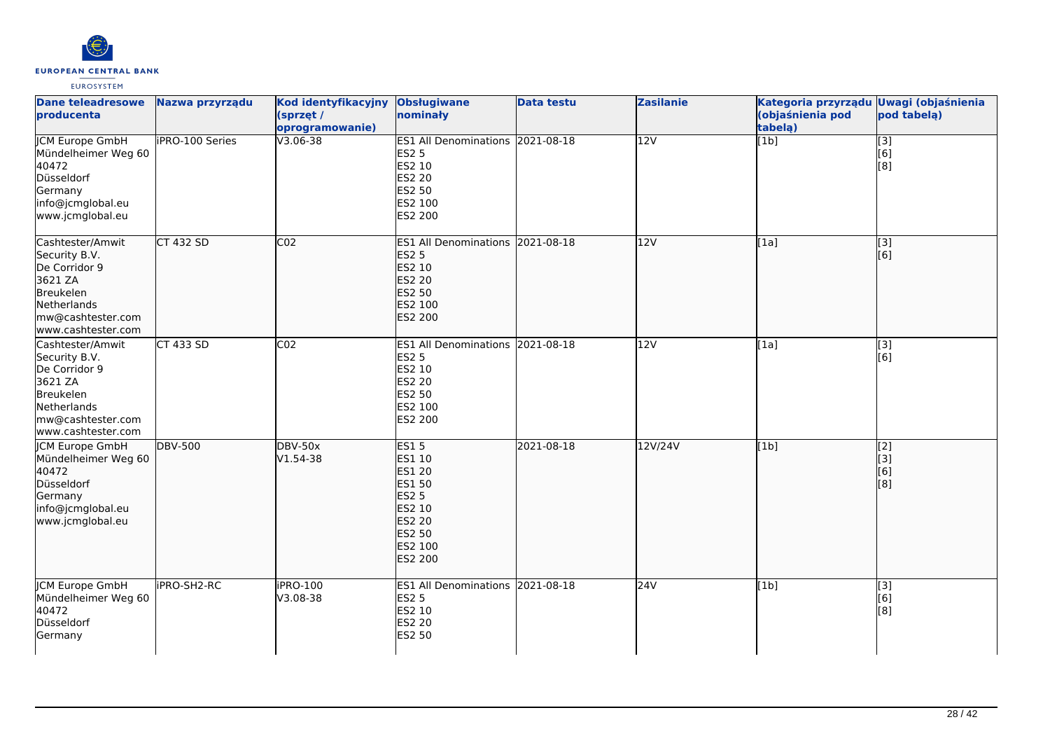

| <b>Dane teleadresowe</b><br>producenta                                                                                               | Nazwa przyrządu        | Kod identyfikacyjny<br>(sprzęt /<br>oprogramowanie) | <b>Obsługiwane</b><br>nominały                                                                                                     | <b>Data testu</b> | <b>Zasilanie</b> | Kategoria przyrządu<br>(objaśnienia pod<br>tabelą) | <b>Uwagi (objaśnienia</b><br>pod tabelą)      |
|--------------------------------------------------------------------------------------------------------------------------------------|------------------------|-----------------------------------------------------|------------------------------------------------------------------------------------------------------------------------------------|-------------------|------------------|----------------------------------------------------|-----------------------------------------------|
| <b>JCM Europe GmbH</b><br>Mündelheimer Weg 60<br>40472<br>Düsseldorf<br>Germany<br>info@jcmglobal.eu<br>www.jcmglobal.eu             | <b>iPRO-100 Series</b> | V3.06-38                                            | ES1 All Denominations 2021-08-18<br><b>ES2 5</b><br>ES2 10<br>ES2 20<br>ES2 50<br>ES2 100<br>ES2 200                               |                   | 12V              | [1b]                                               | $\begin{bmatrix} 13 \ 6 \end{bmatrix}$<br>[8] |
| Cashtester/Amwit<br>Security B.V.<br>De Corridor 9<br>3621 ZA<br>Breukelen<br>Netherlands<br>mw@cashtester.com<br>www.cashtester.com | <b>CT 432 SD</b>       | CO <sub>2</sub>                                     | ES1 All Denominations 2021-08-18<br><b>ES2 5</b><br>ES2 10<br>ES2 20<br>ES2 50<br>ES2 100<br>ES2 200                               |                   | 12V              | [1a]                                               | $\overline{[3]}$<br>[6]                       |
| Cashtester/Amwit<br>Security B.V.<br>De Corridor 9<br>3621 ZA<br>Breukelen<br>Netherlands<br>mw@cashtester.com<br>www.cashtester.com | <b>CT 433 SD</b>       | CO <sub>2</sub>                                     | ES1 All Denominations 2021-08-18<br><b>ES2 5</b><br>ES2 10<br><b>ES2 20</b><br>ES2 50<br>ES2 100<br>ES2 200                        |                   | 12V              | [1a]                                               | $\begin{bmatrix} 3 \\ 6 \end{bmatrix}$        |
| JCM Europe GmbH<br>Mündelheimer Weg 60<br>40472<br>Düsseldorf<br>Germany<br>info@jcmglobal.eu<br>www.jcmglobal.eu                    | <b>DBV-500</b>         | <b>DBV-50x</b><br>$V1.54-38$                        | <b>ES15</b><br><b>ES1 10</b><br><b>ES1 20</b><br>ES1 50<br><b>ES2 5</b><br>ES2 10<br><b>ES2 20</b><br>ES2 50<br>ES2 100<br>ES2 200 | 2021-08-18        | 12V/24V          | [1b]                                               | $\overline{[2]}$<br>[3]<br>[6]<br>[8]         |
| <b>ICM Europe GmbH</b><br>Mündelheimer Weg 60<br>40472<br>Düsseldorf<br>Germany                                                      | <b>iPRO-SH2-RC</b>     | <b>iPRO-100</b><br>V3.08-38                         | ES1 All Denominations 2021-08-18<br><b>ES2 5</b><br>ES2 10<br><b>ES2 20</b><br><b>ES2 50</b>                                       |                   | 24V              | [1b]                                               | $\overline{[3]}$<br>[6]<br>[8]                |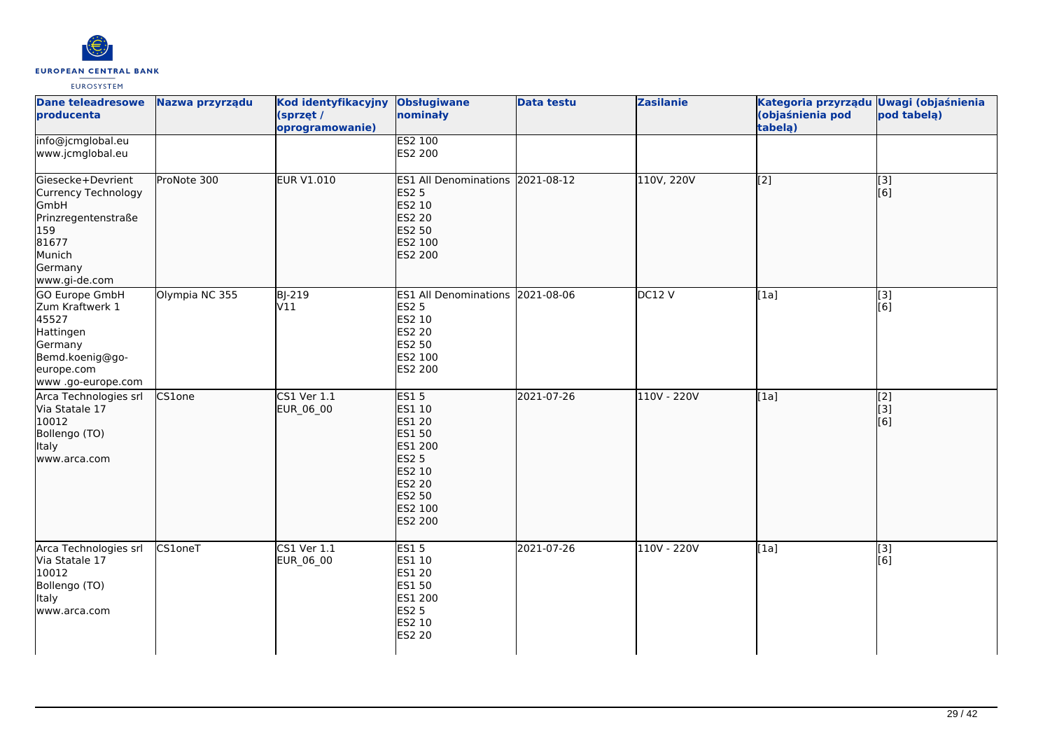

| <b>Dane teleadresowe</b><br>producenta                                                                                        | Nazwa przyrządu | Kod identyfikacyjny<br>(sprzęt /<br>oprogramowanie) | <b>Obsługiwane</b><br>nominały                                                                                                  | <b>Data testu</b> | <b>Zasilanie</b> | Kategoria przyrządu Uwagi (objaśnienia<br>(objaśnienia pod<br>tabelą) | pod tabelą)             |
|-------------------------------------------------------------------------------------------------------------------------------|-----------------|-----------------------------------------------------|---------------------------------------------------------------------------------------------------------------------------------|-------------------|------------------|-----------------------------------------------------------------------|-------------------------|
| info@jcmglobal.eu<br>www.jcmglobal.eu                                                                                         |                 |                                                     | ES2 100<br>ES2 200                                                                                                              |                   |                  |                                                                       |                         |
| Giesecke+Devrient<br>Currency Technology<br>GmbH<br>Prinzregentenstraße<br>159<br>81677<br>Munich<br>Germany<br>www.gi-de.com | ProNote 300     | <b>EUR V1.010</b>                                   | ES1 All Denominations 2021-08-12<br><b>ES2 5</b><br>ES2 10<br><b>ES2 20</b><br>ES2 50<br>ES2 100<br>ES2 200                     |                   | 110V, 220V       | $\overline{[2]}$                                                      | $\overline{[3]}$<br>[6] |
| GO Europe GmbH<br>Zum Kraftwerk 1<br>45527<br>Hattingen<br>Germany<br>Bemd.koenig@go-<br>europe.com<br>www.go-europe.com      | Olympia NC 355  | <b>BJ-219</b><br>V11                                | ES1 All Denominations 2021-08-06<br><b>ES2 5</b><br>ES2 10<br>ES2 20<br>ES2 50<br>ES2 100<br>ES2 200                            |                   | DC12V            | [1a]                                                                  | $[3]$<br>[6]            |
| Arca Technologies srl<br>Via Statale 17<br>10012<br>Bollengo (TO)<br>Italy<br>www.arca.com                                    | CS1one          | <b>CS1 Ver 1.1</b><br>EUR_06_00                     | <b>ES15</b><br>ES1 10<br>ES1 20<br>ES1 50<br>ES1 200<br><b>ES2 5</b><br>ES2 10<br><b>ES2 20</b><br>ES2 50<br>ES2 100<br>ES2 200 | 2021-07-26        | 110V - 220V      | [1a]                                                                  | [2]<br>[3]<br>[6]       |
| Arca Technologies srl<br>Via Statale 17<br>10012<br>Bollengo (TO)<br><b>Italy</b><br>www.arca.com                             | <b>CS1oneT</b>  | <b>CS1 Ver 1.1</b><br>EUR_06_00                     | <b>ES15</b><br>ES1 10<br>ES1 20<br>ES1 50<br>ES1 200<br><b>ES2 5</b><br>ES2 10<br>ES2 20                                        | 2021-07-26        | 110V - 220V      | [1a]                                                                  | $\overline{[3]}$<br>[6] |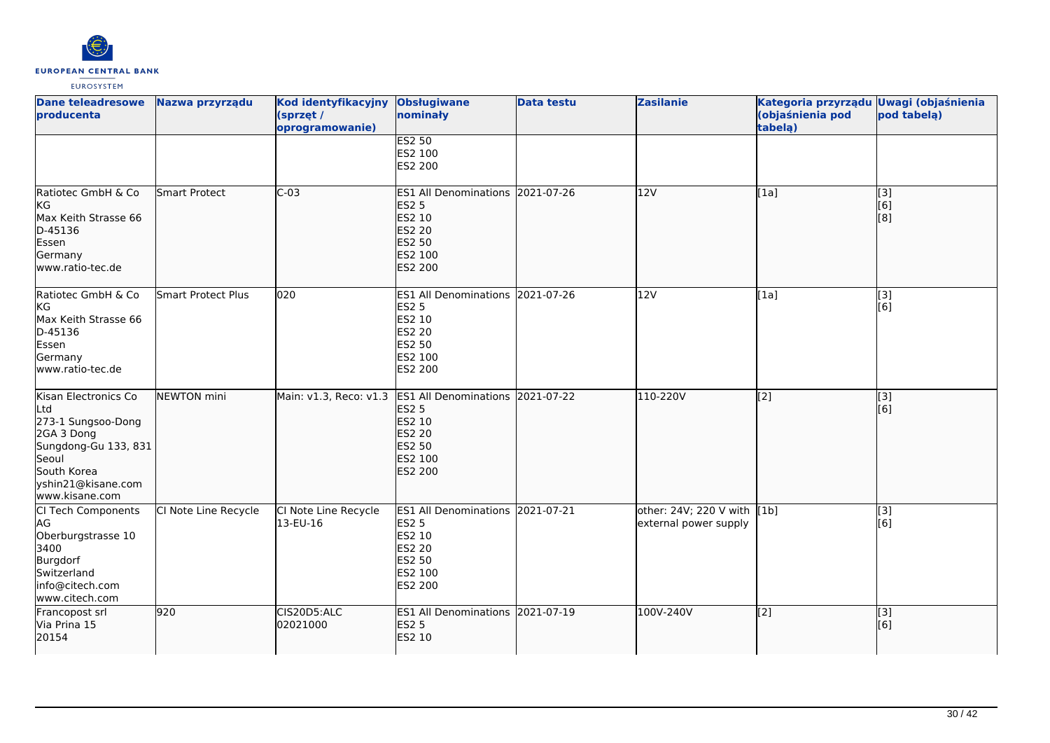

| <b>Dane teleadresowe</b><br>producenta                                                                                                                  | Nazwa przyrządu      | Kod identyfikacyjny<br>(sprzęt /<br>oprogramowanie) | <b>Obsługiwane</b><br>nominały                                                                                     | <b>Data testu</b> | <b>Zasilanie</b>                                     | Kategoria przyrządu Uwagi (objaśnienia<br>(objaśnienia pod<br>tabela) | pod tabela)                    |
|---------------------------------------------------------------------------------------------------------------------------------------------------------|----------------------|-----------------------------------------------------|--------------------------------------------------------------------------------------------------------------------|-------------------|------------------------------------------------------|-----------------------------------------------------------------------|--------------------------------|
|                                                                                                                                                         |                      |                                                     | <b>ES2 50</b><br>ES2 100<br>ES2 200                                                                                |                   |                                                      |                                                                       |                                |
| Ratiotec GmbH & Co<br>kg<br>Max Keith Strasse 66<br>D-45136<br>Essen<br>Germany<br>www.ratio-tec.de                                                     | <b>Smart Protect</b> | $C-03$                                              | ES1 All Denominations 2021-07-26<br><b>ES2 5</b><br>ES2 10<br><b>ES2 20</b><br><b>ES2 50</b><br>ES2 100<br>ES2 200 |                   | 12V                                                  | [1a]                                                                  | $\overline{[}3]$<br>[6]<br>[8] |
| Ratiotec GmbH & Co<br>KG<br>Max Keith Strasse 66<br>D-45136<br>Essen<br>Germany<br>www.ratio-tec.de                                                     | Smart Protect Plus   | 020                                                 | ES1 All Denominations 2021-07-26<br><b>ES2 5</b><br><b>ES2 10</b><br><b>ES2 20</b><br>ES2 50<br>ES2 100<br>ES2 200 |                   | 12V                                                  | [1a]                                                                  | $[3]$<br>[6]                   |
| Kisan Electronics Co<br>Ltd<br>273-1 Sungsoo-Dong<br>2GA 3 Dong<br>Sungdong-Gu 133, 831<br>Seoul<br>South Korea<br>yshin21@kisane.com<br>www.kisane.com | NEWTON mini          | Main: v1.3, Reco: v1.3 ES1 All Denominations        | <b>ES2 5</b><br>ES2 10<br><b>ES2 20</b><br><b>ES2 50</b><br>ES2 100<br>ES2 200                                     | 2021-07-22        | 110-220V                                             | $\overline{[2]}$                                                      | $\overline{[3]}$<br>[6]        |
| CI Tech Components<br>AG<br>Oberburgstrasse 10<br>3400<br>Burgdorf<br>Switzerland<br>info@citech.com<br>www.citech.com                                  | CI Note Line Recycle | CI Note Line Recycle<br>13-EU-16                    | ES1 All Denominations 2021-07-21<br><b>ES2 5</b><br>ES2 10<br><b>ES2 20</b><br>ES2 50<br>ES2 100<br>ES2 200        |                   | other: 24V; 220 V with [1b]<br>external power supply |                                                                       | $[3]$<br>[6]                   |
| Francopost srl<br>Via Prina 15<br>20154                                                                                                                 | 920                  | CIS20D5:ALC<br>02021000                             | ES1 All Denominations 2021-07-19<br><b>ES2 5</b><br>ES2 10                                                         |                   | 100V-240V                                            | [2]                                                                   | [3]<br>[6]                     |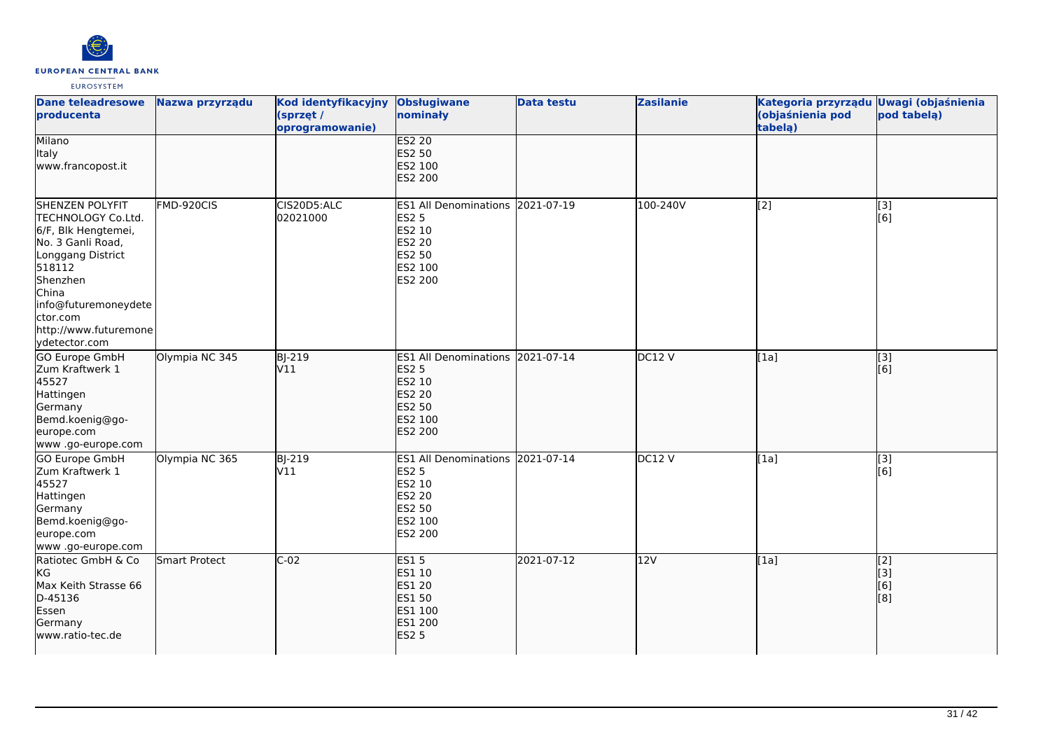

| <b>Dane teleadresowe</b><br>producenta                                                                                                                                                                                     | Nazwa przyrządu      | Kod identyfikacyjny<br>(sprzęt /<br>oprogramowanie) | <b>Obsługiwane</b><br>nominały                                                                                            | <b>Data testu</b> | <b>Zasilanie</b> | Kategoria przyrządu Uwagi (objaśnienia<br>(objaśnienia pod<br>tabela) | pod tabela)              |
|----------------------------------------------------------------------------------------------------------------------------------------------------------------------------------------------------------------------------|----------------------|-----------------------------------------------------|---------------------------------------------------------------------------------------------------------------------------|-------------------|------------------|-----------------------------------------------------------------------|--------------------------|
| Milano<br><b>Italy</b><br>www.francopost.it                                                                                                                                                                                |                      |                                                     | <b>ES2 20</b><br>ES2 50<br>ES2 100<br>ES2 200                                                                             |                   |                  |                                                                       |                          |
| <b>SHENZEN POLYFIT</b><br>TECHNOLOGY Co.Ltd.<br>6/F, Blk Hengtemei,<br>No. 3 Ganli Road,<br>Longgang District<br>518112<br>Shenzhen<br>China<br>info@futuremoneydete<br>ctor.com<br>http://www.futuremone<br>ydetector.com | FMD-920CIS           | CIS20D5:ALC<br>02021000                             | ES1 All Denominations 2021-07-19<br><b>ES2 5</b><br>ES2 10<br>ES2 20<br>ES2 50<br>ES2 100<br>ES2 200                      |                   | 100-240V         | [2]                                                                   | $[3]$<br>[6]             |
| <b>GO Europe GmbH</b><br>Zum Kraftwerk 1<br>45527<br>Hattingen<br>Germany<br>Bemd.koenig@go-<br>europe.com<br>www.go-europe.com                                                                                            | Olympia NC 345       | <b>BJ-219</b><br>V11                                | ES1 All Denominations 2021-07-14<br><b>ES2 5</b><br>ES2 10<br><b>ES2 20</b><br><b>ES2 50</b><br>ES2 100<br><b>ES2 200</b> |                   | DC12V            | [1a]                                                                  | $\overline{[}3]$<br>[6]  |
| <b>GO Europe GmbH</b><br>Zum Kraftwerk 1<br>45527<br>Hattingen<br>Germany<br>Bemd.koenig@go-<br>europe.com<br>www.go-europe.com                                                                                            | Olympia NC 365       | BJ-219<br>V11                                       | ES1 All Denominations 2021-07-14<br><b>ES2 5</b><br>ES2 10<br>ES2 20<br>ES2 50<br>ES2 100<br>ES2 200                      |                   | DC12 V           | [1a]                                                                  | $[3]$<br>[6]             |
| Ratiotec GmbH & Co<br><b>KG</b><br>Max Keith Strasse 66<br>D-45136<br>Essen<br>Germany<br>www.ratio-tec.de                                                                                                                 | <b>Smart Protect</b> | $C-02$                                              | <b>ES15</b><br><b>ES1 10</b><br>ES1 20<br>ES1 50<br>ES1 100<br>ES1 200<br><b>ES2 5</b>                                    | 2021-07-12        | 12V              | [1a]                                                                  | [2]<br>[3]<br>[6]<br>[8] |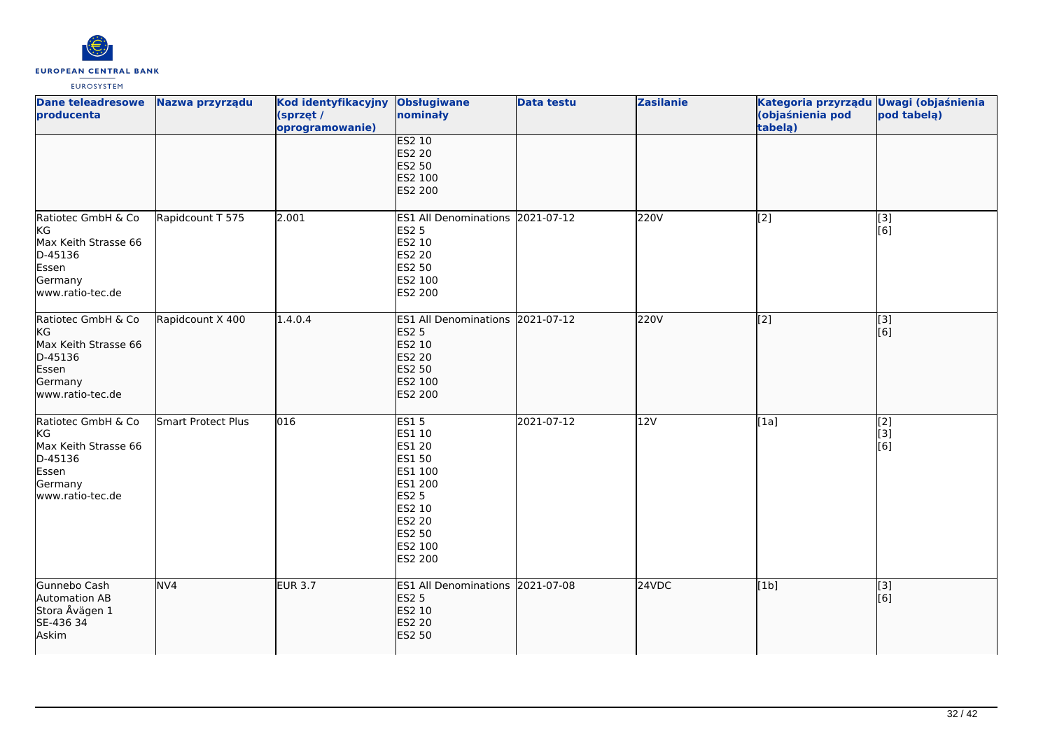

| <b>Dane teleadresowe</b><br>producenta                                                               | Nazwa przyrządu    | Kod identyfikacyjny<br>(sprzęt /<br>oprogramowanie) | <b>Obsługiwane</b><br>nominały                                                                                                      | <b>Data testu</b> | <b>Zasilanie</b> | Kategoria przyrządu Uwagi (objaśnienia<br>(objaśnienia pod<br>tabelą) | pod tabelą)                                            |
|------------------------------------------------------------------------------------------------------|--------------------|-----------------------------------------------------|-------------------------------------------------------------------------------------------------------------------------------------|-------------------|------------------|-----------------------------------------------------------------------|--------------------------------------------------------|
|                                                                                                      |                    |                                                     | <b>ES2 10</b><br>ES2 20<br><b>ES2 50</b><br>ES2 100<br>ES2 200                                                                      |                   |                  |                                                                       |                                                        |
| Ratiotec GmbH & Co<br>KG<br>Max Keith Strasse 66<br>D-45136<br>Essen<br>Germany<br>www.ratio-tec.de  | Rapidcount T 575   | 2.001                                               | ES1 All Denominations 2021-07-12<br><b>ES2 5</b><br>ES2 10<br>ES2 20<br>ES2 50<br>ES2 100<br>ES2 200                                |                   | 220V             | $\overline{[2]}$                                                      | [3]<br>[6]                                             |
| Ratiotec GmbH & Co<br>KG<br>Max Keith Strasse 66<br>D-45136<br>Essen<br>Germany<br>www.ratio-tec.de  | Rapidcount X 400   | 1.4.0.4                                             | ES1 All Denominations 2021-07-12<br><b>ES2 5</b><br>ES2 10<br>ES2 20<br>ES2 50<br>ES2 100<br><b>ES2 200</b>                         |                   | 220V             | $\overline{[2]}$                                                      | $\overline{[}$ [3]<br>[6]                              |
| Ratiotec GmbH & Co<br>KG<br>Max Keith Strasse 66<br>D-45136<br>Essen<br>Germany<br>lwww.ratio-tec.de | Smart Protect Plus | 016                                                 | <b>ES15</b><br>ES1 10<br>ES1 20<br>ES1 50<br>ES1 100<br>ES1 200<br><b>ES2 5</b><br>ES2 10<br>ES2 20<br>ES2 50<br>ES2 100<br>ES2 200 | 2021-07-12        | 12V              | $\overline{[1a]}$                                                     | $\overline{[2]}$<br>[3]<br>$\overline{[}6\overline{]}$ |
| Gunnebo Cash<br>Automation AB<br>Stora Åvägen 1<br>SE-436 34<br>Askim                                | NV <sub>4</sub>    | <b>EUR 3.7</b>                                      | ES1 All Denominations 2021-07-08<br><b>ES2 5</b><br>ES2 10<br>ES2 20<br><b>ES2 50</b>                                               |                   | 24VDC            | [1b]                                                                  | $\overline{[}$ [3]<br>[6]                              |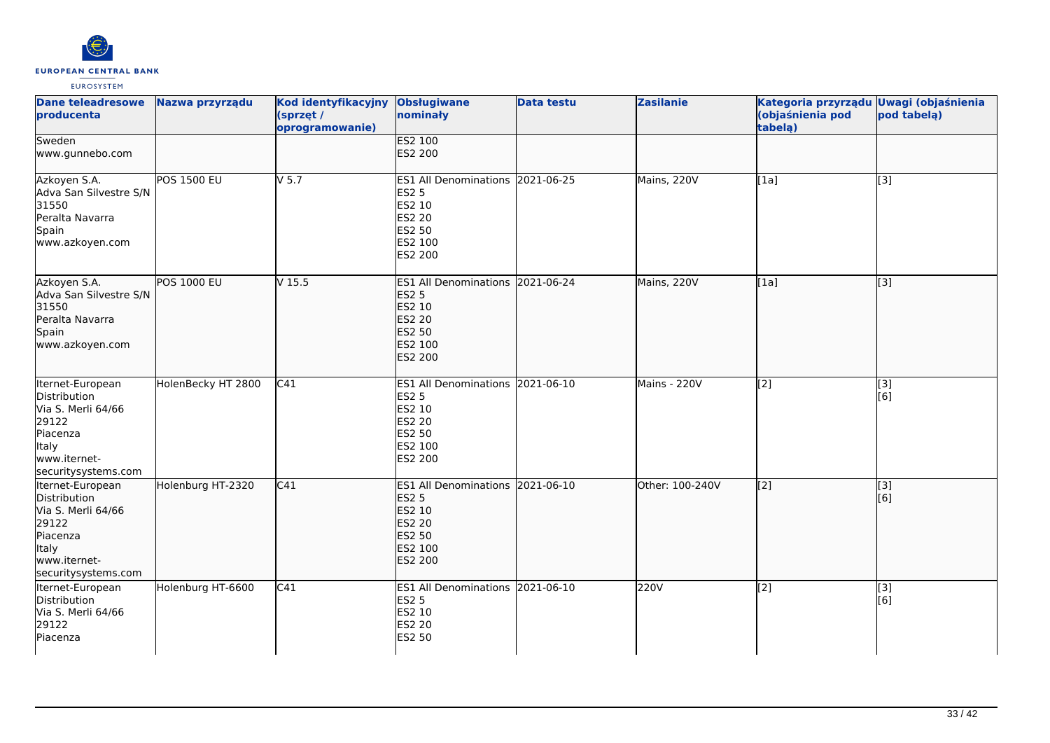

| <b>Dane teleadresowe</b><br>producenta                                                                                             | Nazwa przyrządu    | Kod identyfikacyjny<br>(sprzęt /<br>oprogramowanie) | <b>Obsługiwane</b><br>nominały                                                                              | <b>Data testu</b> | <b>Zasilanie</b> | Kategoria przyrządu Uwagi (objaśnienia<br>(objaśnienia pod<br>tabelą) | pod tabelą)      |
|------------------------------------------------------------------------------------------------------------------------------------|--------------------|-----------------------------------------------------|-------------------------------------------------------------------------------------------------------------|-------------------|------------------|-----------------------------------------------------------------------|------------------|
| Sweden<br>www.gunnebo.com                                                                                                          |                    |                                                     | <b>ES2 100</b><br>ES2 200                                                                                   |                   |                  |                                                                       |                  |
| Azkoyen S.A.<br>Adva San Silvestre S/N<br>31550<br>Peralta Navarra<br>Spain<br>www.azkoyen.com                                     | <b>POS 1500 EU</b> | $V$ 5.7                                             | ES1 All Denominations 2021-06-25<br>ES2 5<br>ES2 10<br>ES2 20<br>ES2 50<br>ES2 100<br>ES2 200               |                   | Mains, 220V      | [1a]                                                                  | [3]              |
| Azkoyen S.A.<br>Adva San Silvestre S/N<br>31550<br>Peralta Navarra<br>Spain<br>www.azkoyen.com                                     | <b>POS 1000 EU</b> | $V$ 15.5                                            | ES1 All Denominations 2021-06-24<br><b>ES2 5</b><br>ES2 10<br>ES2 20<br>ES2 50<br>ES2 100<br>ES2 200        |                   | Mains, 220V      | [1a]                                                                  | $\overline{[}3]$ |
| Iternet-European<br>Distribution<br>Via S. Merli 64/66<br>29122<br>Piacenza<br><b>Italy</b><br>www.iternet-<br>securitysystems.com | HolenBecky HT 2800 | C41                                                 | ES1 All Denominations 2021-06-10<br><b>ES2 5</b><br>ES2 10<br>ES2 20<br>ES2 50<br>ES2 100<br>ES2 200        |                   | Mains - 220V     | [2]                                                                   | [3]<br>[6]       |
| Iternet-European<br>Distribution<br>Via S. Merli 64/66<br>29122<br>Piacenza<br><b>Italy</b><br>www.iternet-<br>securitysystems.com | Holenburg HT-2320  | C41                                                 | ES1 All Denominations 2021-06-10<br><b>ES2 5</b><br>ES2 10<br>ES2 20<br>ES2 50<br>ES2 100<br><b>ES2 200</b> |                   | Other: 100-240V  | [[2]                                                                  | [3]<br>[6]       |
| Iternet-European<br>Distribution<br>Via S. Merli 64/66<br>29122<br>Piacenza                                                        | Holenburg HT-6600  | C41                                                 | ES1 All Denominations 2021-06-10<br><b>ES2 5</b><br>ES2 10<br>ES2 20<br>ES2 50                              |                   | 220V             | $\overline{[2]}$                                                      | [3]<br>[6]       |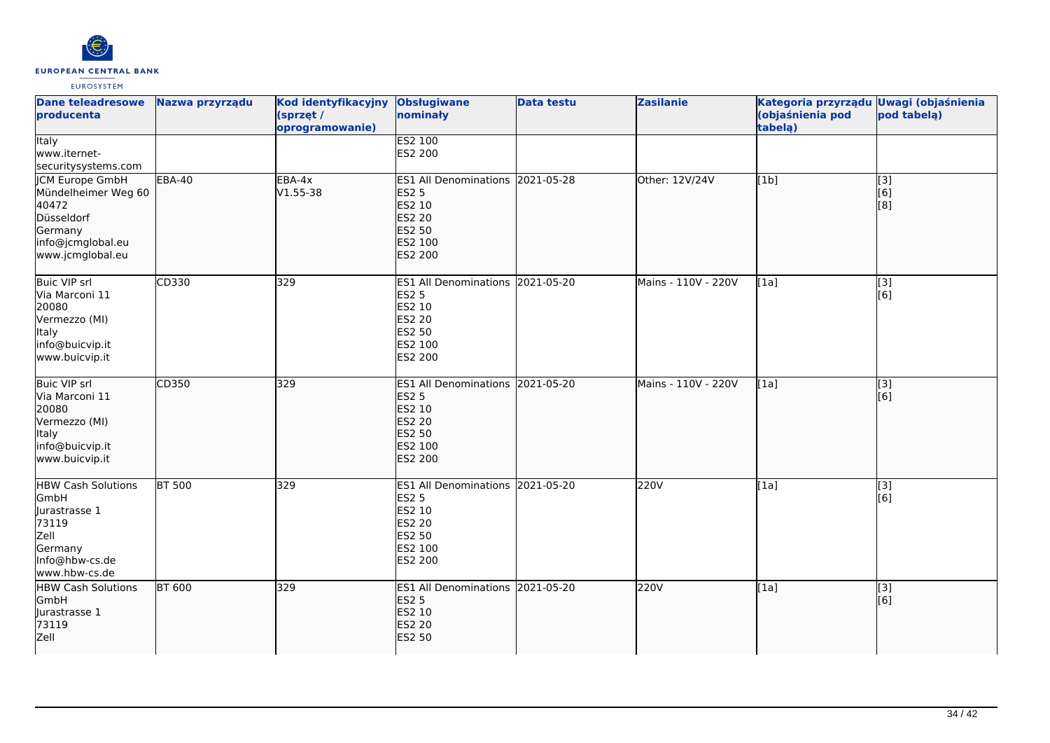

| <b>Dane teleadresowe</b><br>producenta                                                                                  | Nazwa przyrządu     | <b>Kod identyfikacyjny</b><br>(sprzęt /<br>oprogramowanie) | <b>Obsługiwane</b><br>nominały                                                                       | <b>Data testu</b> | <b>Zasilanie</b>    | Kategoria przyrządu Uwagi (objaśnienia<br>(objaśnienia pod<br>tabela) | pod tabela)                                   |
|-------------------------------------------------------------------------------------------------------------------------|---------------------|------------------------------------------------------------|------------------------------------------------------------------------------------------------------|-------------------|---------------------|-----------------------------------------------------------------------|-----------------------------------------------|
| <b>Italy</b><br>www.iternet-<br>securitysystems.com                                                                     |                     |                                                            | <b>ES2 100</b><br>ES2 200                                                                            |                   |                     |                                                                       |                                               |
| <b>CM Europe GmbH</b><br>Mündelheimer Weg 60<br>40472<br>Düsseldorf<br>Germany<br>info@jcmglobal.eu<br>www.jcmglobal.eu | EBA-40              | $EBA-4x$<br>$V1.55 - 38$                                   | ES1 All Denominations 2021-05-28<br><b>ES2 5</b><br>ES2 10<br>ES2 20<br>ES2 50<br>ES2 100<br>ES2 200 |                   | Other: 12V/24V      | [1b]                                                                  | $\begin{bmatrix} 3 \\ 6 \end{bmatrix}$<br>[8] |
| <b>Buic VIP srl</b><br>Via Marconi 11<br>20080<br>Vermezzo (MI)<br><b>Italy</b><br>info@buicvip.it<br>www.buicvip.it    | CD330               | 329                                                        | ES1 All Denominations 2021-05-20<br><b>ES2 5</b><br>ES2 10<br>ES2 20<br>ES2 50<br>ES2 100<br>ES2 200 |                   | Mains - 110V - 220V | [1a]                                                                  | $\overline{[}3]$<br>[6]                       |
| <b>Buic VIP srl</b><br>Via Marconi 11<br>20080<br>Vermezzo (MI)<br><b>Italy</b><br>info@buicvip.it<br>www.buicvip.it    | CD350               | 329                                                        | ES1 All Denominations 2021-05-20<br><b>ES2 5</b><br>ES2 10<br>ES2 20<br>ES2 50<br>ES2 100<br>ES2 200 |                   | Mains - 110V - 220V | [1a]                                                                  | $\overline{[}3]$<br>[6]                       |
| <b>HBW</b> Cash Solutions<br>GmbH<br>Jurastrasse 1<br>73119<br>Zell<br>Germany<br>Info@hbw-cs.de<br>www.hbw-cs.de       | $\overline{BT}$ 500 | 329                                                        | ES1 All Denominations 2021-05-20<br><b>ES2 5</b><br>ES2 10<br>ES2 20<br>ES2 50<br>ES2 100<br>ES2 200 |                   | 220V                | [1a]                                                                  | [3]<br>[6]                                    |
| <b>HBW Cash Solutions</b><br>GmbH<br>Jurastrasse 1<br>73119<br>Zell                                                     | <b>BT 600</b>       | 329                                                        | ES1 All Denominations 2021-05-20<br><b>ES2 5</b><br>ES2 10<br><b>ES2 20</b><br><b>ES2 50</b>         |                   | 220V                | [1a]                                                                  | $\overline{[3]}$<br>[6]                       |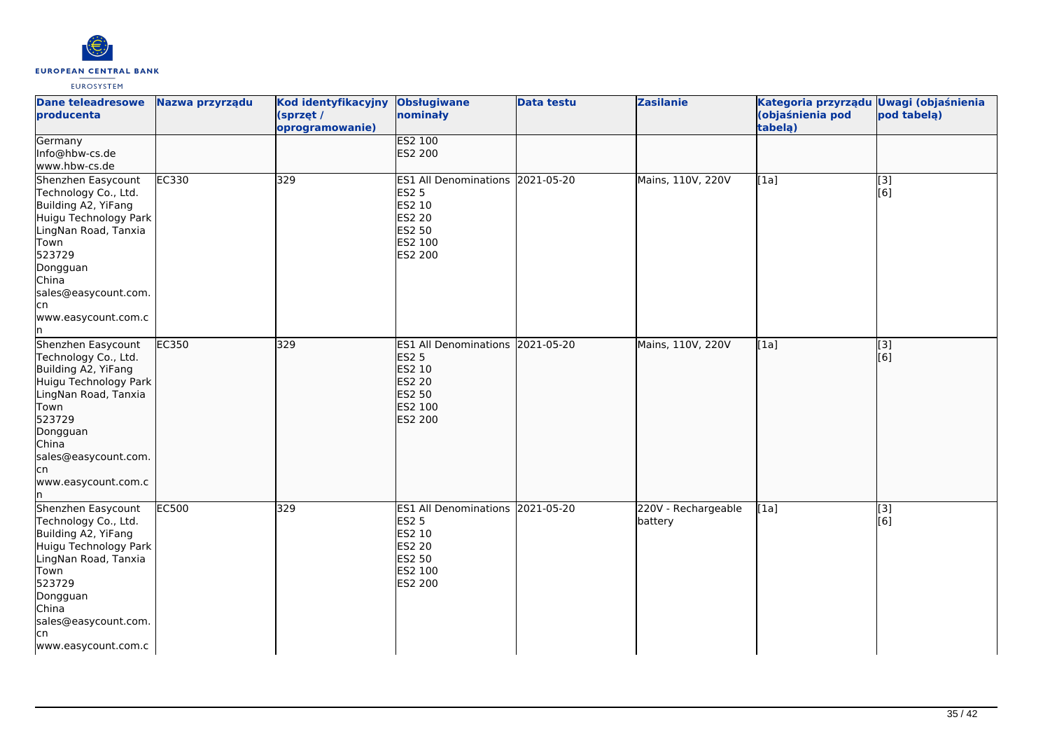

| <b>Dane teleadresowe</b><br>producenta                                                                                                                                                                                 | Nazwa przyrządu | Kod identyfikacyjny<br>(sprzęt /<br>oprogramowanie) | <b>Obsługiwane</b><br>nominały                                                                                     | <b>Data testu</b> | <b>Zasilanie</b>               | Kategoria przyrządu Uwagi (objaśnienia<br>(objaśnienia pod<br>tabelą) | pod tabelą)                        |
|------------------------------------------------------------------------------------------------------------------------------------------------------------------------------------------------------------------------|-----------------|-----------------------------------------------------|--------------------------------------------------------------------------------------------------------------------|-------------------|--------------------------------|-----------------------------------------------------------------------|------------------------------------|
| Germany<br>Info@hbw-cs.de<br>www.hbw-cs.de                                                                                                                                                                             |                 |                                                     | <b>ES2 100</b><br>ES2 200                                                                                          |                   |                                |                                                                       |                                    |
| Shenzhen Easycount<br>Technology Co., Ltd.<br>Building A2, YiFang<br>Huigu Technology Park<br>LingNan Road, Tanxia<br>Town<br>523729<br>Dongguan<br>China<br>sales@easycount.com.<br>lcn<br>www.easycount.com.c<br>ln. | EC330           | 329                                                 | ES1 All Denominations 2021-05-20<br><b>ES2 5</b><br>ES2 10<br>ES2 20<br>ES2 50<br>ES2 100<br>ES2 200               |                   | Mains, 110V, 220V              | [1a]                                                                  | $\overline{[3]}$<br>[6]            |
| Shenzhen Easycount<br>Technology Co., Ltd.<br>Building A2, YiFang<br>Huigu Technology Park<br>LingNan Road, Tanxia<br>Town<br>523729<br>Dongguan<br>China<br>sales@easycount.com.<br>lcn<br>www.easycount.com.c<br>ln. | EC350           | 329                                                 | ES1 All Denominations 2021-05-20<br><b>ES2 5</b><br>ES2 10<br><b>ES2 20</b><br>ES2 50<br>ES2 100<br><b>ES2 200</b> |                   | Mains, 110V, 220V              | [1a]                                                                  | [3]<br>$\overline{[}6\overline{)}$ |
| Shenzhen Easycount<br>Technology Co., Ltd.<br>Building A2, YiFang<br>Huigu Technology Park<br>LingNan Road, Tanxia<br>Town<br>523729<br>Dongguan<br>China<br>sales@easycount.com.<br>lcn<br>www.easycount.com.c        | <b>EC500</b>    | 329                                                 | <b>ES1 All Denominations</b><br><b>ES2 5</b><br>ES2 10<br><b>ES2 20</b><br>ES2 50<br>ES2 100<br>ES2 200            | 2021-05-20        | 220V - Rechargeable<br>battery | [1a]                                                                  | [3]<br>[6]                         |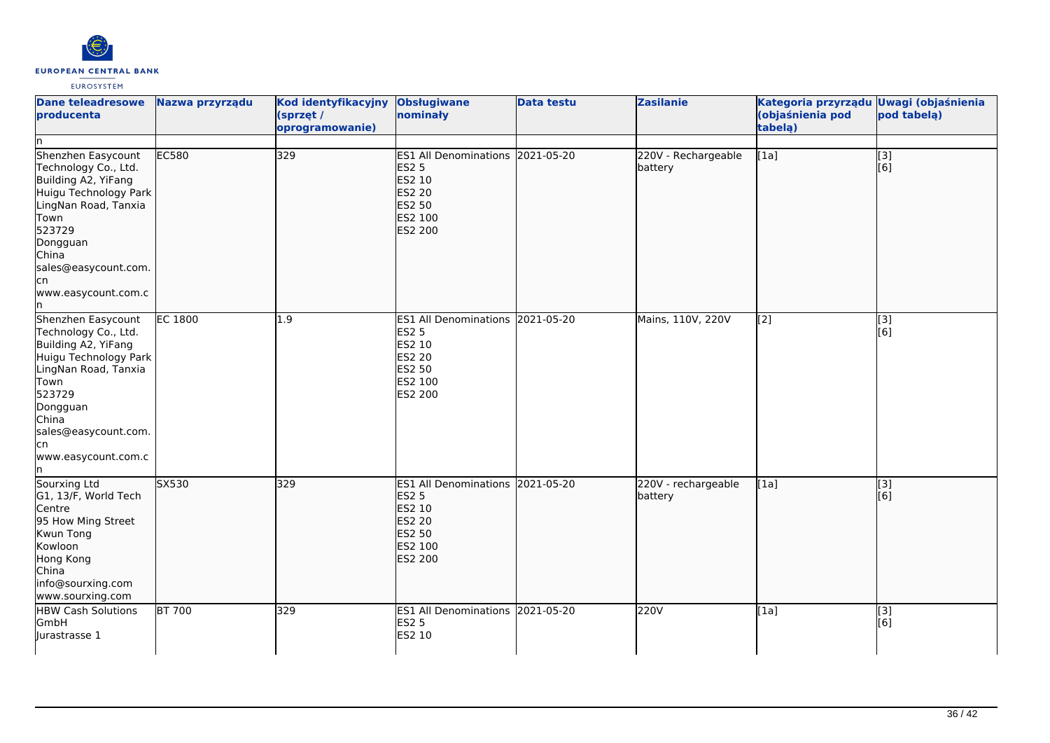

| Dane teleadresowe<br>producenta<br>ln.                                                                                                                                                                                 | Nazwa przyrządu                  | Kod identyfikacyjny<br>(sprzęt /<br>oprogramowanie) | <b>Obsługiwane</b><br>nominały                                                                                     | <b>Data testu</b> | <b>Zasilanie</b>               | Kategoria przyrządu Uwagi (objaśnienia<br>(objaśnienia pod<br>tabela) | pod tabela)             |
|------------------------------------------------------------------------------------------------------------------------------------------------------------------------------------------------------------------------|----------------------------------|-----------------------------------------------------|--------------------------------------------------------------------------------------------------------------------|-------------------|--------------------------------|-----------------------------------------------------------------------|-------------------------|
| Shenzhen Easycount<br>Technology Co., Ltd.<br>Building A2, YiFang<br>Huigu Technology Park<br>LingNan Road, Tanxia<br>Town<br>523729<br>Dongguan<br>China<br>sales@easycount.com.<br>lcn<br>www.easycount.com.c<br>ln. | EC580                            | 329                                                 | ES1 All Denominations 2021-05-20<br><b>ES2 5</b><br>ES2 10<br><b>ES2 20</b><br><b>ES2 50</b><br>ES2 100<br>ES2 200 |                   | 220V - Rechargeable<br>battery | [1a]                                                                  | $\overline{[}3]$<br>[6] |
| Shenzhen Easycount<br>Technology Co., Ltd.<br>Building A2, YiFang<br>Huigu Technology Park<br>LingNan Road, Tanxia<br>Town<br>523729<br>Dongguan<br>China<br>sales@easycount.com.<br>lcn<br>www.easycount.com.c<br>In. | <b>EC 1800</b>                   | 1.9                                                 | ES1 All Denominations 2021-05-20<br><b>ES2 5</b><br>ES2 10<br><b>ES2 20</b><br>ES2 50<br>ES2 100<br>ES2 200        |                   | Mains, 110V, 220V              | [2]                                                                   | $\overline{[}3]$<br>[6] |
| Sourxing Ltd<br>G1, 13/F, World Tech<br>Centre<br>95 How Ming Street<br>Kwun Tong<br>Kowloon<br>Hong Kong<br>China<br>info@sourxing.com<br>www.sourxing.com                                                            | $\overline{\text{S}}\text{X}530$ | 329                                                 | ES1 All Denominations 2021-05-20<br><b>ES2 5</b><br>ES2 10<br>ES2 20<br>ES2 50<br>ES2 100<br>ES2 200               |                   | 220V - rechargeable<br>battery | [1a]                                                                  | $\sqrt{3}$<br>[6]       |
| <b>HBW Cash Solutions</b><br>GmbH<br>Jurastrasse 1                                                                                                                                                                     | BT 700                           | 329                                                 | ES1 All Denominations 2021-05-20<br><b>ES2 5</b><br>ES2 10                                                         |                   | 220V                           | [1a]                                                                  | [3]<br>[6]              |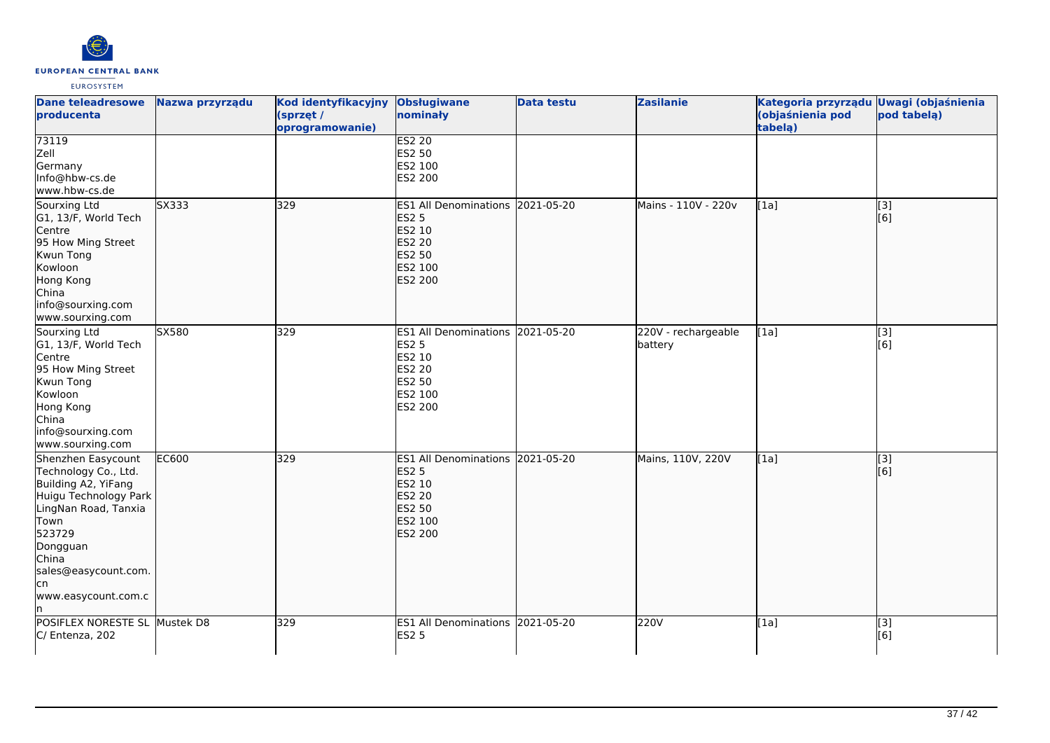

| <b>Dane teleadresowe</b><br>producenta                                                                                                                                                                                 | Nazwa przyrządu | Kod identyfikacyjny<br>(sprzęt /<br>oprogramowanie) | <b>Obsługiwane</b><br>nominały                                                                              | <b>Data testu</b> | <b>Zasilanie</b>               | Kategoria przyrządu Uwagi (objaśnienia<br>(objaśnienia pod<br>tabela) | pod tabela)             |
|------------------------------------------------------------------------------------------------------------------------------------------------------------------------------------------------------------------------|-----------------|-----------------------------------------------------|-------------------------------------------------------------------------------------------------------------|-------------------|--------------------------------|-----------------------------------------------------------------------|-------------------------|
| 73119<br>Zell<br>Germany<br>Info@hbw-cs.de<br>www.hbw-cs.de                                                                                                                                                            |                 |                                                     | <b>ES2 20</b><br>ES2 50<br>ES2 100<br>ES2 200                                                               |                   |                                |                                                                       |                         |
| Sourxing Ltd<br>G1, 13/F, World Tech<br>Centre<br>95 How Ming Street<br>Kwun Tong<br>Kowloon<br>Hong Kong<br>China<br>info@sourxing.com<br>www.sourxing.com                                                            | SX333           | 329                                                 | ES1 All Denominations 2021-05-20<br><b>ES2 5</b><br>ES2 10<br>ES2 20<br><b>ES2 50</b><br>ES2 100<br>ES2 200 |                   | Mains - 110V - 220v            | [1a]                                                                  | [3]<br>[6]              |
| Sourxing Ltd<br>G1, 13/F, World Tech<br>Centre<br>95 How Ming Street<br>Kwun Tong<br>Kowloon<br>Hong Kong<br>China<br>info@sourxing.com<br>www.sourxing.com                                                            | SX580           | 329                                                 | ES1 All Denominations 2021-05-20<br><b>ES2 5</b><br>ES2 10<br>ES2 20<br>ES2 50<br>ES2 100<br>ES2 200        |                   | 220V - rechargeable<br>battery | [1a]                                                                  | $\overline{[3]}$<br>[6] |
| Shenzhen Easycount<br>Technology Co., Ltd.<br>Building A2, YiFang<br>Huigu Technology Park<br>LingNan Road, Tanxia<br>Town<br>523729<br>Dongguan<br>China<br>sales@easycount.com.<br>lcn<br>www.easycount.com.c<br>ln. | <b>EC600</b>    | 329                                                 | ES1 All Denominations 2021-05-20<br><b>ES2 5</b><br>ES2 10<br>ES2 20<br>ES2 50<br>ES2 100<br>ES2 200        |                   | Mains, 110V, 220V              | [1a]                                                                  | [3]<br>[6]              |
| POSIFLEX NORESTE SL Mustek D8<br>C/ Entenza, 202                                                                                                                                                                       |                 | 329                                                 | ES1 All Denominations 2021-05-20<br><b>ES2 5</b>                                                            |                   | 220V                           | [1a]                                                                  | $\overline{[}3]$<br>[6] |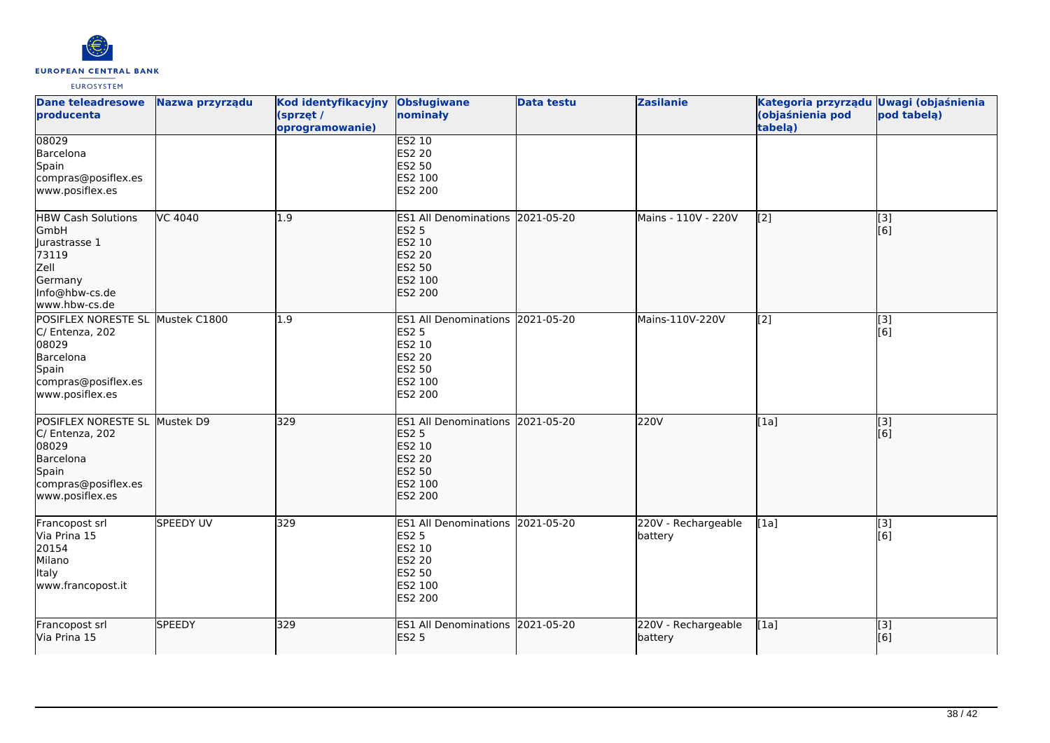

| <b>Dane teleadresowe</b><br>producenta                                                                            | Nazwa przyrządu | Kod identyfikacyjny<br>(sprzęt /<br>oprogramowanie) | <b>Obsługiwane</b><br>nominały                                                                                            | <b>Data testu</b> | <b>Zasilanie</b>               | Kategoria przyrządu Uwagi (objaśnienia<br>(objaśnienia pod<br>tabela) | pod tabelą)             |
|-------------------------------------------------------------------------------------------------------------------|-----------------|-----------------------------------------------------|---------------------------------------------------------------------------------------------------------------------------|-------------------|--------------------------------|-----------------------------------------------------------------------|-------------------------|
| 08029<br>Barcelona<br>Spain<br>compras@posiflex.es<br>www.posiflex.es                                             |                 |                                                     | ES2 10<br>ES2 20<br>ES2 50<br>ES2 100<br>ES2 200                                                                          |                   |                                |                                                                       |                         |
| <b>HBW Cash Solutions</b><br>GmbH<br>Jurastrasse 1<br>73119<br>Zell<br>Germany<br>Info@hbw-cs.de<br>www.hbw-cs.de | VC 4040         | 1.9                                                 | ES1 All Denominations 2021-05-20<br><b>ES2 5</b><br>ES2 10<br><b>ES2 20</b><br><b>ES2 50</b><br>ES2 100<br>ES2 200        |                   | Mains - 110V - 220V            | $\left[ \begin{matrix} 2 \end{matrix} \right]$                        | [3]<br>[6]              |
| POSIFLEX NORESTE SL<br>C/ Entenza, 202<br>08029<br>Barcelona<br>Spain<br>compras@posiflex.es<br>www.posiflex.es   | Mustek C1800    | 1.9                                                 | ES1 All Denominations 2021-05-20<br>ES2 5<br>ES2 10<br><b>ES2 20</b><br>ES2 50<br>ES2 100<br>ES2 200                      |                   | Mains-110V-220V                | $\overline{[2]}$                                                      | $\overline{[3]}$<br>[6] |
| POSIFLEX NORESTE SL<br>C/ Entenza, 202<br>08029<br>Barcelona<br>Spain<br>compras@posiflex.es<br>www.posiflex.es   | Mustek D9       | 329                                                 | ES1 All Denominations 2021-05-20<br><b>ES2 5</b><br>ES2 10<br><b>ES2 20</b><br><b>ES2 50</b><br>ES2 100<br><b>ES2 200</b> |                   | 220V                           | [1a]                                                                  | [3]<br>[6]              |
| Francopost srl<br>Via Prina 15<br>20154<br>Milano<br>Italy<br>www.francopost.it                                   | SPEEDY UV       | 329                                                 | ES1 All Denominations 2021-05-20<br><b>ES2 5</b><br>ES2 10<br><b>ES2 20</b><br><b>ES2 50</b><br>ES2 100<br>ES2 200        |                   | 220V - Rechargeable<br>battery | [1a]                                                                  | [3]<br>[6]              |
| Francopost srl<br>Via Prina 15                                                                                    | <b>SPEEDY</b>   | 329                                                 | ES1 All Denominations 2021-05-20<br><b>ES2 5</b>                                                                          |                   | 220V - Rechargeable<br>battery | [1a]                                                                  | [3]<br>[6]              |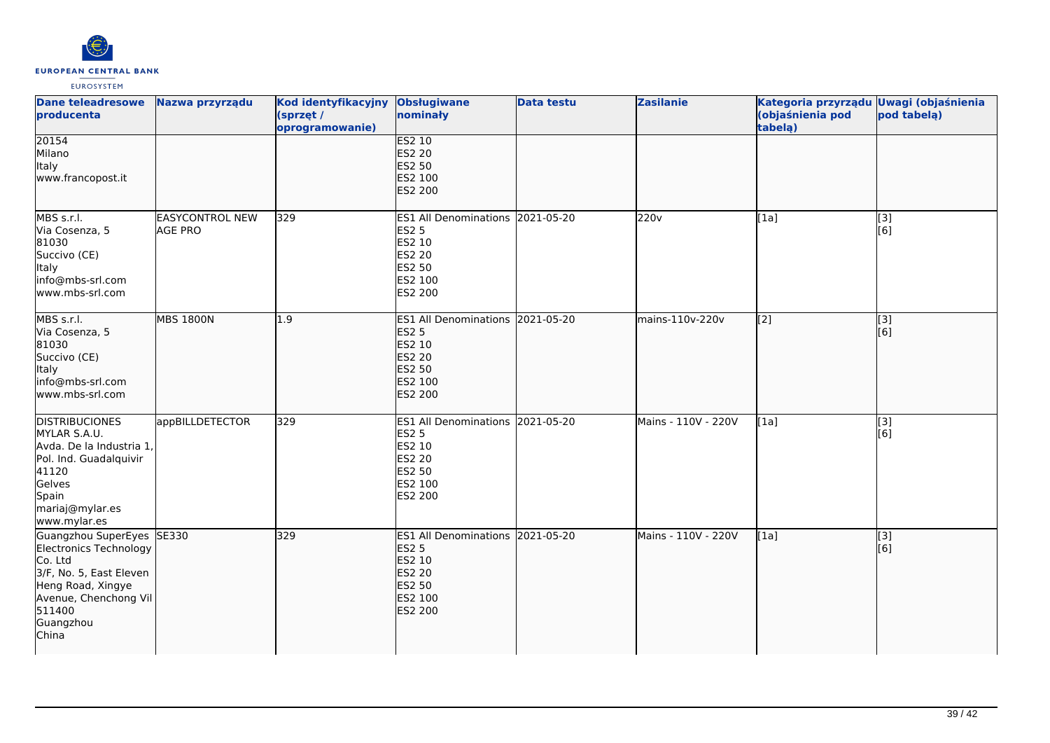

| <b>Dane teleadresowe</b><br>producenta                                                                                                                                  | Nazwa przyrządu                          | Kod identyfikacyjny Obsługiwane<br>(sprzęt /<br>oprogramowanie) | nominały                                                                                                           | <b>Data testu</b> | <b>Zasilanie</b>    | Kategoria przyrządu Uwagi (objaśnienia<br>(objaśnienia pod<br>tabelą) | pod tabelą)               |
|-------------------------------------------------------------------------------------------------------------------------------------------------------------------------|------------------------------------------|-----------------------------------------------------------------|--------------------------------------------------------------------------------------------------------------------|-------------------|---------------------|-----------------------------------------------------------------------|---------------------------|
| 20154<br>Milano<br>Italy<br>www.francopost.it                                                                                                                           |                                          |                                                                 | <b>ES2 10</b><br><b>ES2 20</b><br>ES2 50<br>ES2 100<br>ES2 200                                                     |                   |                     |                                                                       |                           |
| MBS s.r.l.<br>Via Cosenza, 5<br>81030<br>Succivo (CE)<br><b>Italy</b><br>info@mbs-srl.com<br>www.mbs-srl.com                                                            | <b>EASYCONTROL NEW</b><br><b>AGE PRO</b> | 329                                                             | <b>ES1 All Denominations</b><br>ES2 5<br>ES2 10<br><b>ES2 20</b><br>ES2 50<br>ES2 100<br>ES2 200                   | 2021-05-20        | 220 <sub>v</sub>    | [1a]                                                                  | [3]<br>[6]                |
| MBS s.r.l.<br>Via Cosenza, 5<br>81030<br>Succivo (CE)<br>Italy<br>info@mbs-srl.com<br>www.mbs-srl.com                                                                   | <b>MBS 1800N</b>                         | 1.9                                                             | ES1 All Denominations 2021-05-20<br><b>ES2 5</b><br>ES2 10<br><b>ES2 20</b><br><b>ES2 50</b><br>ES2 100<br>ES2 200 |                   | mains-110v-220v     | $\left[2\right]$                                                      | $\overline{[}$ [3]<br>[6] |
| <b>DISTRIBUCIONES</b><br>MYLAR S.A.U.<br>Avda. De la Industria 1,<br>Pol. Ind. Guadalquivir<br>41120<br>Gelves<br>Spain<br>mariaj@mylar.es<br>www.mylar.es              | appBILLDETECTOR                          | 329                                                             | ES1 All Denominations 2021-05-20<br>ES2 5<br>ES2 10<br>ES2 20<br>ES2 50<br>ES2 100<br>ES2 200                      |                   | Mains - 110V - 220V | [1a]                                                                  | $\overline{[3]}$<br>[6]   |
| Guangzhou SuperEyes SE330<br>Electronics Technology<br>Co. Ltd<br>3/F, No. 5, East Eleven<br>Heng Road, Xingye<br>Avenue, Chenchong Vil<br>511400<br>Guangzhou<br>China |                                          | 329                                                             | ES1 All Denominations 2021-05-20<br><b>ES2 5</b><br>ES2 10<br><b>ES2 20</b><br>ES2 50<br>ES2 100<br>ES2 200        |                   | Mains - 110V - 220V | [1a]                                                                  | $\overline{[}3]$<br>[6]   |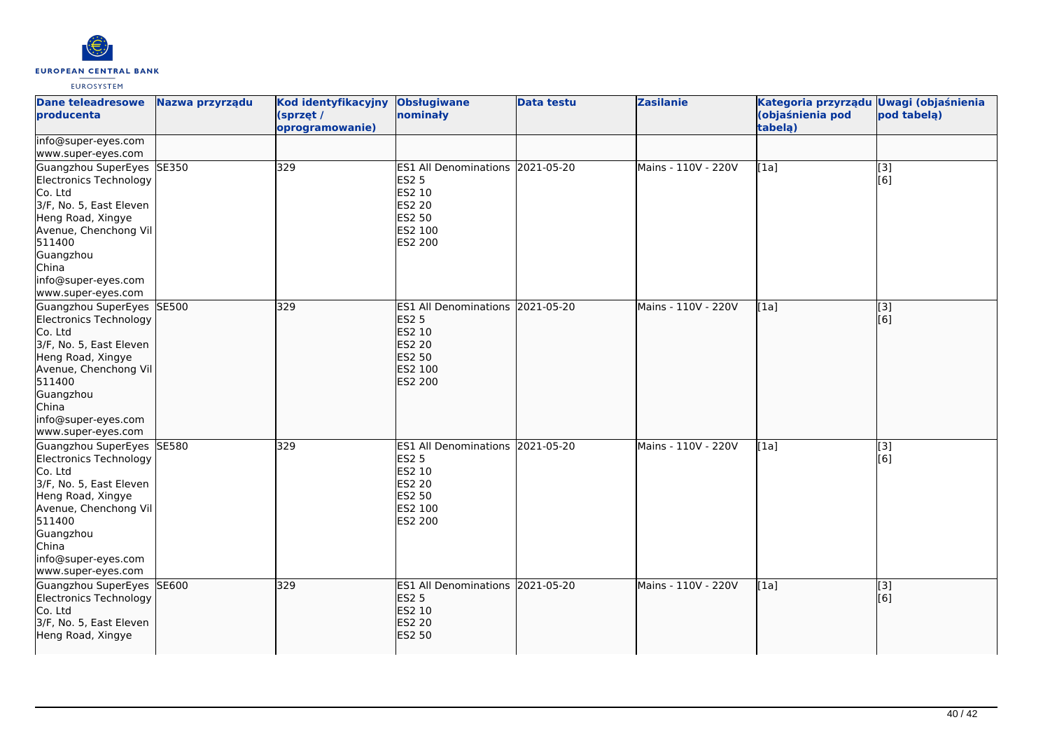

| <b>Dane teleadresowe</b><br>producenta                                                                                                                                                                                      | Nazwa przyrządu | Kod identyfikacyjny<br>(sprzęt /<br>oprogramowanie) | <b>Obsługiwane</b><br>nominały                                                                                     | <b>Data testu</b> | <b>Zasilanie</b>    | Kategoria przyrządu Uwagi (objaśnienia<br>(objaśnienia pod<br>tabelą) | pod tabelą) |
|-----------------------------------------------------------------------------------------------------------------------------------------------------------------------------------------------------------------------------|-----------------|-----------------------------------------------------|--------------------------------------------------------------------------------------------------------------------|-------------------|---------------------|-----------------------------------------------------------------------|-------------|
| info@super-eyes.com<br>www.super-eyes.com                                                                                                                                                                                   |                 |                                                     |                                                                                                                    |                   |                     |                                                                       |             |
| Guangzhou SuperEyes SE350<br>Electronics Technology<br>Co. Ltd<br>3/F, No. 5, East Eleven<br>Heng Road, Xingye<br>Avenue, Chenchong Vil<br>511400<br>Guangzhou<br>China<br>info@super-eyes.com<br>www.super-eyes.com        |                 | 329                                                 | ES1 All Denominations 2021-05-20<br><b>ES2 5</b><br>ES2 10<br>ES2 20<br>ES2 50<br>ES2 100<br>ES2 200               |                   | Mains - 110V - 220V | [1a]                                                                  | [3]<br>[6]  |
| Guangzhou SuperEyes SE500<br><b>Electronics Technology</b><br>Co. Ltd<br>3/F, No. 5, East Eleven<br>Heng Road, Xingye<br>Avenue, Chenchong Vil<br>511400<br>Guangzhou<br>China<br>info@super-eyes.com<br>www.super-eyes.com |                 | 329                                                 | ES1 All Denominations 2021-05-20<br><b>ES2 5</b><br>ES2 10<br><b>ES2 20</b><br>ES2 50<br>ES2 100<br><b>ES2 200</b> |                   | Mains - 110V - 220V | [1a]                                                                  | [3]<br>[6]  |
| Guangzhou SuperEyes SE580<br>Electronics Technology<br>Co. Ltd<br>3/F, No. 5, East Eleven<br>Heng Road, Xingye<br>Avenue, Chenchong Vil<br>511400<br>Guangzhou<br>China<br>info@super-eyes.com<br>www.super-eyes.com        |                 | 329                                                 | ES1 All Denominations 2021-05-20<br><b>ES2 5</b><br>ES2 10<br><b>ES2 20</b><br>ES2 50<br>ES2 100<br>ES2 200        |                   | Mains - 110V - 220V | [1a]                                                                  | [3]<br>[6]  |
| Guangzhou SuperEyes SE600<br><b>Electronics Technology</b><br>Co. Ltd<br>3/F, No. 5, East Eleven<br>Heng Road, Xingye                                                                                                       |                 | 329                                                 | ES1 All Denominations 2021-05-20<br><b>ES2 5</b><br>ES2 10<br><b>ES2 20</b><br><b>ES2 50</b>                       |                   | Mains - 110V - 220V | [1a]                                                                  | [3]<br>[6]  |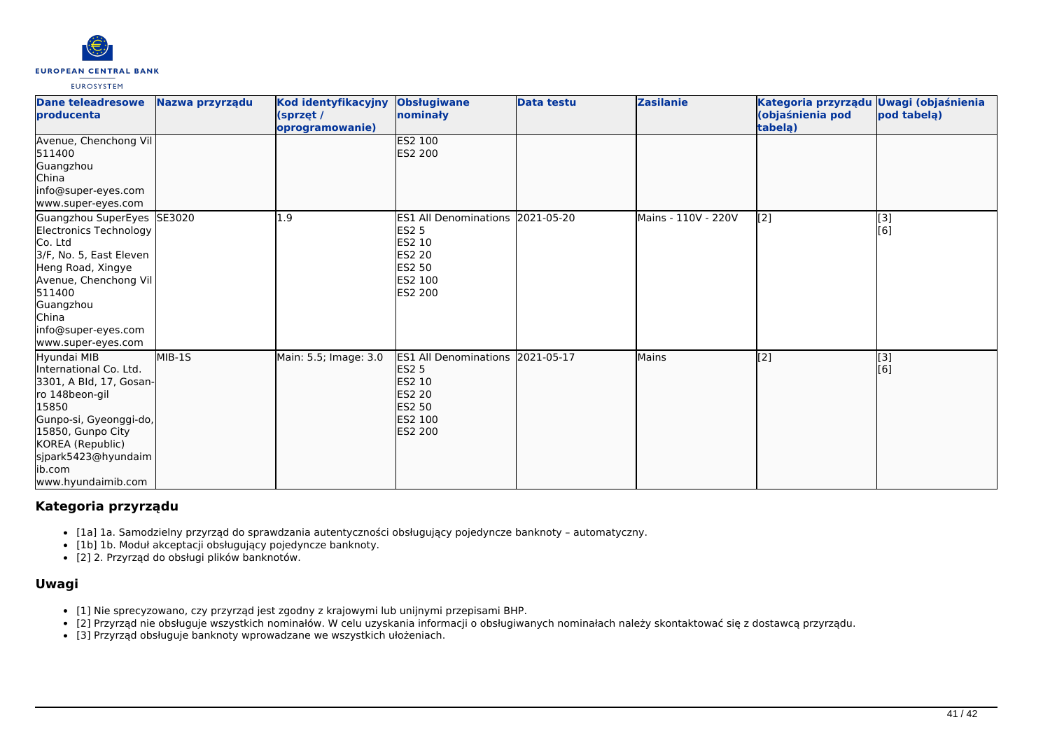

| <b>Dane teleadresowe</b><br><b>producenta</b>                                                                                                                                                                          | Nazwa przyrządu | Kod identyfikacyjny<br>(sprzet /<br>oprogramowanie) | <b>Obsługiwane</b><br>nominały                                                                                            | <b>Data testu</b> | <b>Zasilanie</b>    | Kategoria przyrządu Uwagi (objaśnienia<br>(objaśnienia pod<br>tabelą) | pod tabela) |
|------------------------------------------------------------------------------------------------------------------------------------------------------------------------------------------------------------------------|-----------------|-----------------------------------------------------|---------------------------------------------------------------------------------------------------------------------------|-------------------|---------------------|-----------------------------------------------------------------------|-------------|
| Avenue, Chenchong Vil<br>511400<br>Guangzhou<br><b>China</b><br>info@super-eyes.com<br>www.super-eyes.com                                                                                                              |                 |                                                     | ES2 100<br>ES2 200                                                                                                        |                   |                     |                                                                       |             |
| Guangzhou SuperEyes SE3020<br>Electronics Technology<br>Co. Ltd<br>3/F, No. 5, East Eleven<br>Heng Road, Xingye<br>Avenue, Chenchong Vil<br>511400<br>Guangzhou<br>China<br>info@super-eyes.com<br>www.super-eyes.com  |                 | 1.9                                                 | ES1 All Denominations 2021-05-20<br>ES <sub>2</sub> 5<br>ES2 10<br>ES2 20<br><b>ES2 50</b><br><b>ES2 100</b><br>ES2 200   |                   | Mains - 110V - 220V | $\sqrt{2}$                                                            | [3]<br>[6]  |
| Hyundai MIB<br>International Co. Ltd.<br>3301, A Bld, 17, Gosan-<br>ro 148beon-gil<br>15850<br>Gunpo-si, Gyeonggi-do,<br>15850, Gunpo City<br>KOREA (Republic)<br>sjpark5423@hyundaim<br>lib.com<br>www.hyundaimib.com | MIB-1S          | Main: 5.5; Image: 3.0                               | ES1 All Denominations 2021-05-17<br><b>ES2 5</b><br>ES2 10<br><b>ES2 20</b><br><b>ES2 50</b><br>ES2 100<br><b>ES2 200</b> |                   | <b>Mains</b>        | $\overline{[2]}$                                                      | [3]<br>[6]  |

# **Kategoria przyrządu**

- [1a] 1a. Samodzielny przyrząd do sprawdzania autentyczności obsługujący pojedyncze banknoty automatyczny.
- [1b] 1b. Moduł akceptacji obsługujący pojedyncze banknoty.
- [2] 2. Przyrząd do obsługi plików banknotów.

# **Uwagi**

- [1] Nie sprecyzowano, czy przyrząd jest zgodny z krajowymi lub unijnymi przepisami BHP.
- [2] Przyrząd nie obsługuje wszystkich nominałów. W celu uzyskania informacji o obsługiwanych nominałach należy skontaktować się z dostawcą przyrządu.
- [3] Przyrząd obsługuje banknoty wprowadzane we wszystkich ułożeniach.